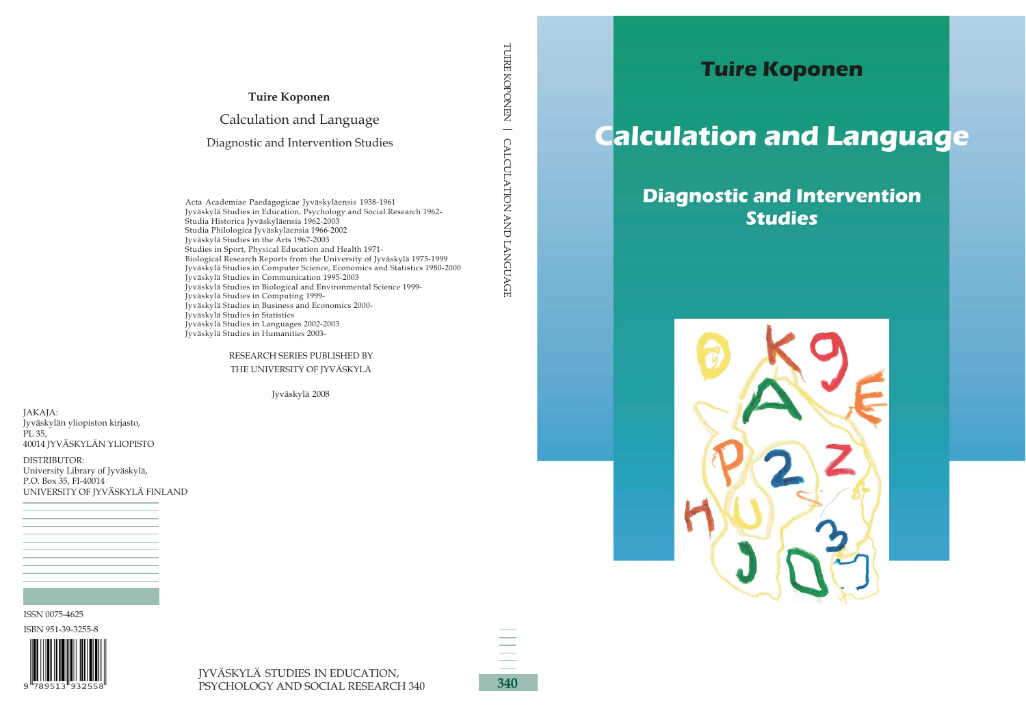

# **Calculation and Language**

## **Diagnostic and Intervention Studies**

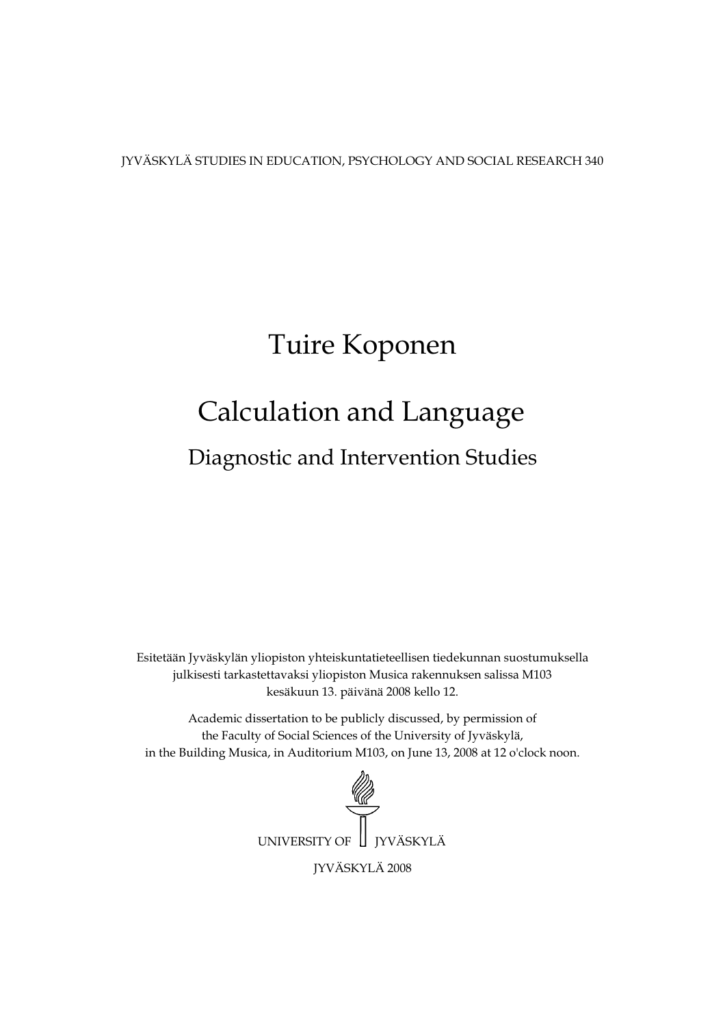JYVÄSKYLÄ STUDIES IN EDUCATION, PSYCHOLOGY AND SOCIAL RESEARCH 340

## Tuire Koponen

## Calculation and Language

Diagnostic and Intervention Studies

Esitetään Jyväskylän yliopiston yhteiskuntatieteellisen tiedekunnan suostumuksella julkisesti tarkastettavaksi yliopiston Musica rakennuksen salissa M103 kesäkuun 13. päivänä 2008 kello 12.

Academic dissertation to be publicly discussed, by permission of the Faculty of Social Sciences of the University of Jyväskylä, in the Building Musica, in Auditorium M103, on June 13, 2008 at 12 o'clock noon.

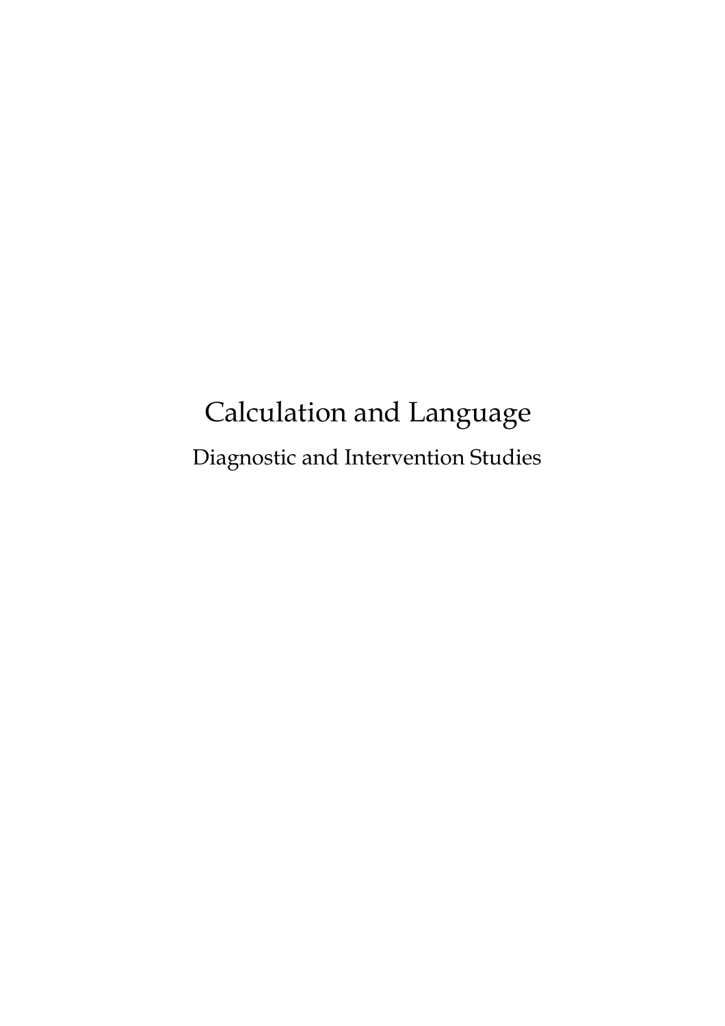## Calculation and Language Diagnostic and Intervention Studies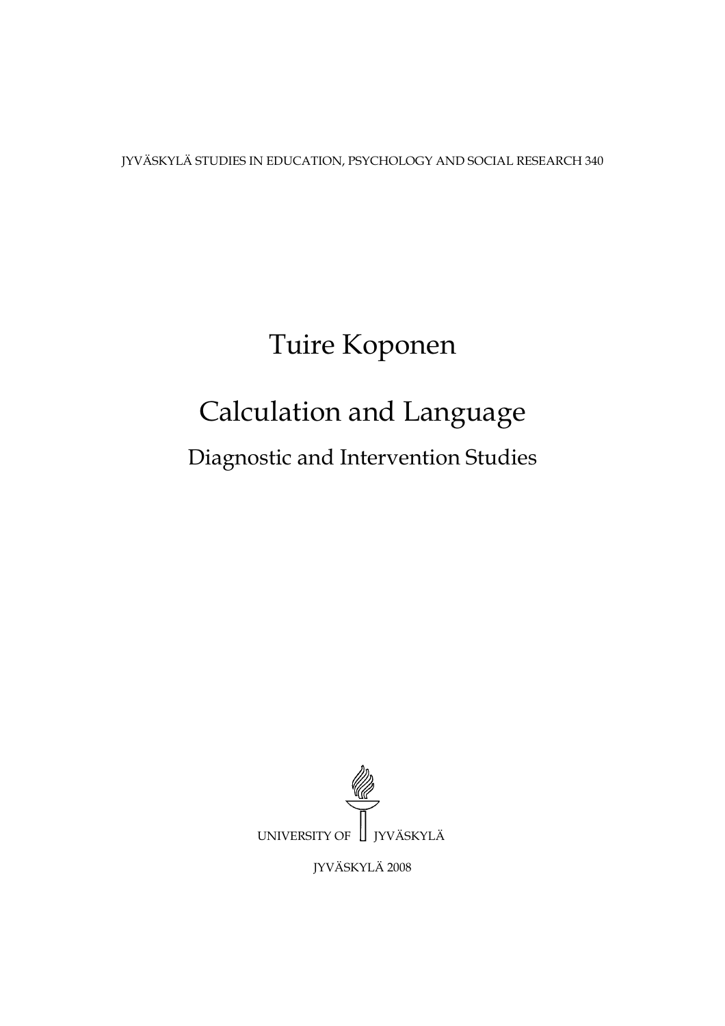JYVÄSKYLÄ STUDIES IN EDUCATION, PSYCHOLOGY AND SOCIAL RESEARCH 340

## Tuire Koponen

## Calculation and Language

Diagnostic and Intervention Studies



JYVÄSKYLÄ 2008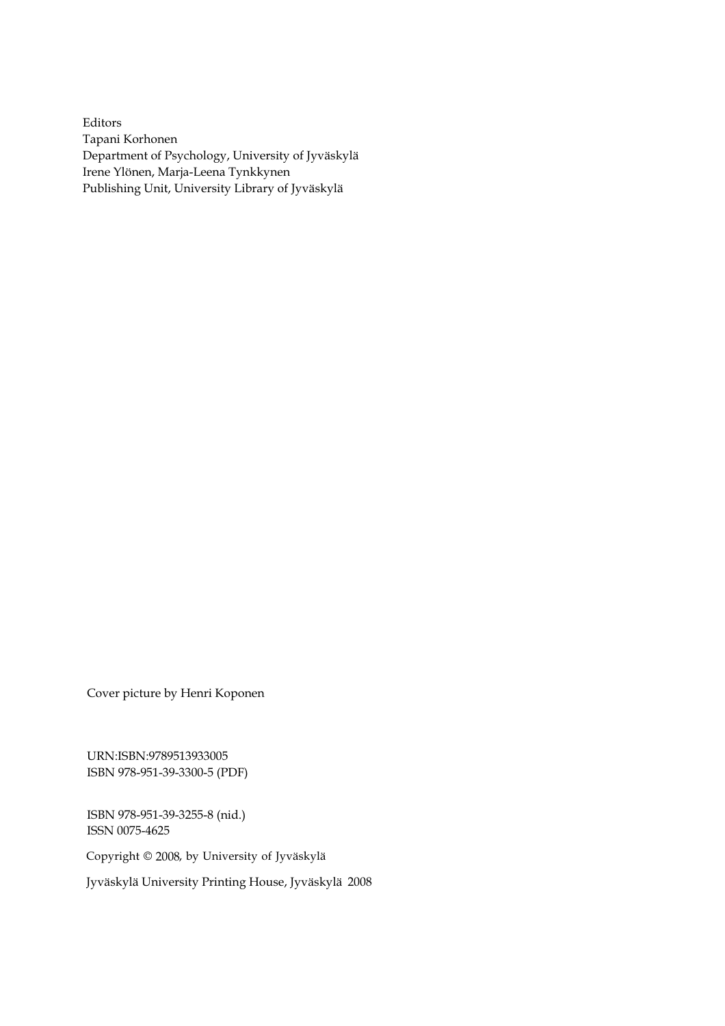Editors Tapani Korhonen Department of Psychology, University of Jyväskylä Irene Ylönen, Marja-Leena Tynkkynen Publishing Unit, University Library of Jyväskylä

Cover picture by Henri Koponen

URN:ISBN:9789513933005 ISBN 978-951-39-3300-5 (PDF)

ISBN 978-951-39-3255-8 (nid.) ISSN 0075-4625

Copyright © 2008, by University of Jyväskylä

Jyväskylä University Printing House, Jyväskylä 2008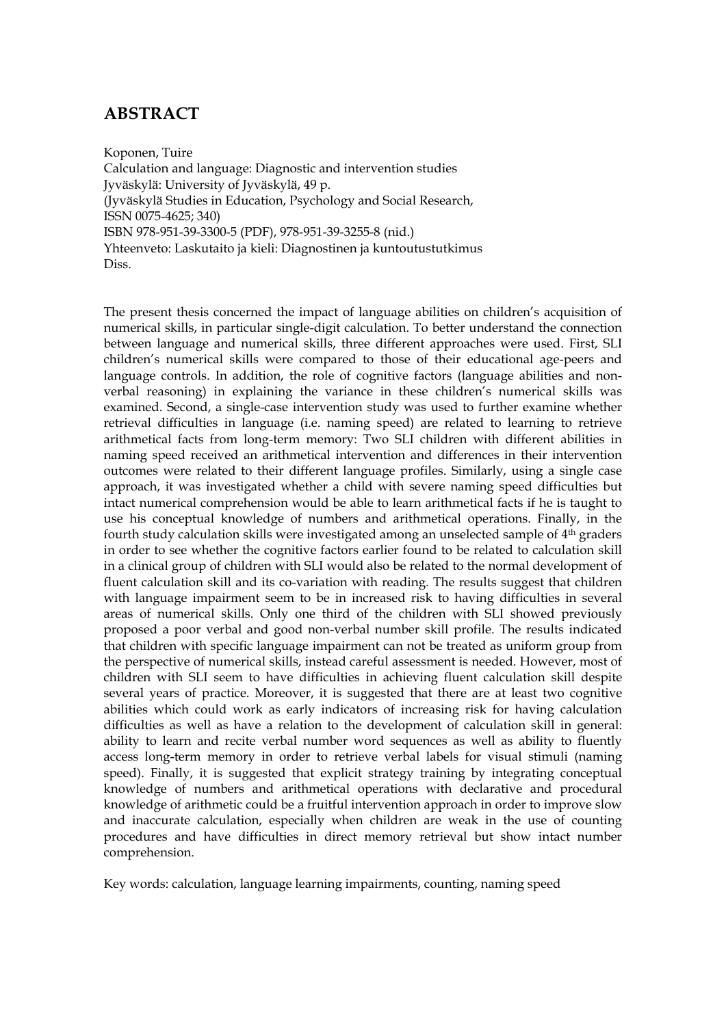## **ABSTRACT**

Koponen, Tuire Calculation and language: Diagnostic and intervention studies Jyväskylä: University of Jyväskylä, 49 p. (Jyväskylä Studies in Education, Psychology and Social Research, ISSN 0075-4625; 340) ISBN 978-951-39-3300-5 (PDF), 978-951-39-3255-8 (nid.) Yhteenveto: Laskutaito ja kieli: Diagnostinen ja kuntoutustutkimus Diss.

The present thesis concerned the impact of language abilities on children's acquisition of numerical skills, in particular single-digit calculation. To better understand the connection between language and numerical skills, three different approaches were used. First, SLI children's numerical skills were compared to those of their educational age-peers and language controls. In addition, the role of cognitive factors (language abilities and nonverbal reasoning) in explaining the variance in these children's numerical skills was examined. Second, a single-case intervention study was used to further examine whether retrieval difficulties in language (i.e. naming speed) are related to learning to retrieve arithmetical facts from long-term memory: Two SLI children with different abilities in naming speed received an arithmetical intervention and differences in their intervention outcomes were related to their different language profiles. Similarly, using a single case approach, it was investigated whether a child with severe naming speed difficulties but intact numerical comprehension would be able to learn arithmetical facts if he is taught to use his conceptual knowledge of numbers and arithmetical operations. Finally, in the fourth study calculation skills were investigated among an unselected sample of 4th graders in order to see whether the cognitive factors earlier found to be related to calculation skill in a clinical group of children with SLI would also be related to the normal development of fluent calculation skill and its co-variation with reading. The results suggest that children with language impairment seem to be in increased risk to having difficulties in several areas of numerical skills. Only one third of the children with SLI showed previously proposed a poor verbal and good non-verbal number skill profile. The results indicated that children with specific language impairment can not be treated as uniform group from the perspective of numerical skills, instead careful assessment is needed. However, most of children with SLI seem to have difficulties in achieving fluent calculation skill despite several years of practice. Moreover, it is suggested that there are at least two cognitive abilities which could work as early indicators of increasing risk for having calculation difficulties as well as have a relation to the development of calculation skill in general: ability to learn and recite verbal number word sequences as well as ability to fluently access long-term memory in order to retrieve verbal labels for visual stimuli (naming speed). Finally, it is suggested that explicit strategy training by integrating conceptual knowledge of numbers and arithmetical operations with declarative and procedural knowledge of arithmetic could be a fruitful intervention approach in order to improve slow and inaccurate calculation, especially when children are weak in the use of counting procedures and have difficulties in direct memory retrieval but show intact number comprehension.

Key words: calculation, language learning impairments, counting, naming speed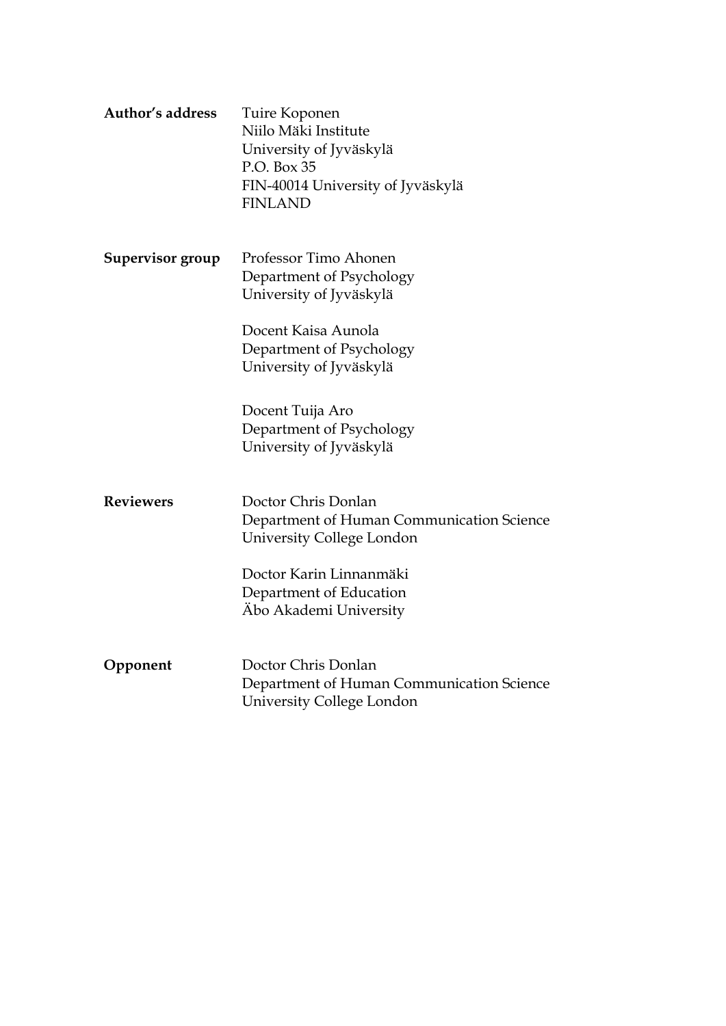| <b>Author's address</b> | Tuire Koponen<br>Niilo Mäki Institute<br>University of Jyväskylä<br>P.O. Box 35<br>FIN-40014 University of Jyväskylä<br><b>FINLAND</b> |  |  |  |  |
|-------------------------|----------------------------------------------------------------------------------------------------------------------------------------|--|--|--|--|
| Supervisor group        | Professor Timo Ahonen<br>Department of Psychology<br>University of Jyväskylä                                                           |  |  |  |  |
|                         | Docent Kaisa Aunola<br>Department of Psychology<br>University of Jyväskylä                                                             |  |  |  |  |
|                         | Docent Tuija Aro<br>Department of Psychology<br>University of Jyväskylä                                                                |  |  |  |  |
| <b>Reviewers</b>        | Doctor Chris Donlan<br>Department of Human Communication Science<br>University College London                                          |  |  |  |  |
|                         | Doctor Karin Linnanmäki<br>Department of Education<br>Abo Akademi University                                                           |  |  |  |  |
| Opponent                | Doctor Chris Donlan<br>Department of Human Communication Science<br>University College London                                          |  |  |  |  |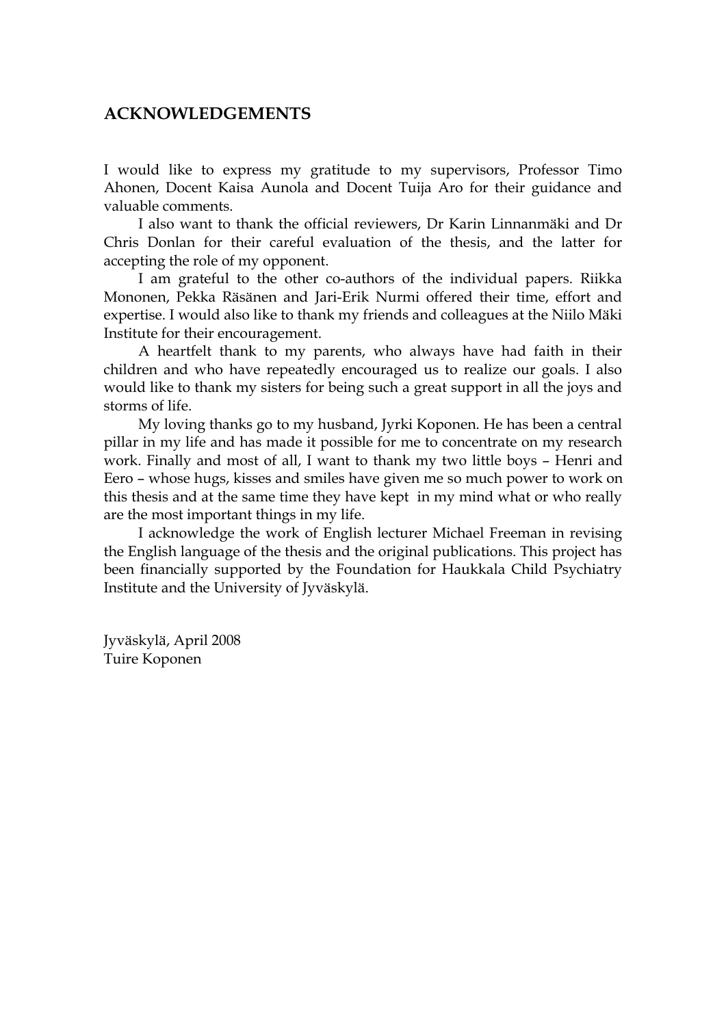## **ACKNOWLEDGEMENTS**

I would like to express my gratitude to my supervisors, Professor Timo Ahonen, Docent Kaisa Aunola and Docent Tuija Aro for their guidance and valuable comments.

I also want to thank the official reviewers, Dr Karin Linnanmäki and Dr Chris Donlan for their careful evaluation of the thesis, and the latter for accepting the role of my opponent.

I am grateful to the other co-authors of the individual papers. Riikka Mononen, Pekka Räsänen and Jari-Erik Nurmi offered their time, effort and expertise. I would also like to thank my friends and colleagues at the Niilo Mäki Institute for their encouragement.

A heartfelt thank to my parents, who always have had faith in their children and who have repeatedly encouraged us to realize our goals. I also would like to thank my sisters for being such a great support in all the joys and storms of life.

My loving thanks go to my husband, Jyrki Koponen. He has been a central pillar in my life and has made it possible for me to concentrate on my research work. Finally and most of all, I want to thank my two little boys – Henri and Eero – whose hugs, kisses and smiles have given me so much power to work on this thesis and at the same time they have kept in my mind what or who really are the most important things in my life.

I acknowledge the work of English lecturer Michael Freeman in revising the English language of the thesis and the original publications. This project has been financially supported by the Foundation for Haukkala Child Psychiatry Institute and the University of Jyväskylä.

Jyväskylä, April 2008 Tuire Koponen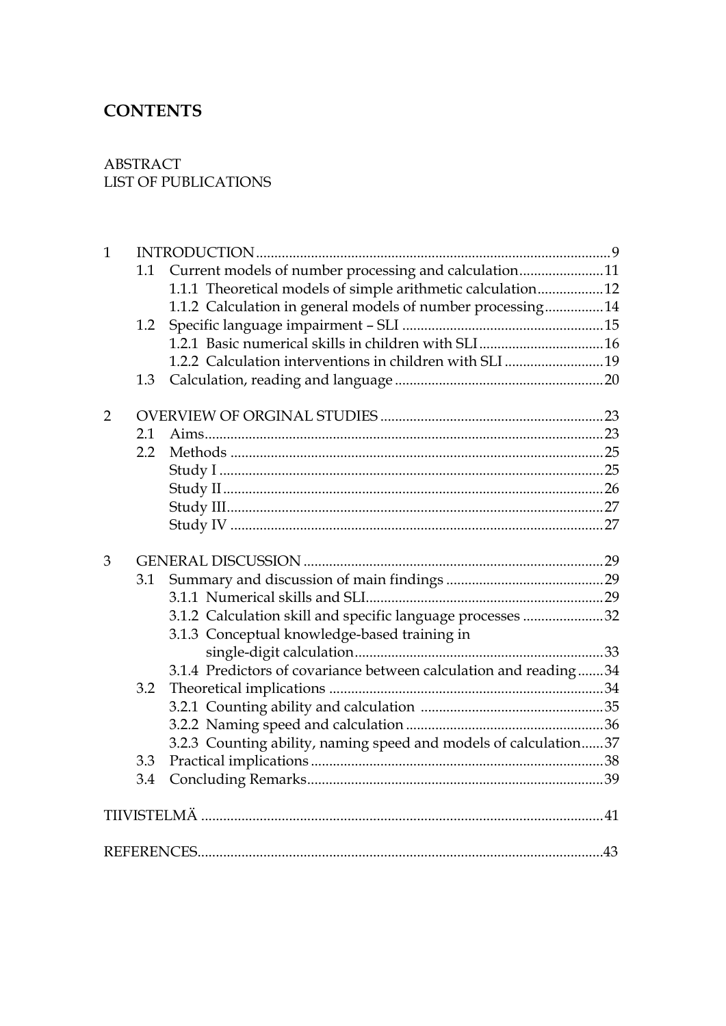## **CONTENTS**

## ABSTRACT LIST OF PUBLICATIONS

| $\mathbf{1}$   |     |                                                                  |  |  |  |  |  |  |
|----------------|-----|------------------------------------------------------------------|--|--|--|--|--|--|
|                | 1.1 | Current models of number processing and calculation11            |  |  |  |  |  |  |
|                |     | 1.1.1 Theoretical models of simple arithmetic calculation12      |  |  |  |  |  |  |
|                |     | 1.1.2 Calculation in general models of number processing14       |  |  |  |  |  |  |
|                | 1.2 |                                                                  |  |  |  |  |  |  |
|                |     |                                                                  |  |  |  |  |  |  |
|                |     | 1.2.2 Calculation interventions in children with SLI 19          |  |  |  |  |  |  |
|                | 1.3 |                                                                  |  |  |  |  |  |  |
| $\overline{2}$ |     |                                                                  |  |  |  |  |  |  |
|                | 2.1 |                                                                  |  |  |  |  |  |  |
|                | 2.2 |                                                                  |  |  |  |  |  |  |
|                |     |                                                                  |  |  |  |  |  |  |
|                |     |                                                                  |  |  |  |  |  |  |
|                |     |                                                                  |  |  |  |  |  |  |
|                |     |                                                                  |  |  |  |  |  |  |
| 3              |     |                                                                  |  |  |  |  |  |  |
|                | 3.1 |                                                                  |  |  |  |  |  |  |
|                |     |                                                                  |  |  |  |  |  |  |
|                |     | 3.1.2 Calculation skill and specific language processes 32       |  |  |  |  |  |  |
|                |     | 3.1.3 Conceptual knowledge-based training in                     |  |  |  |  |  |  |
|                |     |                                                                  |  |  |  |  |  |  |
|                |     | 3.1.4 Predictors of covariance between calculation and reading34 |  |  |  |  |  |  |
|                | 3.2 |                                                                  |  |  |  |  |  |  |
|                |     |                                                                  |  |  |  |  |  |  |
|                |     |                                                                  |  |  |  |  |  |  |
|                |     | 3.2.3 Counting ability, naming speed and models of calculation37 |  |  |  |  |  |  |
|                | 3.3 |                                                                  |  |  |  |  |  |  |
|                | 3.4 |                                                                  |  |  |  |  |  |  |
|                |     |                                                                  |  |  |  |  |  |  |
|                |     |                                                                  |  |  |  |  |  |  |
|                |     |                                                                  |  |  |  |  |  |  |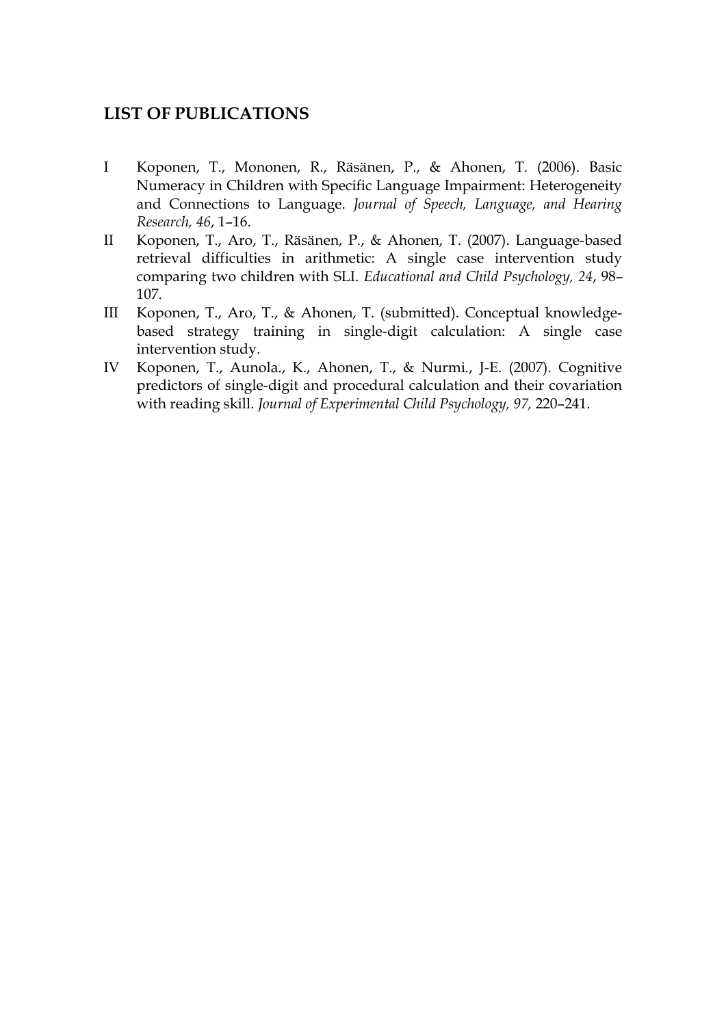## **LIST OF PUBLICATIONS**

- I Koponen, T., Mononen, R., Räsänen, P., & Ahonen, T. (2006). Basic Numeracy in Children with Specific Language Impairment: Heterogeneity and Connections to Language. *Journal of Speech, Language, and Hearing Research, 46*, 1–16.
- II Koponen, T., Aro, T., Räsänen, P., & Ahonen, T. (2007). Language-based retrieval difficulties in arithmetic: A single case intervention study comparing two children with SLI. *Educational and Child Psychology, 24*, 98– 107.
- III Koponen, T., Aro, T., & Ahonen, T. (submitted). Conceptual knowledgebased strategy training in single-digit calculation: A single case intervention study.
- IV Koponen, T., Aunola., K., Ahonen, T., & Nurmi., J-E. (2007). Cognitive predictors of single-digit and procedural calculation and their covariation with reading skill. *Journal of Experimental Child Psychology, 97,* 220–241.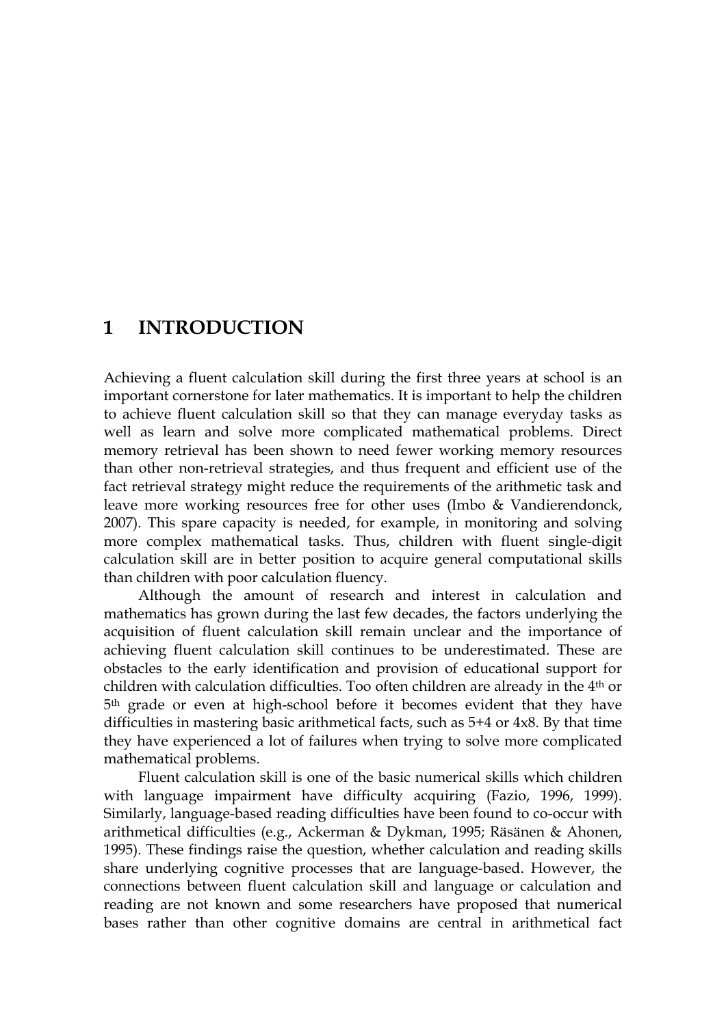## **1 INTRODUCTION**

Achieving a fluent calculation skill during the first three years at school is an important cornerstone for later mathematics. It is important to help the children to achieve fluent calculation skill so that they can manage everyday tasks as well as learn and solve more complicated mathematical problems. Direct memory retrieval has been shown to need fewer working memory resources than other non-retrieval strategies, and thus frequent and efficient use of the fact retrieval strategy might reduce the requirements of the arithmetic task and leave more working resources free for other uses (Imbo & Vandierendonck, 2007). This spare capacity is needed, for example, in monitoring and solving more complex mathematical tasks. Thus, children with fluent single-digit calculation skill are in better position to acquire general computational skills than children with poor calculation fluency.

Although the amount of research and interest in calculation and mathematics has grown during the last few decades, the factors underlying the acquisition of fluent calculation skill remain unclear and the importance of achieving fluent calculation skill continues to be underestimated. These are obstacles to the early identification and provision of educational support for children with calculation difficulties. Too often children are already in the 4th or 5th grade or even at high-school before it becomes evident that they have difficulties in mastering basic arithmetical facts, such as 5+4 or 4x8. By that time they have experienced a lot of failures when trying to solve more complicated mathematical problems.

Fluent calculation skill is one of the basic numerical skills which children with language impairment have difficulty acquiring (Fazio, 1996, 1999). Similarly, language-based reading difficulties have been found to co-occur with arithmetical difficulties (e.g., Ackerman & Dykman, 1995; Räsänen & Ahonen, 1995). These findings raise the question, whether calculation and reading skills share underlying cognitive processes that are language-based. However, the connections between fluent calculation skill and language or calculation and reading are not known and some researchers have proposed that numerical bases rather than other cognitive domains are central in arithmetical fact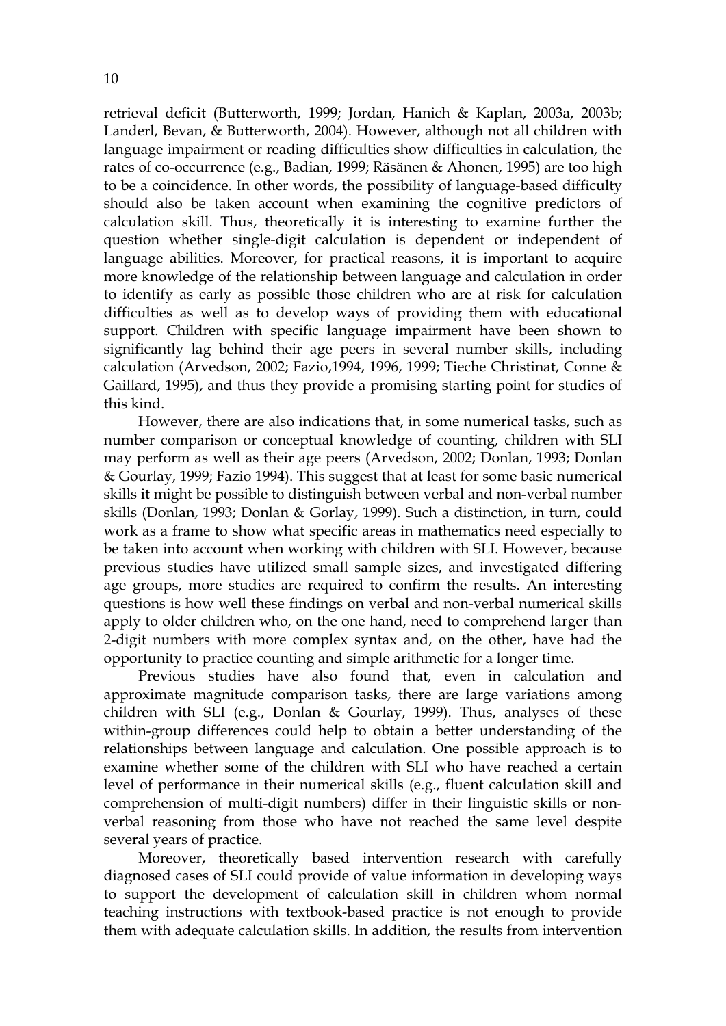retrieval deficit (Butterworth, 1999; Jordan, Hanich & Kaplan, 2003a, 2003b; Landerl, Bevan, & Butterworth, 2004). However, although not all children with language impairment or reading difficulties show difficulties in calculation, the rates of co-occurrence (e.g., Badian, 1999; Räsänen & Ahonen, 1995) are too high to be a coincidence. In other words, the possibility of language-based difficulty should also be taken account when examining the cognitive predictors of calculation skill. Thus, theoretically it is interesting to examine further the question whether single-digit calculation is dependent or independent of language abilities. Moreover, for practical reasons, it is important to acquire more knowledge of the relationship between language and calculation in order to identify as early as possible those children who are at risk for calculation difficulties as well as to develop ways of providing them with educational support. Children with specific language impairment have been shown to significantly lag behind their age peers in several number skills, including calculation (Arvedson, 2002; Fazio,1994, 1996, 1999; Tieche Christinat, Conne & Gaillard, 1995), and thus they provide a promising starting point for studies of this kind.

However, there are also indications that, in some numerical tasks, such as number comparison or conceptual knowledge of counting, children with SLI may perform as well as their age peers (Arvedson, 2002; Donlan, 1993; Donlan & Gourlay, 1999; Fazio 1994). This suggest that at least for some basic numerical skills it might be possible to distinguish between verbal and non-verbal number skills (Donlan, 1993; Donlan & Gorlay, 1999). Such a distinction, in turn, could work as a frame to show what specific areas in mathematics need especially to be taken into account when working with children with SLI. However, because previous studies have utilized small sample sizes, and investigated differing age groups, more studies are required to confirm the results. An interesting questions is how well these findings on verbal and non-verbal numerical skills apply to older children who, on the one hand, need to comprehend larger than 2-digit numbers with more complex syntax and, on the other, have had the opportunity to practice counting and simple arithmetic for a longer time.

Previous studies have also found that, even in calculation and approximate magnitude comparison tasks, there are large variations among children with SLI (e.g., Donlan & Gourlay, 1999). Thus, analyses of these within-group differences could help to obtain a better understanding of the relationships between language and calculation. One possible approach is to examine whether some of the children with SLI who have reached a certain level of performance in their numerical skills (e.g., fluent calculation skill and comprehension of multi-digit numbers) differ in their linguistic skills or nonverbal reasoning from those who have not reached the same level despite several years of practice.

Moreover, theoretically based intervention research with carefully diagnosed cases of SLI could provide of value information in developing ways to support the development of calculation skill in children whom normal teaching instructions with textbook-based practice is not enough to provide them with adequate calculation skills. In addition, the results from intervention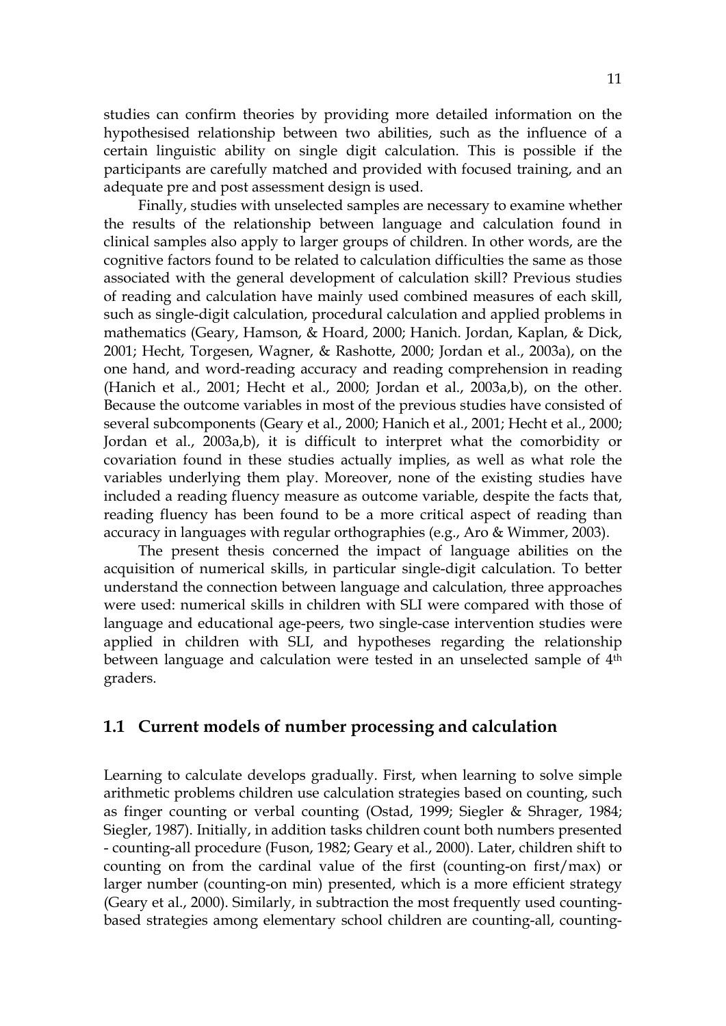studies can confirm theories by providing more detailed information on the hypothesised relationship between two abilities, such as the influence of a certain linguistic ability on single digit calculation. This is possible if the participants are carefully matched and provided with focused training, and an adequate pre and post assessment design is used.

Finally, studies with unselected samples are necessary to examine whether the results of the relationship between language and calculation found in clinical samples also apply to larger groups of children. In other words, are the cognitive factors found to be related to calculation difficulties the same as those associated with the general development of calculation skill? Previous studies of reading and calculation have mainly used combined measures of each skill, such as single-digit calculation, procedural calculation and applied problems in mathematics (Geary, Hamson, & Hoard, 2000; Hanich. Jordan, Kaplan, & Dick, 2001; Hecht, Torgesen, Wagner, & Rashotte, 2000; Jordan et al., 2003a), on the one hand, and word-reading accuracy and reading comprehension in reading (Hanich et al., 2001; Hecht et al., 2000; Jordan et al., 2003a,b), on the other. Because the outcome variables in most of the previous studies have consisted of several subcomponents (Geary et al., 2000; Hanich et al., 2001; Hecht et al., 2000; Jordan et al., 2003a,b), it is difficult to interpret what the comorbidity or covariation found in these studies actually implies, as well as what role the variables underlying them play. Moreover, none of the existing studies have included a reading fluency measure as outcome variable, despite the facts that, reading fluency has been found to be a more critical aspect of reading than accuracy in languages with regular orthographies (e.g., Aro & Wimmer, 2003).

The present thesis concerned the impact of language abilities on the acquisition of numerical skills, in particular single-digit calculation. To better understand the connection between language and calculation, three approaches were used: numerical skills in children with SLI were compared with those of language and educational age-peers, two single-case intervention studies were applied in children with SLI, and hypotheses regarding the relationship between language and calculation were tested in an unselected sample of 4<sup>th</sup> graders.

## **1.1 Current models of number processing and calculation**

Learning to calculate develops gradually. First, when learning to solve simple arithmetic problems children use calculation strategies based on counting, such as finger counting or verbal counting (Ostad, 1999; Siegler & Shrager, 1984; Siegler, 1987). Initially, in addition tasks children count both numbers presented - counting-all procedure (Fuson, 1982; Geary et al., 2000). Later, children shift to counting on from the cardinal value of the first (counting-on first/max) or larger number (counting-on min) presented, which is a more efficient strategy (Geary et al., 2000). Similarly, in subtraction the most frequently used countingbased strategies among elementary school children are counting-all, counting-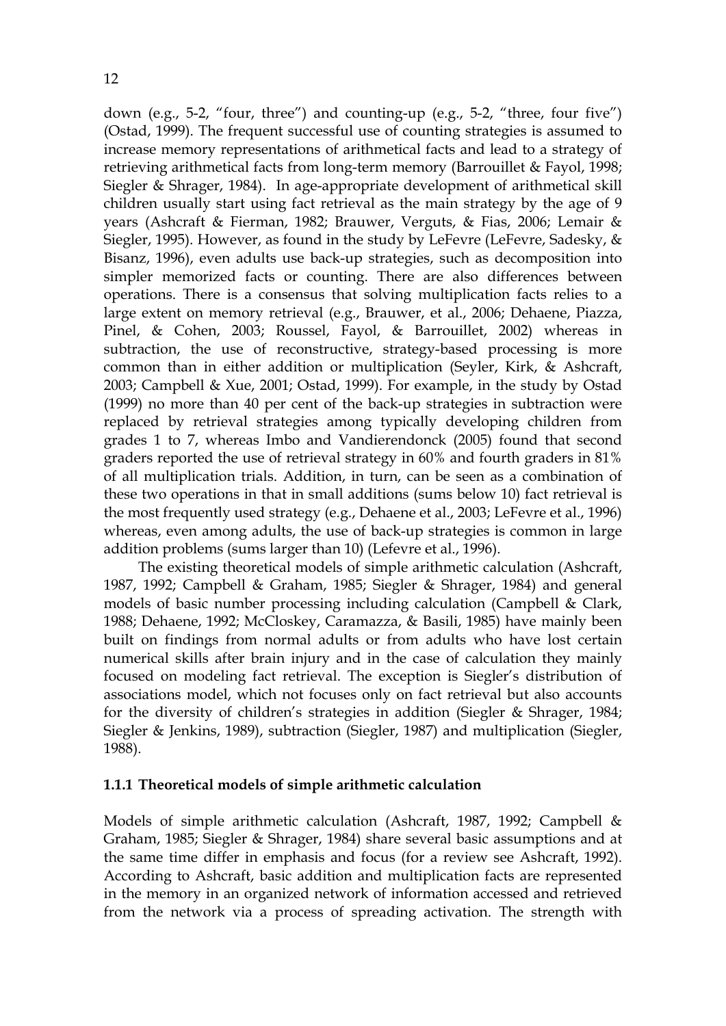down (e.g., 5-2, "four, three") and counting-up (e.g., 5-2, "three, four five") (Ostad, 1999). The frequent successful use of counting strategies is assumed to increase memory representations of arithmetical facts and lead to a strategy of retrieving arithmetical facts from long-term memory (Barrouillet & Fayol, 1998; Siegler & Shrager, 1984). In age-appropriate development of arithmetical skill children usually start using fact retrieval as the main strategy by the age of 9 years (Ashcraft & Fierman, 1982; Brauwer, Verguts, & Fias, 2006; Lemair & Siegler, 1995). However, as found in the study by LeFevre (LeFevre, Sadesky, & Bisanz, 1996), even adults use back-up strategies, such as decomposition into simpler memorized facts or counting. There are also differences between operations. There is a consensus that solving multiplication facts relies to a large extent on memory retrieval (e.g., Brauwer, et al., 2006; Dehaene, Piazza, Pinel, & Cohen, 2003; Roussel, Fayol, & Barrouillet, 2002) whereas in subtraction, the use of reconstructive, strategy-based processing is more common than in either addition or multiplication (Seyler, Kirk, & Ashcraft, 2003; Campbell & Xue, 2001; Ostad, 1999). For example, in the study by Ostad (1999) no more than 40 per cent of the back-up strategies in subtraction were replaced by retrieval strategies among typically developing children from grades 1 to 7, whereas Imbo and Vandierendonck (2005) found that second graders reported the use of retrieval strategy in 60% and fourth graders in 81% of all multiplication trials. Addition, in turn, can be seen as a combination of these two operations in that in small additions (sums below 10) fact retrieval is the most frequently used strategy (e.g., Dehaene et al., 2003; LeFevre et al., 1996) whereas, even among adults, the use of back-up strategies is common in large addition problems (sums larger than 10) (Lefevre et al., 1996).

The existing theoretical models of simple arithmetic calculation (Ashcraft, 1987, 1992; Campbell & Graham, 1985; Siegler & Shrager, 1984) and general models of basic number processing including calculation (Campbell & Clark, 1988; Dehaene, 1992; McCloskey, Caramazza, & Basili, 1985) have mainly been built on findings from normal adults or from adults who have lost certain numerical skills after brain injury and in the case of calculation they mainly focused on modeling fact retrieval. The exception is Siegler's distribution of associations model, which not focuses only on fact retrieval but also accounts for the diversity of children's strategies in addition (Siegler & Shrager, 1984; Siegler & Jenkins, 1989), subtraction (Siegler, 1987) and multiplication (Siegler, 1988).

#### **1.1.1 Theoretical models of simple arithmetic calculation**

Models of simple arithmetic calculation (Ashcraft, 1987, 1992; Campbell & Graham, 1985; Siegler & Shrager, 1984) share several basic assumptions and at the same time differ in emphasis and focus (for a review see Ashcraft, 1992). According to Ashcraft, basic addition and multiplication facts are represented in the memory in an organized network of information accessed and retrieved from the network via a process of spreading activation. The strength with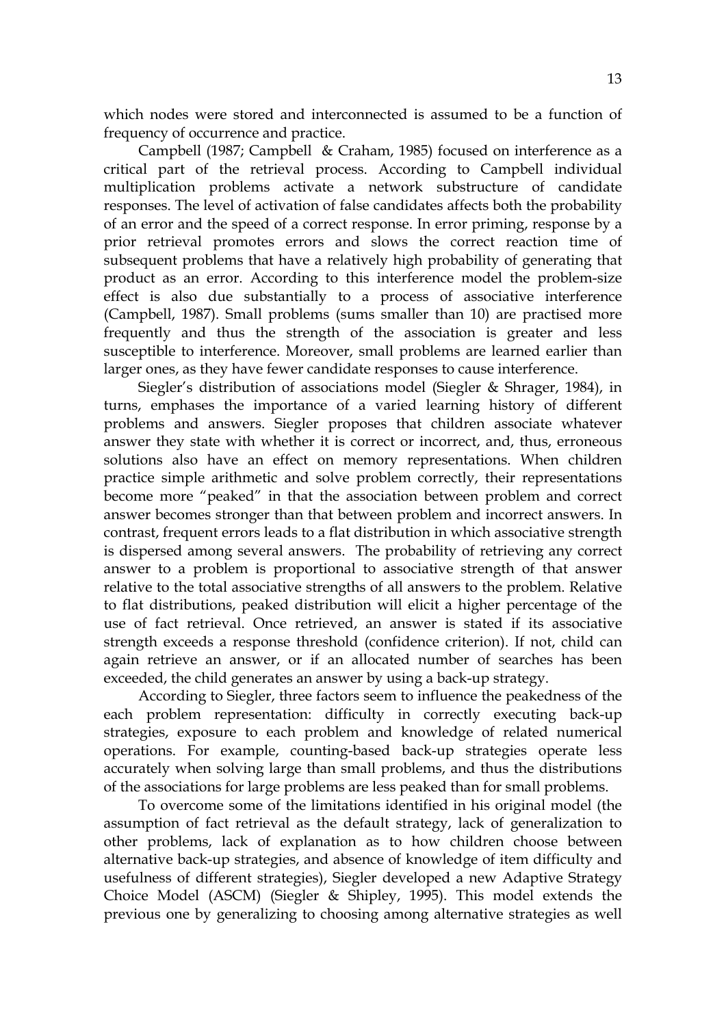which nodes were stored and interconnected is assumed to be a function of frequency of occurrence and practice.

Campbell (1987; Campbell & Craham, 1985) focused on interference as a critical part of the retrieval process. According to Campbell individual multiplication problems activate a network substructure of candidate responses. The level of activation of false candidates affects both the probability of an error and the speed of a correct response. In error priming, response by a prior retrieval promotes errors and slows the correct reaction time of subsequent problems that have a relatively high probability of generating that product as an error. According to this interference model the problem-size effect is also due substantially to a process of associative interference (Campbell, 1987). Small problems (sums smaller than 10) are practised more frequently and thus the strength of the association is greater and less susceptible to interference. Moreover, small problems are learned earlier than larger ones, as they have fewer candidate responses to cause interference.

Siegler's distribution of associations model (Siegler & Shrager, 1984), in turns, emphases the importance of a varied learning history of different problems and answers. Siegler proposes that children associate whatever answer they state with whether it is correct or incorrect, and, thus, erroneous solutions also have an effect on memory representations. When children practice simple arithmetic and solve problem correctly, their representations become more "peaked" in that the association between problem and correct answer becomes stronger than that between problem and incorrect answers. In contrast, frequent errors leads to a flat distribution in which associative strength is dispersed among several answers. The probability of retrieving any correct answer to a problem is proportional to associative strength of that answer relative to the total associative strengths of all answers to the problem. Relative to flat distributions, peaked distribution will elicit a higher percentage of the use of fact retrieval. Once retrieved, an answer is stated if its associative strength exceeds a response threshold (confidence criterion). If not, child can again retrieve an answer, or if an allocated number of searches has been exceeded, the child generates an answer by using a back-up strategy.

According to Siegler, three factors seem to influence the peakedness of the each problem representation: difficulty in correctly executing back-up strategies, exposure to each problem and knowledge of related numerical operations. For example, counting-based back-up strategies operate less accurately when solving large than small problems, and thus the distributions of the associations for large problems are less peaked than for small problems.

To overcome some of the limitations identified in his original model (the assumption of fact retrieval as the default strategy, lack of generalization to other problems, lack of explanation as to how children choose between alternative back-up strategies, and absence of knowledge of item difficulty and usefulness of different strategies), Siegler developed a new Adaptive Strategy Choice Model (ASCM) (Siegler & Shipley, 1995). This model extends the previous one by generalizing to choosing among alternative strategies as well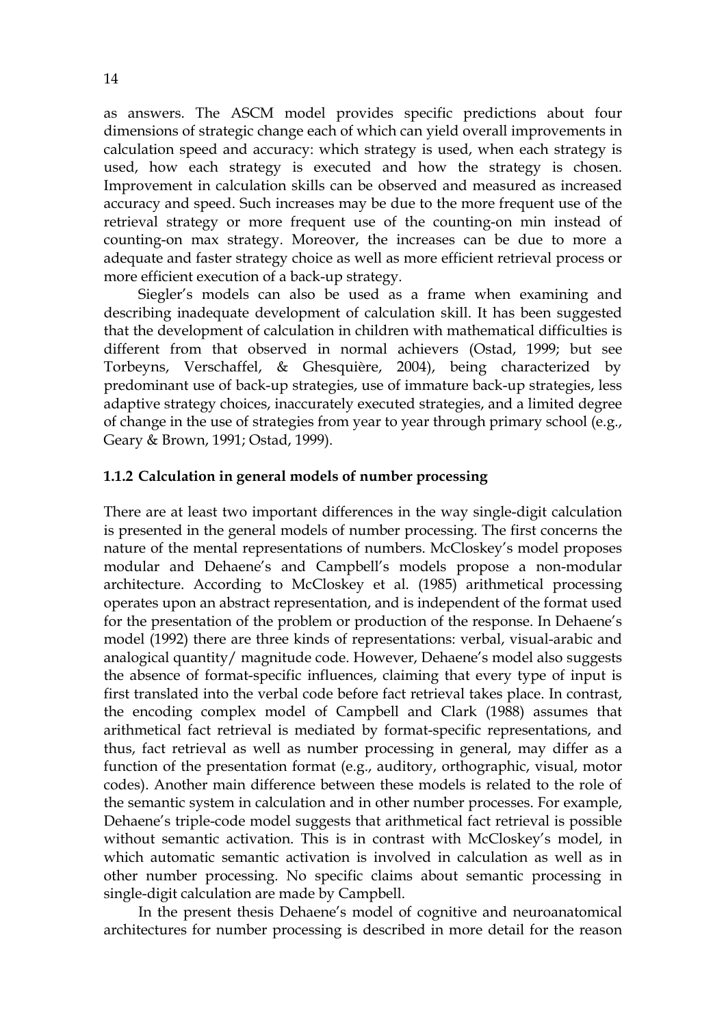as answers. The ASCM model provides specific predictions about four dimensions of strategic change each of which can yield overall improvements in calculation speed and accuracy: which strategy is used, when each strategy is used, how each strategy is executed and how the strategy is chosen. Improvement in calculation skills can be observed and measured as increased accuracy and speed. Such increases may be due to the more frequent use of the retrieval strategy or more frequent use of the counting-on min instead of counting-on max strategy. Moreover, the increases can be due to more a adequate and faster strategy choice as well as more efficient retrieval process or more efficient execution of a back-up strategy.

Siegler's models can also be used as a frame when examining and describing inadequate development of calculation skill. It has been suggested that the development of calculation in children with mathematical difficulties is different from that observed in normal achievers (Ostad, 1999; but see Torbeyns, Verschaffel, & Ghesquière, 2004), being characterized by predominant use of back-up strategies, use of immature back-up strategies, less adaptive strategy choices, inaccurately executed strategies, and a limited degree of change in the use of strategies from year to year through primary school (e.g., Geary & Brown, 1991; Ostad, 1999).

#### **1.1.2 Calculation in general models of number processing**

There are at least two important differences in the way single-digit calculation is presented in the general models of number processing. The first concerns the nature of the mental representations of numbers. McCloskey's model proposes modular and Dehaene's and Campbell's models propose a non-modular architecture. According to McCloskey et al. (1985) arithmetical processing operates upon an abstract representation, and is independent of the format used for the presentation of the problem or production of the response. In Dehaene's model (1992) there are three kinds of representations: verbal, visual-arabic and analogical quantity/ magnitude code. However, Dehaene's model also suggests the absence of format-specific influences, claiming that every type of input is first translated into the verbal code before fact retrieval takes place. In contrast, the encoding complex model of Campbell and Clark (1988) assumes that arithmetical fact retrieval is mediated by format-specific representations, and thus, fact retrieval as well as number processing in general, may differ as a function of the presentation format (e.g., auditory, orthographic, visual, motor codes). Another main difference between these models is related to the role of the semantic system in calculation and in other number processes. For example, Dehaene's triple-code model suggests that arithmetical fact retrieval is possible without semantic activation. This is in contrast with McCloskey's model, in which automatic semantic activation is involved in calculation as well as in other number processing. No specific claims about semantic processing in single-digit calculation are made by Campbell.

In the present thesis Dehaene's model of cognitive and neuroanatomical architectures for number processing is described in more detail for the reason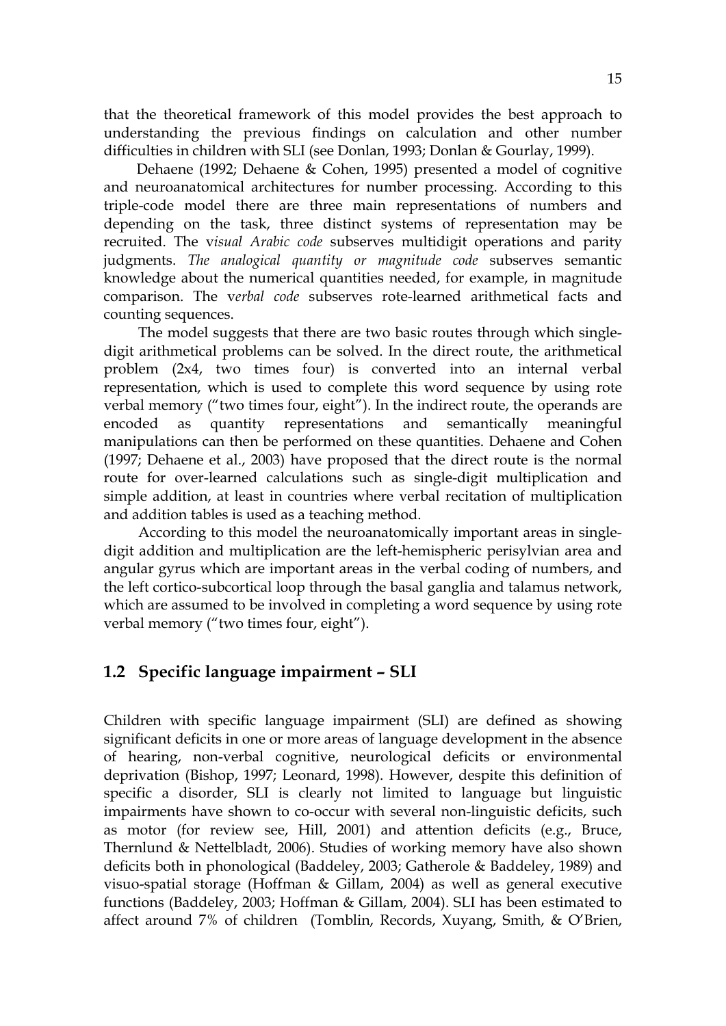that the theoretical framework of this model provides the best approach to understanding the previous findings on calculation and other number difficulties in children with SLI (see Donlan, 1993; Donlan & Gourlay, 1999).

 Dehaene (1992; Dehaene & Cohen, 1995) presented a model of cognitive and neuroanatomical architectures for number processing. According to this triple-code model there are three main representations of numbers and depending on the task, three distinct systems of representation may be recruited. The v*isual Arabic code* subserves multidigit operations and parity judgments. *The analogical quantity or magnitude code* subserves semantic knowledge about the numerical quantities needed, for example, in magnitude comparison. The v*erbal code* subserves rote-learned arithmetical facts and counting sequences.

 The model suggests that there are two basic routes through which singledigit arithmetical problems can be solved. In the direct route, the arithmetical problem (2x4, two times four) is converted into an internal verbal representation, which is used to complete this word sequence by using rote verbal memory ("two times four, eight"). In the indirect route, the operands are encoded as quantity representations and semantically meaningful manipulations can then be performed on these quantities. Dehaene and Cohen (1997; Dehaene et al., 2003) have proposed that the direct route is the normal route for over-learned calculations such as single-digit multiplication and simple addition, at least in countries where verbal recitation of multiplication and addition tables is used as a teaching method.

According to this model the neuroanatomically important areas in singledigit addition and multiplication are the left-hemispheric perisylvian area and angular gyrus which are important areas in the verbal coding of numbers, and the left cortico-subcortical loop through the basal ganglia and talamus network, which are assumed to be involved in completing a word sequence by using rote verbal memory ("two times four, eight").

## **1.2 Specific language impairment – SLI**

Children with specific language impairment (SLI) are defined as showing significant deficits in one or more areas of language development in the absence of hearing, non-verbal cognitive, neurological deficits or environmental deprivation (Bishop, 1997; Leonard, 1998). However, despite this definition of specific a disorder, SLI is clearly not limited to language but linguistic impairments have shown to co-occur with several non-linguistic deficits, such as motor (for review see, Hill, 2001) and attention deficits (e.g., Bruce, Thernlund & Nettelbladt, 2006). Studies of working memory have also shown deficits both in phonological (Baddeley, 2003; Gatherole & Baddeley, 1989) and visuo-spatial storage (Hoffman & Gillam, 2004) as well as general executive functions (Baddeley, 2003; Hoffman & Gillam, 2004). SLI has been estimated to affect around 7% of children (Tomblin, Records, Xuyang, Smith, & O'Brien,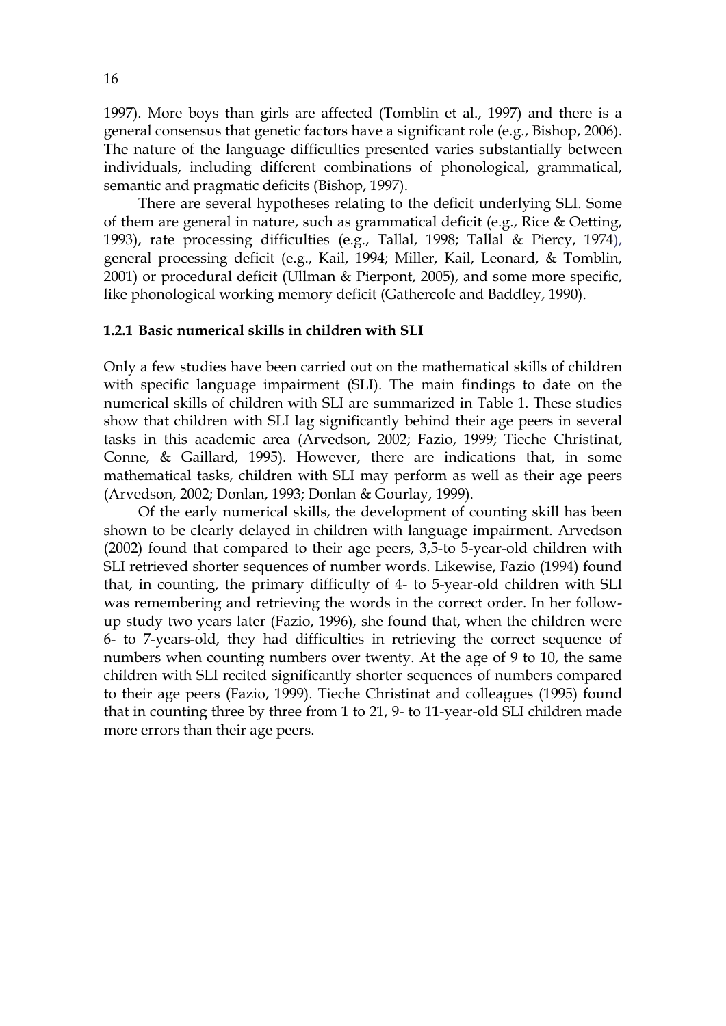1997). More boys than girls are affected (Tomblin et al., 1997) and there is a general consensus that genetic factors have a significant role (e.g., Bishop, 2006). The nature of the language difficulties presented varies substantially between individuals, including different combinations of phonological, grammatical, semantic and pragmatic deficits (Bishop, 1997).

There are several hypotheses relating to the deficit underlying SLI. Some of them are general in nature, such as grammatical deficit (e.g., Rice & Oetting, 1993), rate processing difficulties (e.g., Tallal, 1998; Tallal & Piercy, 1974), general processing deficit (e.g., Kail, 1994; Miller, Kail, Leonard, & Tomblin, 2001) or procedural deficit (Ullman & Pierpont, 2005), and some more specific, like phonological working memory deficit (Gathercole and Baddley, 1990).

#### **1.2.1 Basic numerical skills in children with SLI**

Only a few studies have been carried out on the mathematical skills of children with specific language impairment (SLI). The main findings to date on the numerical skills of children with SLI are summarized in Table 1. These studies show that children with SLI lag significantly behind their age peers in several tasks in this academic area (Arvedson, 2002; Fazio, 1999; Tieche Christinat, Conne, & Gaillard, 1995). However, there are indications that, in some mathematical tasks, children with SLI may perform as well as their age peers (Arvedson, 2002; Donlan, 1993; Donlan & Gourlay, 1999).

Of the early numerical skills, the development of counting skill has been shown to be clearly delayed in children with language impairment. Arvedson (2002) found that compared to their age peers, 3,5-to 5-year-old children with SLI retrieved shorter sequences of number words. Likewise, Fazio (1994) found that, in counting, the primary difficulty of 4- to 5-year-old children with SLI was remembering and retrieving the words in the correct order. In her followup study two years later (Fazio, 1996), she found that, when the children were 6- to 7-years-old, they had difficulties in retrieving the correct sequence of numbers when counting numbers over twenty. At the age of 9 to 10, the same children with SLI recited significantly shorter sequences of numbers compared to their age peers (Fazio, 1999). Tieche Christinat and colleagues (1995) found that in counting three by three from 1 to 21, 9- to 11-year-old SLI children made more errors than their age peers.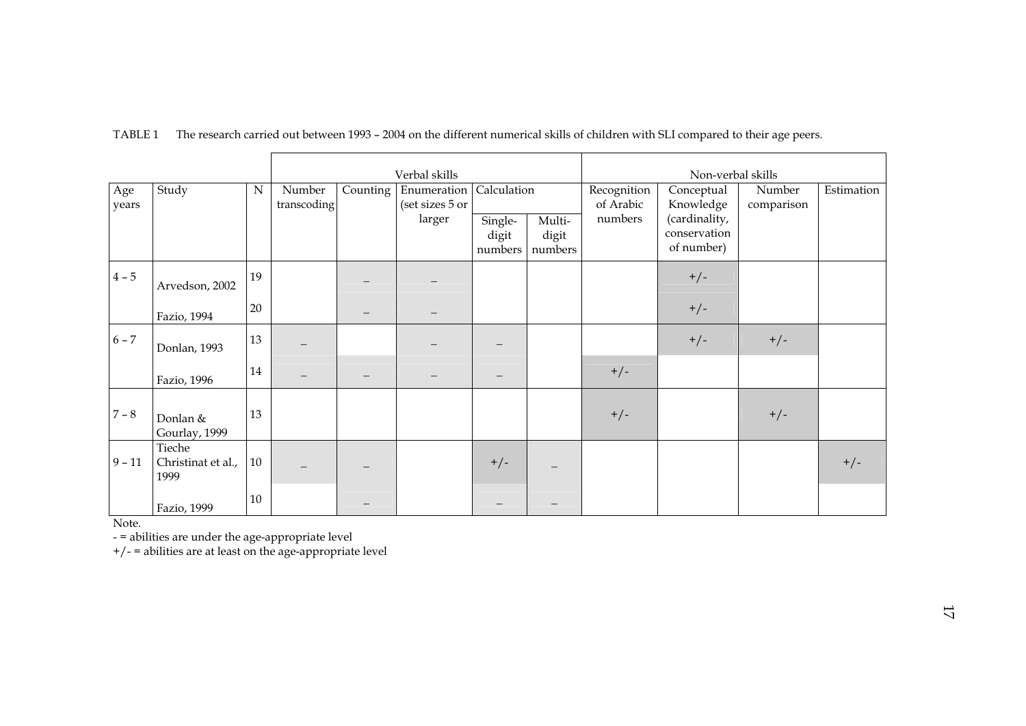|              |                                      |           | Verbal skills         |          |                                          | Non-verbal skills                          |                            |                                     |                                                                        |                      |            |
|--------------|--------------------------------------|-----------|-----------------------|----------|------------------------------------------|--------------------------------------------|----------------------------|-------------------------------------|------------------------------------------------------------------------|----------------------|------------|
| Age<br>years | Study                                | ${\bf N}$ | Number<br>transcoding | Counting | Enumeration<br>(set sizes 5 or<br>larger | Calculation<br>Single-<br>digit<br>numbers | Multi-<br>digit<br>numbers | Recognition<br>of Arabic<br>numbers | Conceptual<br>Knowledge<br>(cardinality,<br>conservation<br>of number) | Number<br>comparison | Estimation |
| $4-5\,$      | Arvedson, 2002                       | 19        |                       |          |                                          |                                            |                            |                                     | $+/-$                                                                  |                      |            |
|              | Fazio, 1994                          | 20        |                       |          |                                          |                                            |                            |                                     | $+/-$                                                                  |                      |            |
| $6 - 7$      | Donlan, 1993                         | 13        |                       |          |                                          |                                            |                            |                                     | $+/-$                                                                  | $+/-$                |            |
|              | Fazio, 1996                          | 14        |                       |          |                                          | $\qquad \qquad -$                          |                            | $+/-$                               |                                                                        |                      |            |
| $7 - 8$      | Donlan &<br>Gourlay, 1999            | 13        |                       |          |                                          |                                            |                            | $+/-$                               |                                                                        | $+/-$                |            |
| $9 - 11$     | Tieche<br>Christinat et al.,<br>1999 | $10\,$    |                       |          |                                          | $+/-$                                      |                            |                                     |                                                                        |                      | $+/-$      |
|              | Fazio, 1999                          | $10\,$    |                       |          |                                          |                                            |                            |                                     |                                                                        |                      |            |

#### TABLE 1 The research carried out between 1993 – 2004 on the different numerical skills of children with SLI compared to their age peers.

Note.

- = abilities are under the age-appropriate level

+/- = abilities are at least on the age-appropriate level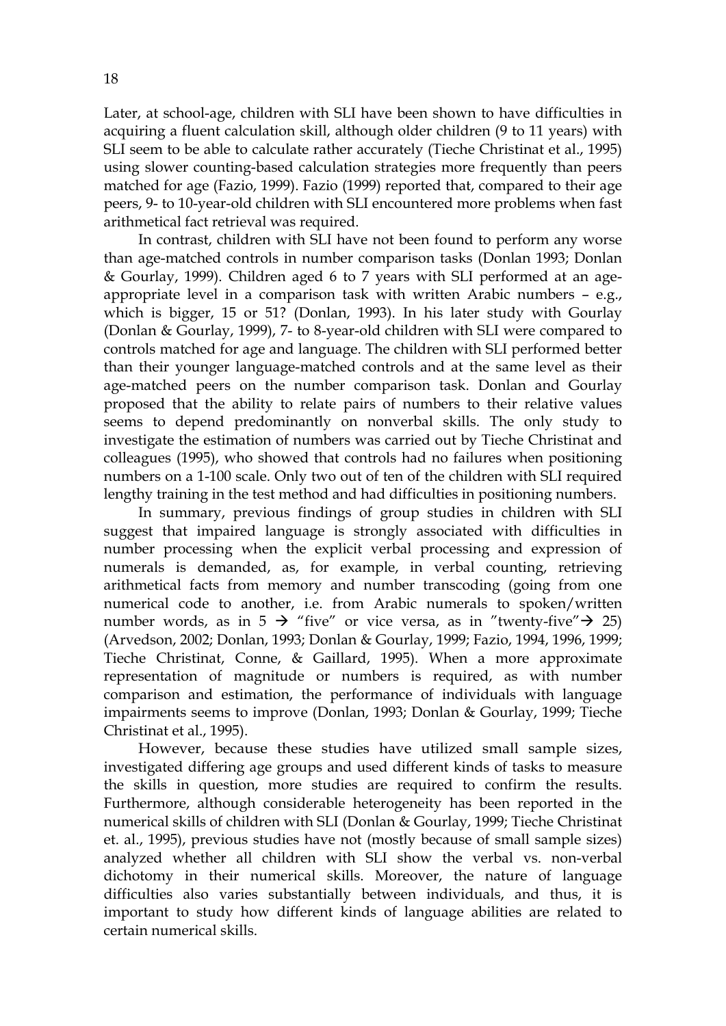Later, at school-age, children with SLI have been shown to have difficulties in acquiring a fluent calculation skill, although older children (9 to 11 years) with SLI seem to be able to calculate rather accurately (Tieche Christinat et al., 1995) using slower counting-based calculation strategies more frequently than peers matched for age (Fazio, 1999). Fazio (1999) reported that, compared to their age peers, 9- to 10-year-old children with SLI encountered more problems when fast arithmetical fact retrieval was required.

In contrast, children with SLI have not been found to perform any worse than age-matched controls in number comparison tasks (Donlan 1993; Donlan & Gourlay, 1999). Children aged 6 to 7 years with SLI performed at an ageappropriate level in a comparison task with written Arabic numbers – e.g., which is bigger, 15 or 51? (Donlan, 1993). In his later study with Gourlay (Donlan & Gourlay, 1999), 7- to 8-year-old children with SLI were compared to controls matched for age and language. The children with SLI performed better than their younger language-matched controls and at the same level as their age-matched peers on the number comparison task. Donlan and Gourlay proposed that the ability to relate pairs of numbers to their relative values seems to depend predominantly on nonverbal skills. The only study to investigate the estimation of numbers was carried out by Tieche Christinat and colleagues (1995), who showed that controls had no failures when positioning numbers on a 1-100 scale. Only two out of ten of the children with SLI required lengthy training in the test method and had difficulties in positioning numbers.

In summary, previous findings of group studies in children with SLI suggest that impaired language is strongly associated with difficulties in number processing when the explicit verbal processing and expression of numerals is demanded, as, for example, in verbal counting, retrieving arithmetical facts from memory and number transcoding (going from one numerical code to another, i.e. from Arabic numerals to spoken/written number words, as in 5  $\rightarrow$  "five" or vice versa, as in "twenty-five" $\rightarrow$  25) (Arvedson, 2002; Donlan, 1993; Donlan & Gourlay, 1999; Fazio, 1994, 1996, 1999; Tieche Christinat, Conne, & Gaillard, 1995). When a more approximate representation of magnitude or numbers is required, as with number comparison and estimation, the performance of individuals with language impairments seems to improve (Donlan, 1993; Donlan & Gourlay, 1999; Tieche Christinat et al., 1995).

However, because these studies have utilized small sample sizes, investigated differing age groups and used different kinds of tasks to measure the skills in question, more studies are required to confirm the results. Furthermore, although considerable heterogeneity has been reported in the numerical skills of children with SLI (Donlan & Gourlay, 1999; Tieche Christinat et. al., 1995), previous studies have not (mostly because of small sample sizes) analyzed whether all children with SLI show the verbal vs. non-verbal dichotomy in their numerical skills. Moreover, the nature of language difficulties also varies substantially between individuals, and thus, it is important to study how different kinds of language abilities are related to certain numerical skills.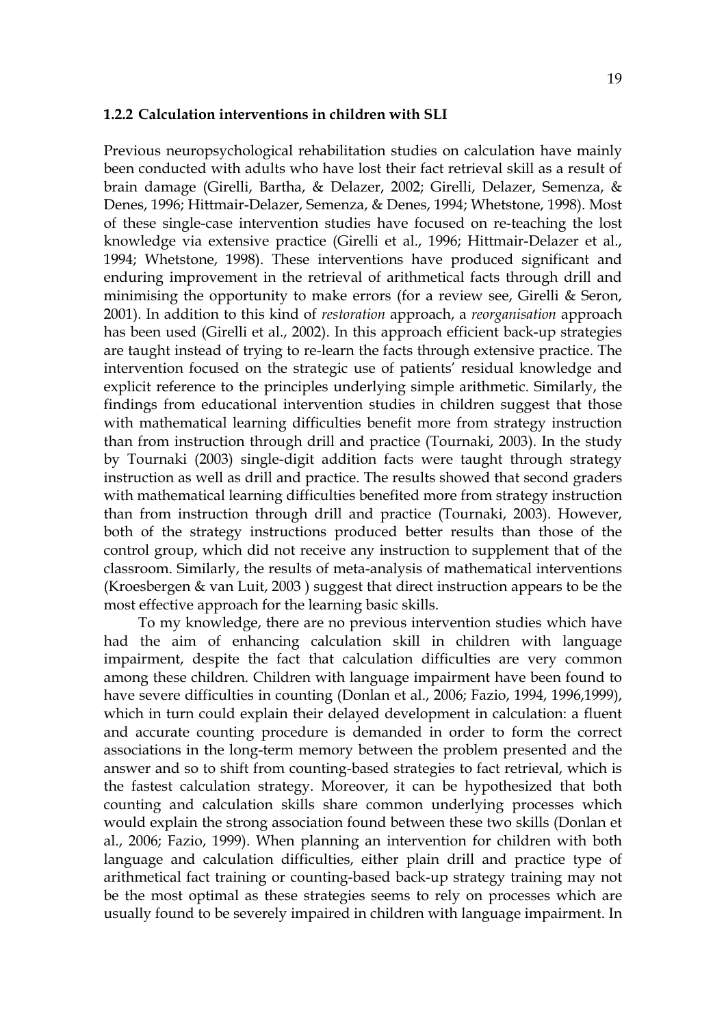#### **1.2.2 Calculation interventions in children with SLI**

Previous neuropsychological rehabilitation studies on calculation have mainly been conducted with adults who have lost their fact retrieval skill as a result of brain damage (Girelli, Bartha, & Delazer, 2002; Girelli, Delazer, Semenza, & Denes, 1996; Hittmair-Delazer, Semenza, & Denes, 1994; Whetstone, 1998). Most of these single-case intervention studies have focused on re-teaching the lost knowledge via extensive practice (Girelli et al., 1996; Hittmair-Delazer et al., 1994; Whetstone, 1998). These interventions have produced significant and enduring improvement in the retrieval of arithmetical facts through drill and minimising the opportunity to make errors (for a review see, Girelli & Seron, 2001). In addition to this kind of *restoration* approach, a *reorganisation* approach has been used (Girelli et al., 2002). In this approach efficient back-up strategies are taught instead of trying to re-learn the facts through extensive practice. The intervention focused on the strategic use of patients' residual knowledge and explicit reference to the principles underlying simple arithmetic. Similarly, the findings from educational intervention studies in children suggest that those with mathematical learning difficulties benefit more from strategy instruction than from instruction through drill and practice (Tournaki, 2003). In the study by Tournaki (2003) single-digit addition facts were taught through strategy instruction as well as drill and practice. The results showed that second graders with mathematical learning difficulties benefited more from strategy instruction than from instruction through drill and practice (Tournaki, 2003). However, both of the strategy instructions produced better results than those of the control group, which did not receive any instruction to supplement that of the classroom. Similarly, the results of meta-analysis of mathematical interventions (Kroesbergen & van Luit, 2003 ) suggest that direct instruction appears to be the most effective approach for the learning basic skills.

To my knowledge, there are no previous intervention studies which have had the aim of enhancing calculation skill in children with language impairment, despite the fact that calculation difficulties are very common among these children. Children with language impairment have been found to have severe difficulties in counting (Donlan et al., 2006; Fazio, 1994, 1996,1999), which in turn could explain their delayed development in calculation: a fluent and accurate counting procedure is demanded in order to form the correct associations in the long-term memory between the problem presented and the answer and so to shift from counting-based strategies to fact retrieval, which is the fastest calculation strategy. Moreover, it can be hypothesized that both counting and calculation skills share common underlying processes which would explain the strong association found between these two skills (Donlan et al., 2006; Fazio, 1999). When planning an intervention for children with both language and calculation difficulties, either plain drill and practice type of arithmetical fact training or counting-based back-up strategy training may not be the most optimal as these strategies seems to rely on processes which are usually found to be severely impaired in children with language impairment. In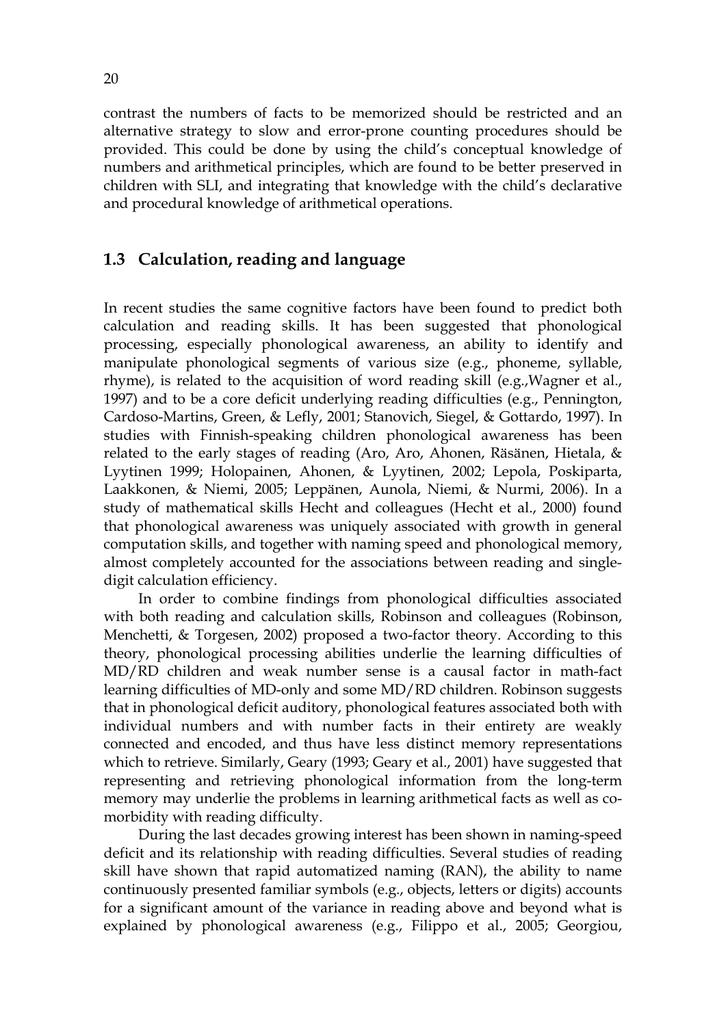contrast the numbers of facts to be memorized should be restricted and an alternative strategy to slow and error-prone counting procedures should be provided. This could be done by using the child's conceptual knowledge of numbers and arithmetical principles, which are found to be better preserved in children with SLI, and integrating that knowledge with the child's declarative and procedural knowledge of arithmetical operations.

## **1.3 Calculation, reading and language**

In recent studies the same cognitive factors have been found to predict both calculation and reading skills. It has been suggested that phonological processing, especially phonological awareness, an ability to identify and manipulate phonological segments of various size (e.g., phoneme, syllable, rhyme), is related to the acquisition of word reading skill (e.g.,Wagner et al., 1997) and to be a core deficit underlying reading difficulties (e.g., Pennington, Cardoso-Martins, Green, & Lefly, 2001; Stanovich, Siegel, & Gottardo, 1997). In studies with Finnish-speaking children phonological awareness has been related to the early stages of reading (Aro, Aro, Ahonen, Räsänen, Hietala, & Lyytinen 1999; Holopainen, Ahonen, & Lyytinen, 2002; Lepola, Poskiparta, Laakkonen, & Niemi, 2005; Leppänen, Aunola, Niemi, & Nurmi, 2006). In a study of mathematical skills Hecht and colleagues (Hecht et al., 2000) found that phonological awareness was uniquely associated with growth in general computation skills, and together with naming speed and phonological memory, almost completely accounted for the associations between reading and singledigit calculation efficiency.

In order to combine findings from phonological difficulties associated with both reading and calculation skills, Robinson and colleagues (Robinson, Menchetti, & Torgesen, 2002) proposed a two-factor theory. According to this theory, phonological processing abilities underlie the learning difficulties of MD/RD children and weak number sense is a causal factor in math-fact learning difficulties of MD-only and some MD/RD children. Robinson suggests that in phonological deficit auditory, phonological features associated both with individual numbers and with number facts in their entirety are weakly connected and encoded, and thus have less distinct memory representations which to retrieve. Similarly, Geary (1993; Geary et al., 2001) have suggested that representing and retrieving phonological information from the long-term memory may underlie the problems in learning arithmetical facts as well as comorbidity with reading difficulty.

During the last decades growing interest has been shown in naming-speed deficit and its relationship with reading difficulties. Several studies of reading skill have shown that rapid automatized naming (RAN), the ability to name continuously presented familiar symbols (e.g., objects, letters or digits) accounts for a significant amount of the variance in reading above and beyond what is explained by phonological awareness (e.g., Filippo et al., 2005; Georgiou,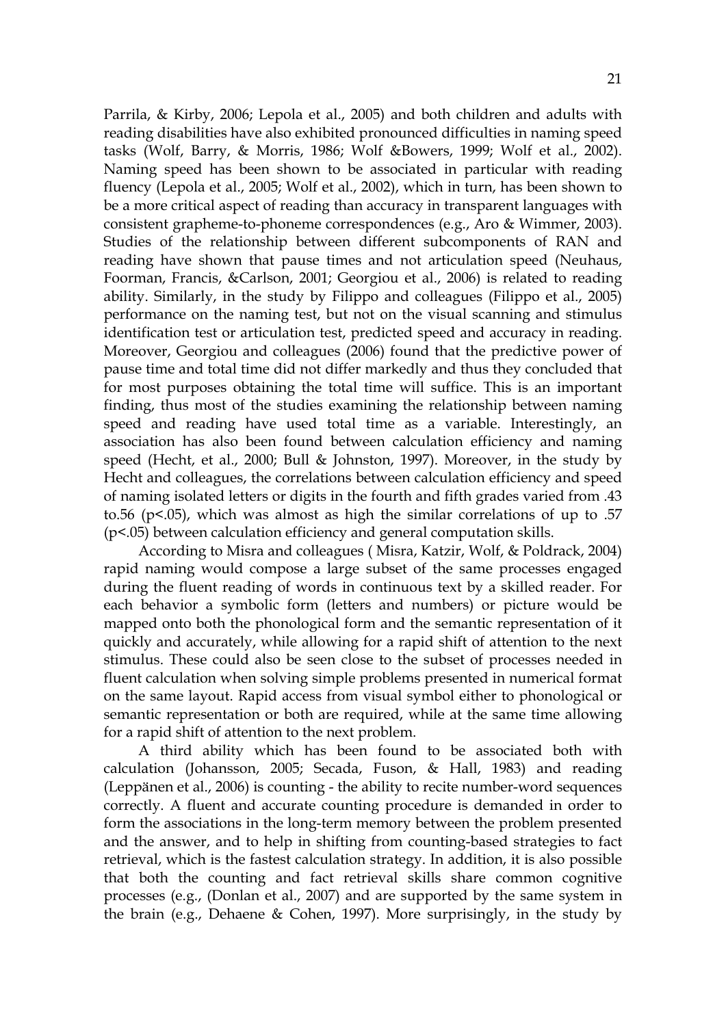Parrila, & Kirby, 2006; Lepola et al., 2005) and both children and adults with reading disabilities have also exhibited pronounced difficulties in naming speed tasks (Wolf, Barry, & Morris, 1986; Wolf &Bowers, 1999; Wolf et al., 2002). Naming speed has been shown to be associated in particular with reading fluency (Lepola et al., 2005; Wolf et al., 2002), which in turn, has been shown to be a more critical aspect of reading than accuracy in transparent languages with consistent grapheme-to-phoneme correspondences (e.g., Aro & Wimmer, 2003). Studies of the relationship between different subcomponents of RAN and reading have shown that pause times and not articulation speed (Neuhaus, Foorman, Francis, &Carlson, 2001; Georgiou et al., 2006) is related to reading ability. Similarly, in the study by Filippo and colleagues (Filippo et al., 2005) performance on the naming test, but not on the visual scanning and stimulus identification test or articulation test, predicted speed and accuracy in reading. Moreover, Georgiou and colleagues (2006) found that the predictive power of pause time and total time did not differ markedly and thus they concluded that for most purposes obtaining the total time will suffice. This is an important finding, thus most of the studies examining the relationship between naming speed and reading have used total time as a variable. Interestingly, an association has also been found between calculation efficiency and naming speed (Hecht, et al., 2000; Bull & Johnston, 1997). Moreover, in the study by Hecht and colleagues, the correlations between calculation efficiency and speed of naming isolated letters or digits in the fourth and fifth grades varied from .43 to.56 ( $p$ <.05), which was almost as high the similar correlations of up to .57 (p<.05) between calculation efficiency and general computation skills.

According to Misra and colleagues ( Misra, Katzir, Wolf, & Poldrack, 2004) rapid naming would compose a large subset of the same processes engaged during the fluent reading of words in continuous text by a skilled reader. For each behavior a symbolic form (letters and numbers) or picture would be mapped onto both the phonological form and the semantic representation of it quickly and accurately, while allowing for a rapid shift of attention to the next stimulus. These could also be seen close to the subset of processes needed in fluent calculation when solving simple problems presented in numerical format on the same layout. Rapid access from visual symbol either to phonological or semantic representation or both are required, while at the same time allowing for a rapid shift of attention to the next problem.

A third ability which has been found to be associated both with calculation (Johansson, 2005; Secada, Fuson, & Hall, 1983) and reading (Leppänen et al., 2006) is counting - the ability to recite number-word sequences correctly. A fluent and accurate counting procedure is demanded in order to form the associations in the long-term memory between the problem presented and the answer, and to help in shifting from counting-based strategies to fact retrieval, which is the fastest calculation strategy. In addition, it is also possible that both the counting and fact retrieval skills share common cognitive processes (e.g., (Donlan et al., 2007) and are supported by the same system in the brain (e.g., Dehaene & Cohen, 1997). More surprisingly, in the study by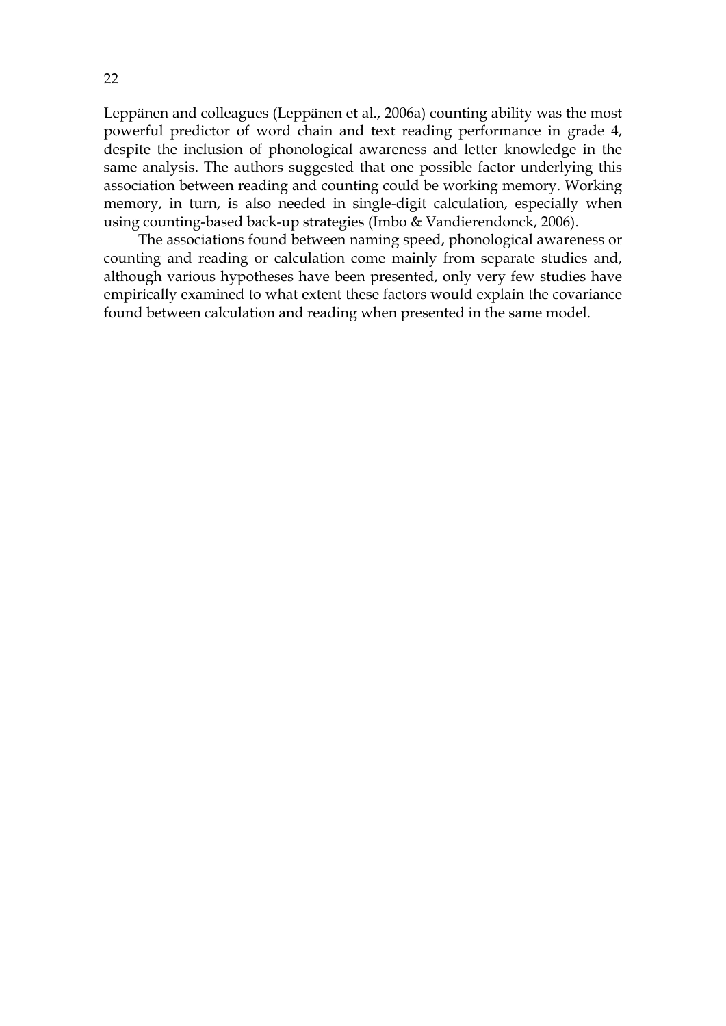Leppänen and colleagues (Leppänen et al., 2006a) counting ability was the most powerful predictor of word chain and text reading performance in grade 4, despite the inclusion of phonological awareness and letter knowledge in the same analysis. The authors suggested that one possible factor underlying this association between reading and counting could be working memory. Working memory, in turn, is also needed in single-digit calculation, especially when using counting-based back-up strategies (Imbo & Vandierendonck, 2006).

The associations found between naming speed, phonological awareness or counting and reading or calculation come mainly from separate studies and, although various hypotheses have been presented, only very few studies have empirically examined to what extent these factors would explain the covariance found between calculation and reading when presented in the same model.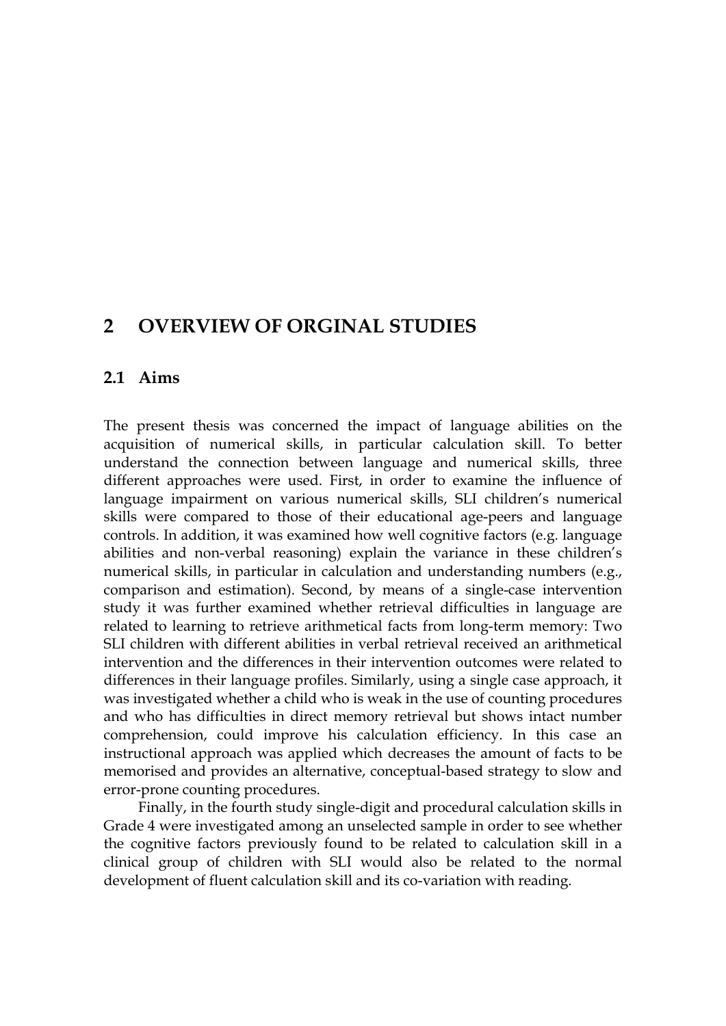## **2 OVERVIEW OF ORGINAL STUDIES**

## **2.1 Aims**

The present thesis was concerned the impact of language abilities on the acquisition of numerical skills, in particular calculation skill. To better understand the connection between language and numerical skills, three different approaches were used. First, in order to examine the influence of language impairment on various numerical skills, SLI children's numerical skills were compared to those of their educational age-peers and language controls. In addition, it was examined how well cognitive factors (e.g. language abilities and non-verbal reasoning) explain the variance in these children's numerical skills, in particular in calculation and understanding numbers (e.g., comparison and estimation). Second, by means of a single-case intervention study it was further examined whether retrieval difficulties in language are related to learning to retrieve arithmetical facts from long-term memory: Two SLI children with different abilities in verbal retrieval received an arithmetical intervention and the differences in their intervention outcomes were related to differences in their language profiles. Similarly, using a single case approach, it was investigated whether a child who is weak in the use of counting procedures and who has difficulties in direct memory retrieval but shows intact number comprehension, could improve his calculation efficiency. In this case an instructional approach was applied which decreases the amount of facts to be memorised and provides an alternative, conceptual-based strategy to slow and error-prone counting procedures.

Finally, in the fourth study single-digit and procedural calculation skills in Grade 4 were investigated among an unselected sample in order to see whether the cognitive factors previously found to be related to calculation skill in a clinical group of children with SLI would also be related to the normal development of fluent calculation skill and its co-variation with reading.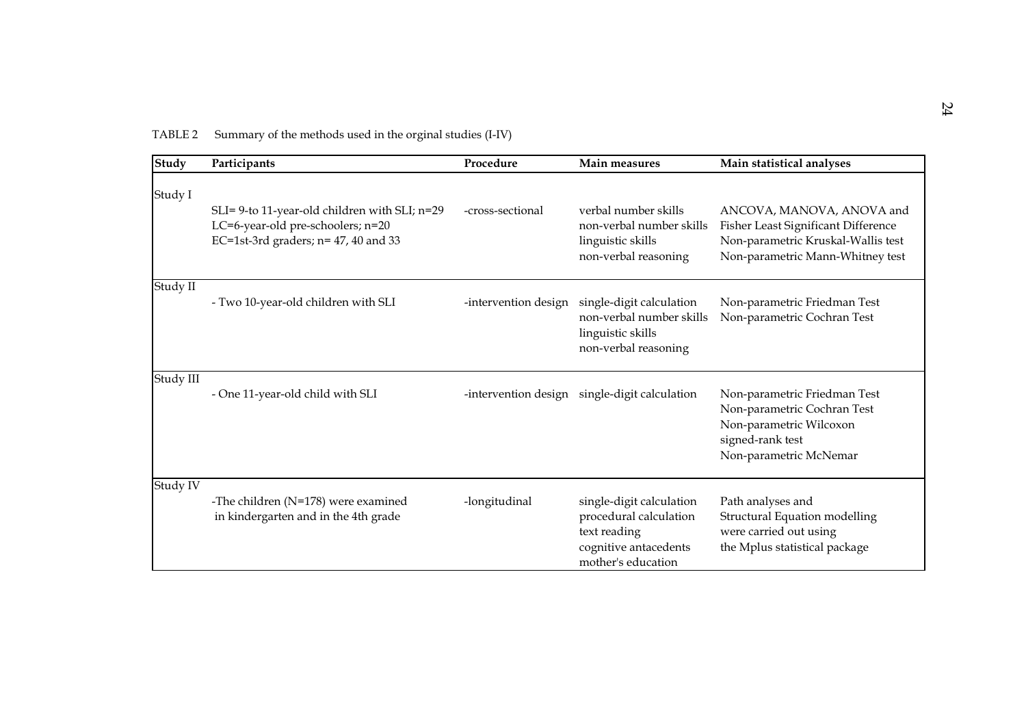| Study     | Participants                                                                                                                 | Procedure            | Main measures                                                                                                     | Main statistical analyses                                                                                                                  |
|-----------|------------------------------------------------------------------------------------------------------------------------------|----------------------|-------------------------------------------------------------------------------------------------------------------|--------------------------------------------------------------------------------------------------------------------------------------------|
| Study I   | SLI= 9-to 11-year-old children with SLI; n=29<br>LC=6-year-old pre-schoolers; n=20<br>EC=1st-3rd graders; $n=47$ , 40 and 33 | -cross-sectional     | verbal number skills<br>non-verbal number skills<br>linguistic skills<br>non-verbal reasoning                     | ANCOVA, MANOVA, ANOVA and<br>Fisher Least Significant Difference<br>Non-parametric Kruskal-Wallis test<br>Non-parametric Mann-Whitney test |
| Study II  | - Two 10-year-old children with SLI                                                                                          | -intervention design | single-digit calculation<br>non-verbal number skills<br>linguistic skills<br>non-verbal reasoning                 | Non-parametric Friedman Test<br>Non-parametric Cochran Test                                                                                |
| Study III | - One 11-year-old child with SLI                                                                                             | -intervention design | single-digit calculation                                                                                          | Non-parametric Friedman Test<br>Non-parametric Cochran Test<br>Non-parametric Wilcoxon<br>signed-rank test<br>Non-parametric McNemar       |
| Study IV  | -The children (N=178) were examined<br>in kindergarten and in the 4th grade                                                  | -longitudinal        | single-digit calculation<br>procedural calculation<br>text reading<br>cognitive antacedents<br>mother's education | Path analyses and<br><b>Structural Equation modelling</b><br>were carried out using<br>the Mplus statistical package                       |

TABLE 2 Summary of the methods used in the orginal studies (I-IV)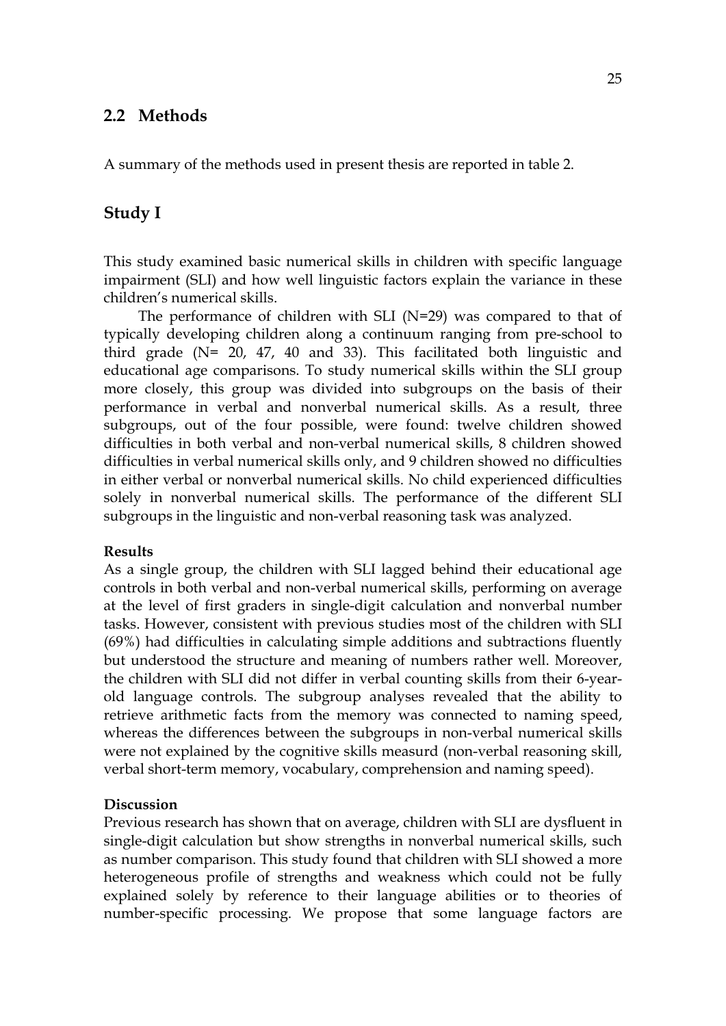## **2.2 Methods**

A summary of the methods used in present thesis are reported in table 2.

## **Study I**

This study examined basic numerical skills in children with specific language impairment (SLI) and how well linguistic factors explain the variance in these children's numerical skills.

The performance of children with SLI (N=29) was compared to that of typically developing children along a continuum ranging from pre-school to third grade (N= 20, 47, 40 and 33). This facilitated both linguistic and educational age comparisons. To study numerical skills within the SLI group more closely, this group was divided into subgroups on the basis of their performance in verbal and nonverbal numerical skills. As a result, three subgroups, out of the four possible, were found: twelve children showed difficulties in both verbal and non-verbal numerical skills, 8 children showed difficulties in verbal numerical skills only, and 9 children showed no difficulties in either verbal or nonverbal numerical skills. No child experienced difficulties solely in nonverbal numerical skills. The performance of the different SLI subgroups in the linguistic and non-verbal reasoning task was analyzed.

#### **Results**

As a single group, the children with SLI lagged behind their educational age controls in both verbal and non-verbal numerical skills, performing on average at the level of first graders in single-digit calculation and nonverbal number tasks. However, consistent with previous studies most of the children with SLI (69%) had difficulties in calculating simple additions and subtractions fluently but understood the structure and meaning of numbers rather well. Moreover, the children with SLI did not differ in verbal counting skills from their 6-yearold language controls. The subgroup analyses revealed that the ability to retrieve arithmetic facts from the memory was connected to naming speed, whereas the differences between the subgroups in non-verbal numerical skills were not explained by the cognitive skills measurd (non-verbal reasoning skill, verbal short-term memory, vocabulary, comprehension and naming speed).

#### **Discussion**

Previous research has shown that on average, children with SLI are dysfluent in single-digit calculation but show strengths in nonverbal numerical skills, such as number comparison. This study found that children with SLI showed a more heterogeneous profile of strengths and weakness which could not be fully explained solely by reference to their language abilities or to theories of number-specific processing. We propose that some language factors are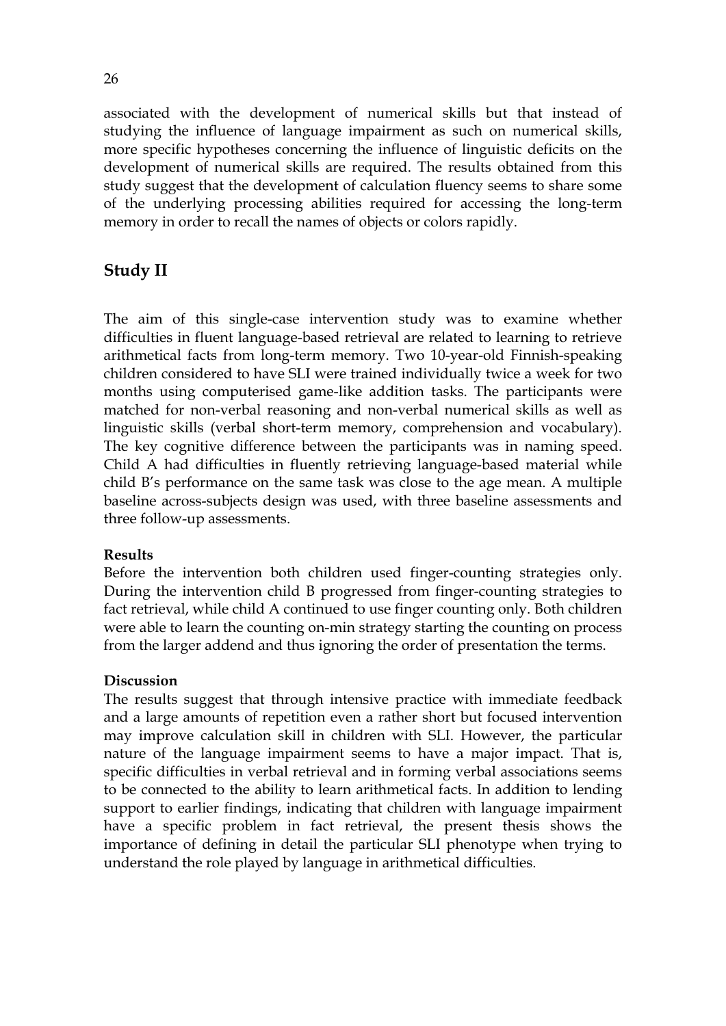associated with the development of numerical skills but that instead of studying the influence of language impairment as such on numerical skills, more specific hypotheses concerning the influence of linguistic deficits on the development of numerical skills are required. The results obtained from this study suggest that the development of calculation fluency seems to share some of the underlying processing abilities required for accessing the long-term memory in order to recall the names of objects or colors rapidly.

## **Study II**

The aim of this single-case intervention study was to examine whether difficulties in fluent language-based retrieval are related to learning to retrieve arithmetical facts from long-term memory. Two 10-year-old Finnish-speaking children considered to have SLI were trained individually twice a week for two months using computerised game-like addition tasks. The participants were matched for non-verbal reasoning and non-verbal numerical skills as well as linguistic skills (verbal short-term memory, comprehension and vocabulary). The key cognitive difference between the participants was in naming speed. Child A had difficulties in fluently retrieving language-based material while child B's performance on the same task was close to the age mean. A multiple baseline across-subjects design was used, with three baseline assessments and three follow-up assessments.

## **Results**

Before the intervention both children used finger-counting strategies only. During the intervention child B progressed from finger-counting strategies to fact retrieval, while child A continued to use finger counting only. Both children were able to learn the counting on-min strategy starting the counting on process from the larger addend and thus ignoring the order of presentation the terms.

## **Discussion**

The results suggest that through intensive practice with immediate feedback and a large amounts of repetition even a rather short but focused intervention may improve calculation skill in children with SLI. However, the particular nature of the language impairment seems to have a major impact. That is, specific difficulties in verbal retrieval and in forming verbal associations seems to be connected to the ability to learn arithmetical facts. In addition to lending support to earlier findings, indicating that children with language impairment have a specific problem in fact retrieval, the present thesis shows the importance of defining in detail the particular SLI phenotype when trying to understand the role played by language in arithmetical difficulties.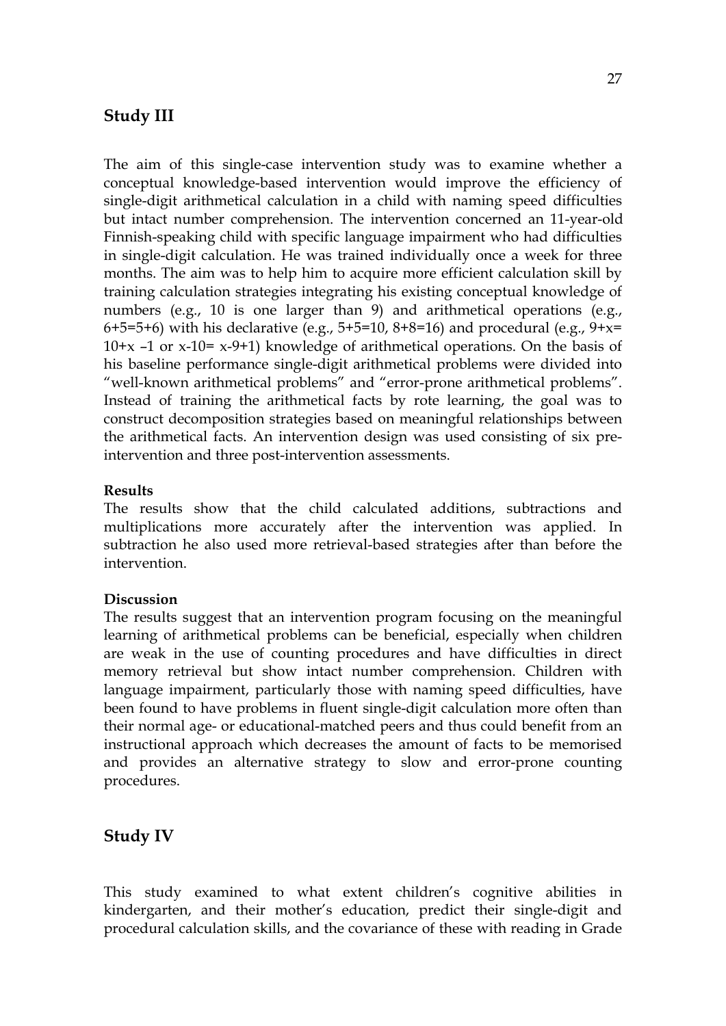## **Study III**

The aim of this single-case intervention study was to examine whether a conceptual knowledge-based intervention would improve the efficiency of single-digit arithmetical calculation in a child with naming speed difficulties but intact number comprehension. The intervention concerned an 11-year-old Finnish-speaking child with specific language impairment who had difficulties in single-digit calculation. He was trained individually once a week for three months. The aim was to help him to acquire more efficient calculation skill by training calculation strategies integrating his existing conceptual knowledge of numbers (e.g., 10 is one larger than 9) and arithmetical operations (e.g., 6+5=5+6) with his declarative (e.g., 5+5=10, 8+8=16) and procedural (e.g.,  $9+x=$  $10+x -1$  or x-10= x-9+1) knowledge of arithmetical operations. On the basis of his baseline performance single-digit arithmetical problems were divided into "well-known arithmetical problems" and "error-prone arithmetical problems". Instead of training the arithmetical facts by rote learning, the goal was to construct decomposition strategies based on meaningful relationships between the arithmetical facts. An intervention design was used consisting of six preintervention and three post-intervention assessments.

## **Results**

The results show that the child calculated additions, subtractions and multiplications more accurately after the intervention was applied. In subtraction he also used more retrieval-based strategies after than before the intervention.

## **Discussion**

The results suggest that an intervention program focusing on the meaningful learning of arithmetical problems can be beneficial, especially when children are weak in the use of counting procedures and have difficulties in direct memory retrieval but show intact number comprehension. Children with language impairment, particularly those with naming speed difficulties, have been found to have problems in fluent single-digit calculation more often than their normal age- or educational-matched peers and thus could benefit from an instructional approach which decreases the amount of facts to be memorised and provides an alternative strategy to slow and error-prone counting procedures.

## **Study IV**

This study examined to what extent children's cognitive abilities in kindergarten, and their mother's education, predict their single-digit and procedural calculation skills, and the covariance of these with reading in Grade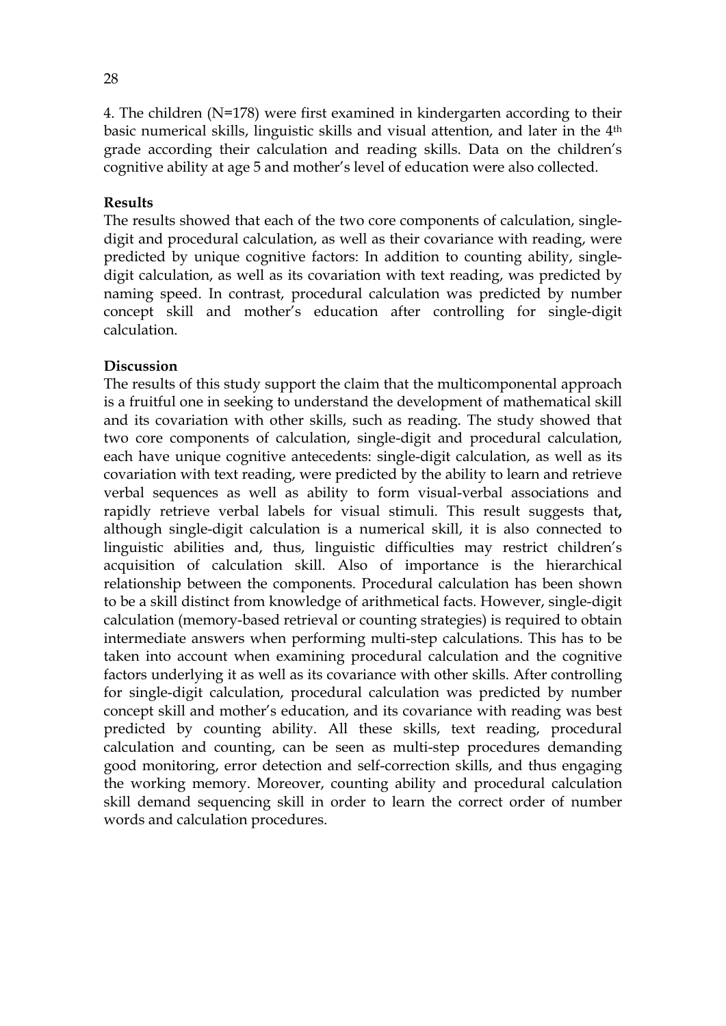4. The children (N=178) were first examined in kindergarten according to their basic numerical skills, linguistic skills and visual attention, and later in the 4th grade according their calculation and reading skills. Data on the children's cognitive ability at age 5 and mother's level of education were also collected.

#### **Results**

The results showed that each of the two core components of calculation, singledigit and procedural calculation, as well as their covariance with reading, were predicted by unique cognitive factors: In addition to counting ability, singledigit calculation, as well as its covariation with text reading, was predicted by naming speed. In contrast, procedural calculation was predicted by number concept skill and mother's education after controlling for single-digit calculation.

#### **Discussion**

The results of this study support the claim that the multicomponental approach is a fruitful one in seeking to understand the development of mathematical skill and its covariation with other skills, such as reading. The study showed that two core components of calculation, single-digit and procedural calculation, each have unique cognitive antecedents: single-digit calculation, as well as its covariation with text reading, were predicted by the ability to learn and retrieve verbal sequences as well as ability to form visual-verbal associations and rapidly retrieve verbal labels for visual stimuli. This result suggests that**,**  although single-digit calculation is a numerical skill, it is also connected to linguistic abilities and, thus, linguistic difficulties may restrict children's acquisition of calculation skill. Also of importance is the hierarchical relationship between the components. Procedural calculation has been shown to be a skill distinct from knowledge of arithmetical facts. However, single-digit calculation (memory-based retrieval or counting strategies) is required to obtain intermediate answers when performing multi-step calculations. This has to be taken into account when examining procedural calculation and the cognitive factors underlying it as well as its covariance with other skills. After controlling for single-digit calculation, procedural calculation was predicted by number concept skill and mother's education, and its covariance with reading was best predicted by counting ability. All these skills, text reading, procedural calculation and counting, can be seen as multi-step procedures demanding good monitoring, error detection and self-correction skills, and thus engaging the working memory. Moreover, counting ability and procedural calculation skill demand sequencing skill in order to learn the correct order of number words and calculation procedures.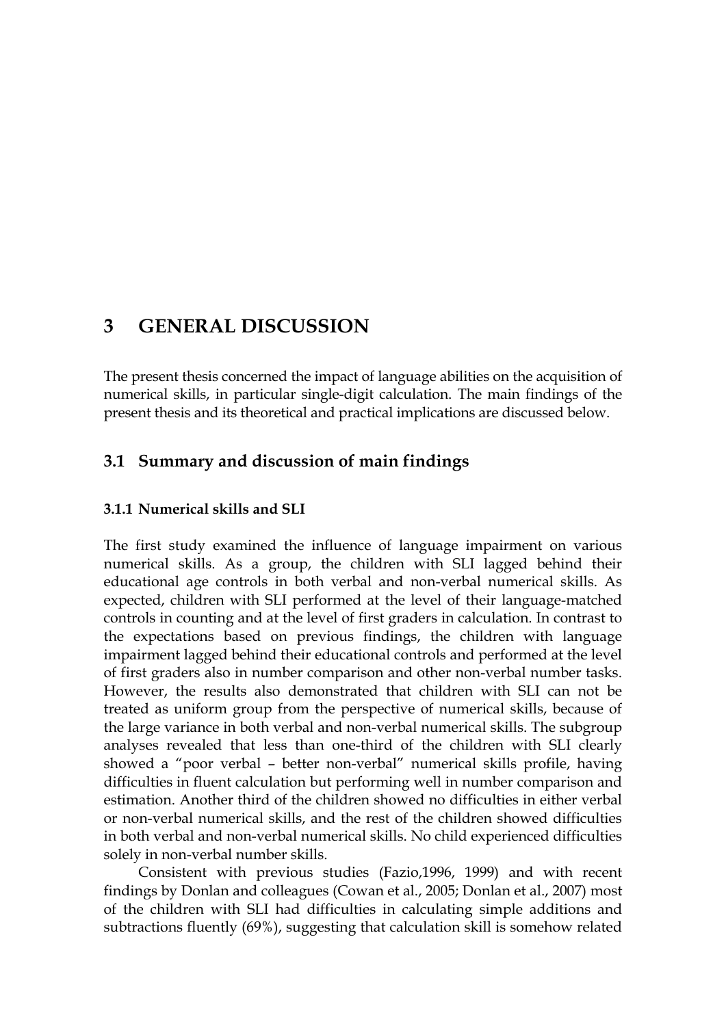## **3 GENERAL DISCUSSION**

The present thesis concerned the impact of language abilities on the acquisition of numerical skills, in particular single-digit calculation. The main findings of the present thesis and its theoretical and practical implications are discussed below.

## **3.1 Summary and discussion of main findings**

## **3.1.1 Numerical skills and SLI**

The first study examined the influence of language impairment on various numerical skills. As a group, the children with SLI lagged behind their educational age controls in both verbal and non-verbal numerical skills. As expected, children with SLI performed at the level of their language-matched controls in counting and at the level of first graders in calculation. In contrast to the expectations based on previous findings, the children with language impairment lagged behind their educational controls and performed at the level of first graders also in number comparison and other non-verbal number tasks. However, the results also demonstrated that children with SLI can not be treated as uniform group from the perspective of numerical skills, because of the large variance in both verbal and non-verbal numerical skills. The subgroup analyses revealed that less than one-third of the children with SLI clearly showed a "poor verbal – better non-verbal" numerical skills profile, having difficulties in fluent calculation but performing well in number comparison and estimation. Another third of the children showed no difficulties in either verbal or non-verbal numerical skills, and the rest of the children showed difficulties in both verbal and non-verbal numerical skills. No child experienced difficulties solely in non-verbal number skills.

Consistent with previous studies (Fazio,1996, 1999) and with recent findings by Donlan and colleagues (Cowan et al., 2005; Donlan et al., 2007) most of the children with SLI had difficulties in calculating simple additions and subtractions fluently (69%), suggesting that calculation skill is somehow related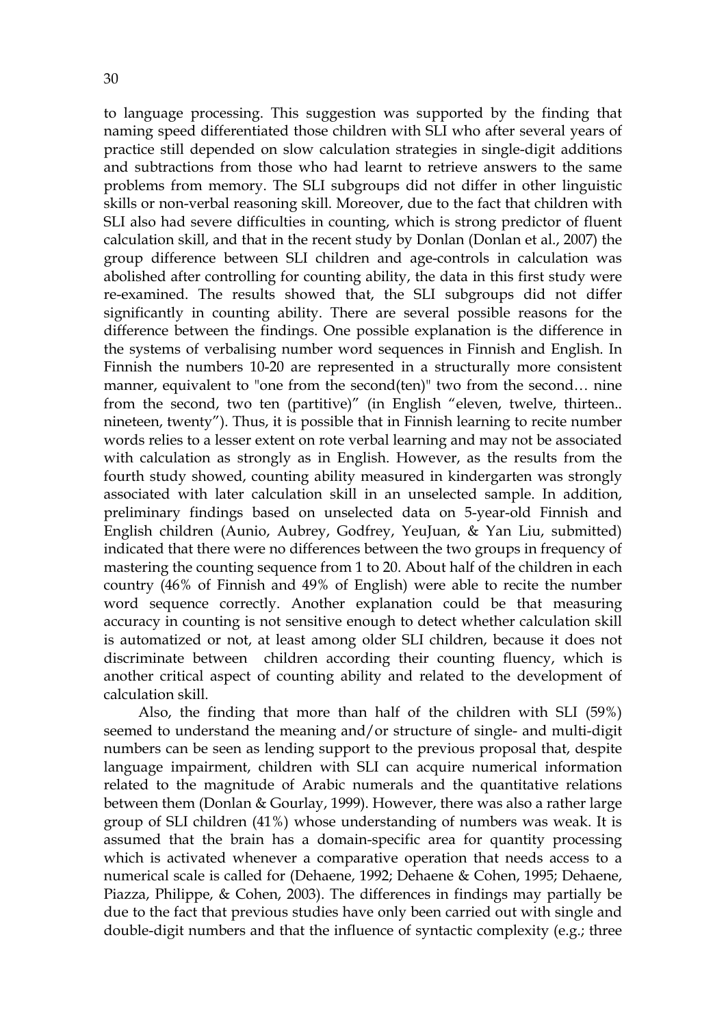to language processing. This suggestion was supported by the finding that naming speed differentiated those children with SLI who after several years of practice still depended on slow calculation strategies in single-digit additions and subtractions from those who had learnt to retrieve answers to the same problems from memory. The SLI subgroups did not differ in other linguistic skills or non-verbal reasoning skill. Moreover, due to the fact that children with SLI also had severe difficulties in counting, which is strong predictor of fluent calculation skill, and that in the recent study by Donlan (Donlan et al., 2007) the group difference between SLI children and age-controls in calculation was abolished after controlling for counting ability, the data in this first study were re-examined. The results showed that, the SLI subgroups did not differ significantly in counting ability. There are several possible reasons for the difference between the findings. One possible explanation is the difference in the systems of verbalising number word sequences in Finnish and English. In Finnish the numbers 10-20 are represented in a structurally more consistent manner, equivalent to "one from the second(ten)" two from the second… nine from the second, two ten (partitive)" (in English "eleven, twelve, thirteen.. nineteen, twenty"). Thus, it is possible that in Finnish learning to recite number words relies to a lesser extent on rote verbal learning and may not be associated with calculation as strongly as in English. However, as the results from the fourth study showed, counting ability measured in kindergarten was strongly associated with later calculation skill in an unselected sample. In addition, preliminary findings based on unselected data on 5-year-old Finnish and English children (Aunio, Aubrey, Godfrey, YeuJuan, & Yan Liu, submitted) indicated that there were no differences between the two groups in frequency of mastering the counting sequence from 1 to 20. About half of the children in each country (46% of Finnish and 49% of English) were able to recite the number word sequence correctly. Another explanation could be that measuring accuracy in counting is not sensitive enough to detect whether calculation skill is automatized or not, at least among older SLI children, because it does not discriminate between children according their counting fluency, which is another critical aspect of counting ability and related to the development of calculation skill.

Also, the finding that more than half of the children with SLI (59%) seemed to understand the meaning and/or structure of single- and multi-digit numbers can be seen as lending support to the previous proposal that, despite language impairment, children with SLI can acquire numerical information related to the magnitude of Arabic numerals and the quantitative relations between them (Donlan & Gourlay, 1999). However, there was also a rather large group of SLI children (41%) whose understanding of numbers was weak. It is assumed that the brain has a domain-specific area for quantity processing which is activated whenever a comparative operation that needs access to a numerical scale is called for (Dehaene, 1992; Dehaene & Cohen, 1995; Dehaene, Piazza, Philippe, & Cohen, 2003). The differences in findings may partially be due to the fact that previous studies have only been carried out with single and double-digit numbers and that the influence of syntactic complexity (e.g.; three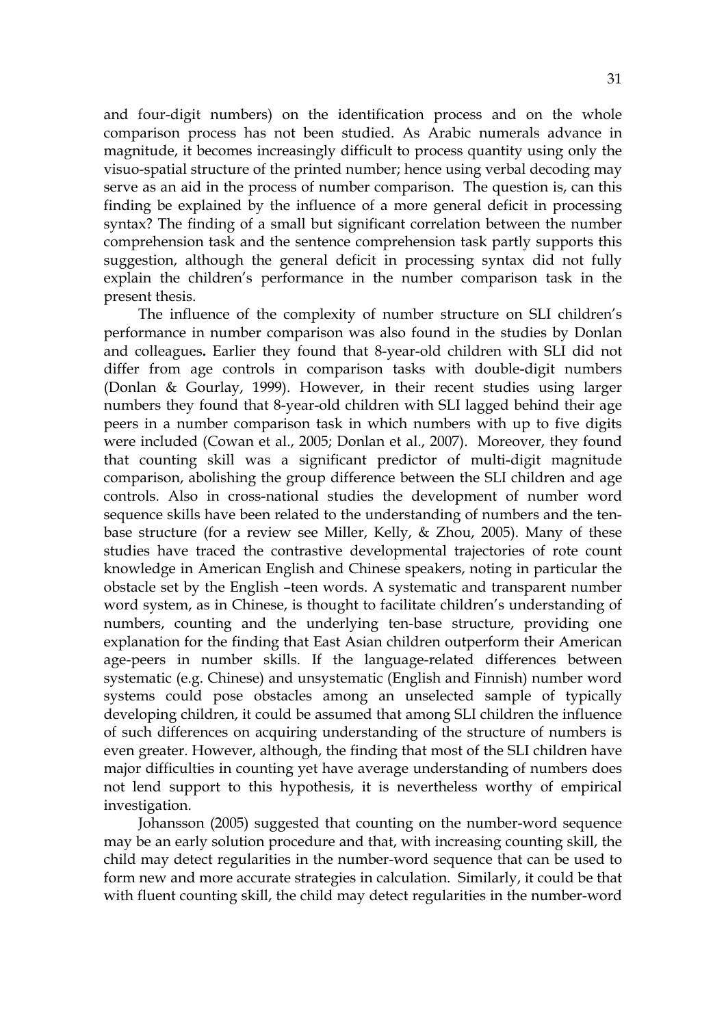and four-digit numbers) on the identification process and on the whole comparison process has not been studied. As Arabic numerals advance in magnitude, it becomes increasingly difficult to process quantity using only the visuo-spatial structure of the printed number; hence using verbal decoding may serve as an aid in the process of number comparison. The question is, can this finding be explained by the influence of a more general deficit in processing syntax? The finding of a small but significant correlation between the number comprehension task and the sentence comprehension task partly supports this suggestion, although the general deficit in processing syntax did not fully explain the children's performance in the number comparison task in the present thesis.

The influence of the complexity of number structure on SLI children's performance in number comparison was also found in the studies by Donlan and colleagues**.** Earlier they found that 8-year-old children with SLI did not differ from age controls in comparison tasks with double-digit numbers (Donlan & Gourlay, 1999). However, in their recent studies using larger numbers they found that 8-year-old children with SLI lagged behind their age peers in a number comparison task in which numbers with up to five digits were included (Cowan et al., 2005; Donlan et al., 2007). Moreover, they found that counting skill was a significant predictor of multi-digit magnitude comparison, abolishing the group difference between the SLI children and age controls. Also in cross-national studies the development of number word sequence skills have been related to the understanding of numbers and the tenbase structure (for a review see Miller, Kelly, & Zhou, 2005). Many of these studies have traced the contrastive developmental trajectories of rote count knowledge in American English and Chinese speakers, noting in particular the obstacle set by the English –teen words. A systematic and transparent number word system, as in Chinese, is thought to facilitate children's understanding of numbers, counting and the underlying ten-base structure, providing one explanation for the finding that East Asian children outperform their American age-peers in number skills. If the language-related differences between systematic (e.g. Chinese) and unsystematic (English and Finnish) number word systems could pose obstacles among an unselected sample of typically developing children, it could be assumed that among SLI children the influence of such differences on acquiring understanding of the structure of numbers is even greater. However, although, the finding that most of the SLI children have major difficulties in counting yet have average understanding of numbers does not lend support to this hypothesis, it is nevertheless worthy of empirical investigation.

Johansson (2005) suggested that counting on the number-word sequence may be an early solution procedure and that, with increasing counting skill, the child may detect regularities in the number-word sequence that can be used to form new and more accurate strategies in calculation. Similarly, it could be that with fluent counting skill, the child may detect regularities in the number-word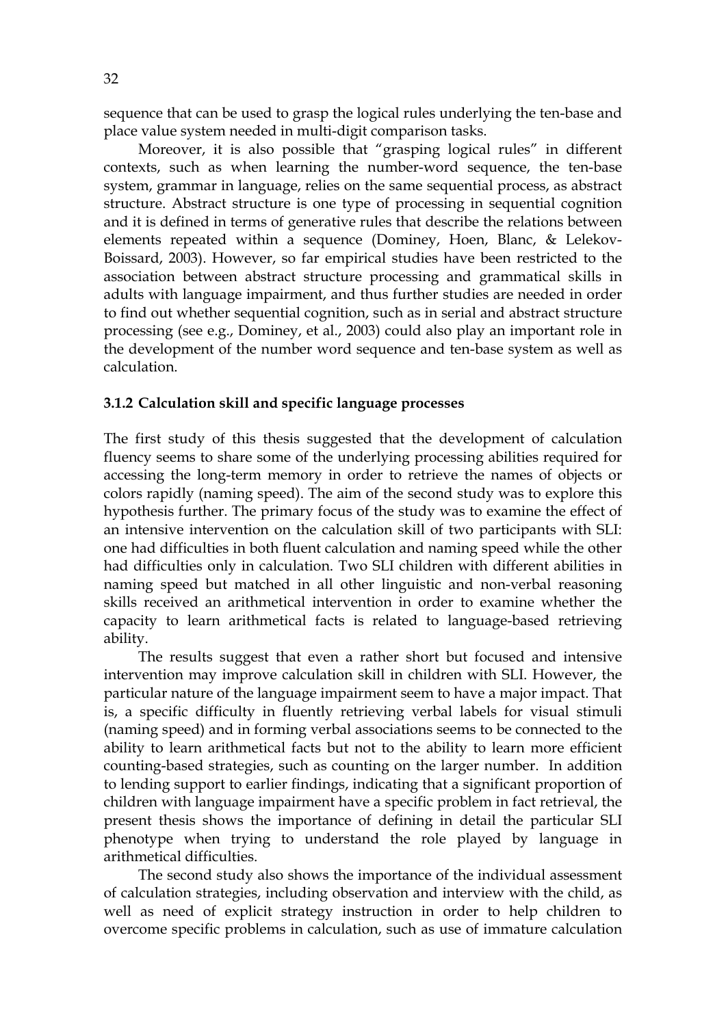sequence that can be used to grasp the logical rules underlying the ten-base and place value system needed in multi-digit comparison tasks.

Moreover, it is also possible that "grasping logical rules" in different contexts, such as when learning the number-word sequence, the ten-base system, grammar in language, relies on the same sequential process, as abstract structure. Abstract structure is one type of processing in sequential cognition and it is defined in terms of generative rules that describe the relations between elements repeated within a sequence (Dominey, Hoen, Blanc, & Lelekov-Boissard, 2003). However, so far empirical studies have been restricted to the association between abstract structure processing and grammatical skills in adults with language impairment, and thus further studies are needed in order to find out whether sequential cognition, such as in serial and abstract structure processing (see e.g., Dominey, et al., 2003) could also play an important role in the development of the number word sequence and ten-base system as well as calculation.

## **3.1.2 Calculation skill and specific language processes**

The first study of this thesis suggested that the development of calculation fluency seems to share some of the underlying processing abilities required for accessing the long-term memory in order to retrieve the names of objects or colors rapidly (naming speed). The aim of the second study was to explore this hypothesis further. The primary focus of the study was to examine the effect of an intensive intervention on the calculation skill of two participants with SLI: one had difficulties in both fluent calculation and naming speed while the other had difficulties only in calculation. Two SLI children with different abilities in naming speed but matched in all other linguistic and non-verbal reasoning skills received an arithmetical intervention in order to examine whether the capacity to learn arithmetical facts is related to language-based retrieving ability.

The results suggest that even a rather short but focused and intensive intervention may improve calculation skill in children with SLI. However, the particular nature of the language impairment seem to have a major impact. That is, a specific difficulty in fluently retrieving verbal labels for visual stimuli (naming speed) and in forming verbal associations seems to be connected to the ability to learn arithmetical facts but not to the ability to learn more efficient counting-based strategies, such as counting on the larger number. In addition to lending support to earlier findings, indicating that a significant proportion of children with language impairment have a specific problem in fact retrieval, the present thesis shows the importance of defining in detail the particular SLI phenotype when trying to understand the role played by language in arithmetical difficulties.

The second study also shows the importance of the individual assessment of calculation strategies, including observation and interview with the child, as well as need of explicit strategy instruction in order to help children to overcome specific problems in calculation, such as use of immature calculation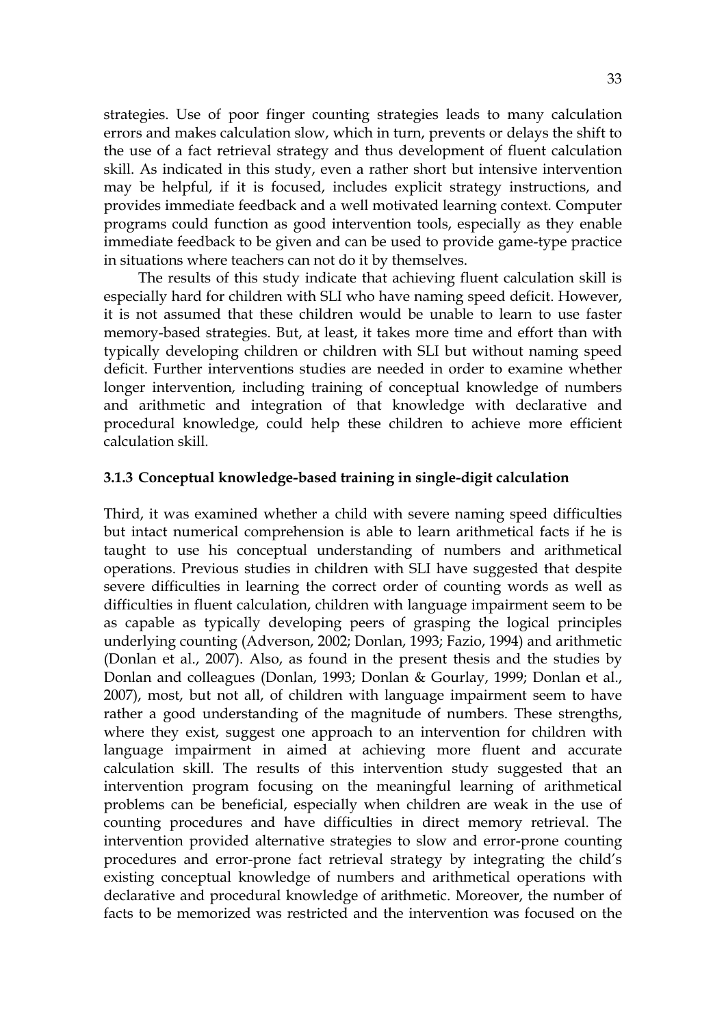strategies. Use of poor finger counting strategies leads to many calculation errors and makes calculation slow, which in turn, prevents or delays the shift to the use of a fact retrieval strategy and thus development of fluent calculation skill. As indicated in this study, even a rather short but intensive intervention may be helpful, if it is focused, includes explicit strategy instructions, and provides immediate feedback and a well motivated learning context. Computer programs could function as good intervention tools, especially as they enable immediate feedback to be given and can be used to provide game-type practice in situations where teachers can not do it by themselves.

The results of this study indicate that achieving fluent calculation skill is especially hard for children with SLI who have naming speed deficit. However, it is not assumed that these children would be unable to learn to use faster memory-based strategies. But, at least, it takes more time and effort than with typically developing children or children with SLI but without naming speed deficit. Further interventions studies are needed in order to examine whether longer intervention, including training of conceptual knowledge of numbers and arithmetic and integration of that knowledge with declarative and procedural knowledge, could help these children to achieve more efficient calculation skill.

#### **3.1.3 Conceptual knowledge-based training in single-digit calculation**

Third, it was examined whether a child with severe naming speed difficulties but intact numerical comprehension is able to learn arithmetical facts if he is taught to use his conceptual understanding of numbers and arithmetical operations. Previous studies in children with SLI have suggested that despite severe difficulties in learning the correct order of counting words as well as difficulties in fluent calculation, children with language impairment seem to be as capable as typically developing peers of grasping the logical principles underlying counting (Adverson, 2002; Donlan, 1993; Fazio, 1994) and arithmetic (Donlan et al., 2007). Also, as found in the present thesis and the studies by Donlan and colleagues (Donlan, 1993; Donlan & Gourlay, 1999; Donlan et al., 2007), most, but not all, of children with language impairment seem to have rather a good understanding of the magnitude of numbers. These strengths, where they exist, suggest one approach to an intervention for children with language impairment in aimed at achieving more fluent and accurate calculation skill. The results of this intervention study suggested that an intervention program focusing on the meaningful learning of arithmetical problems can be beneficial, especially when children are weak in the use of counting procedures and have difficulties in direct memory retrieval. The intervention provided alternative strategies to slow and error-prone counting procedures and error-prone fact retrieval strategy by integrating the child's existing conceptual knowledge of numbers and arithmetical operations with declarative and procedural knowledge of arithmetic. Moreover, the number of facts to be memorized was restricted and the intervention was focused on the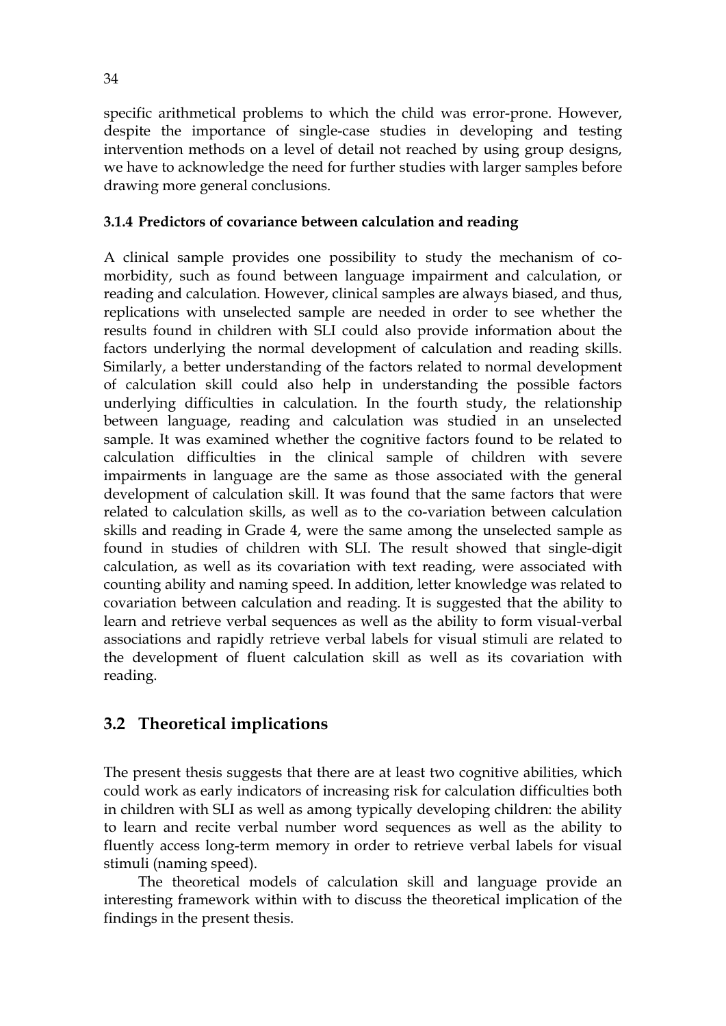specific arithmetical problems to which the child was error-prone. However, despite the importance of single-case studies in developing and testing intervention methods on a level of detail not reached by using group designs, we have to acknowledge the need for further studies with larger samples before drawing more general conclusions.

## **3.1.4 Predictors of covariance between calculation and reading**

A clinical sample provides one possibility to study the mechanism of comorbidity, such as found between language impairment and calculation, or reading and calculation. However, clinical samples are always biased, and thus, replications with unselected sample are needed in order to see whether the results found in children with SLI could also provide information about the factors underlying the normal development of calculation and reading skills. Similarly, a better understanding of the factors related to normal development of calculation skill could also help in understanding the possible factors underlying difficulties in calculation. In the fourth study, the relationship between language, reading and calculation was studied in an unselected sample. It was examined whether the cognitive factors found to be related to calculation difficulties in the clinical sample of children with severe impairments in language are the same as those associated with the general development of calculation skill. It was found that the same factors that were related to calculation skills, as well as to the co-variation between calculation skills and reading in Grade 4, were the same among the unselected sample as found in studies of children with SLI. The result showed that single-digit calculation, as well as its covariation with text reading, were associated with counting ability and naming speed. In addition, letter knowledge was related to covariation between calculation and reading. It is suggested that the ability to learn and retrieve verbal sequences as well as the ability to form visual-verbal associations and rapidly retrieve verbal labels for visual stimuli are related to the development of fluent calculation skill as well as its covariation with reading.

## **3.2 Theoretical implications**

The present thesis suggests that there are at least two cognitive abilities, which could work as early indicators of increasing risk for calculation difficulties both in children with SLI as well as among typically developing children: the ability to learn and recite verbal number word sequences as well as the ability to fluently access long-term memory in order to retrieve verbal labels for visual stimuli (naming speed).

The theoretical models of calculation skill and language provide an interesting framework within with to discuss the theoretical implication of the findings in the present thesis.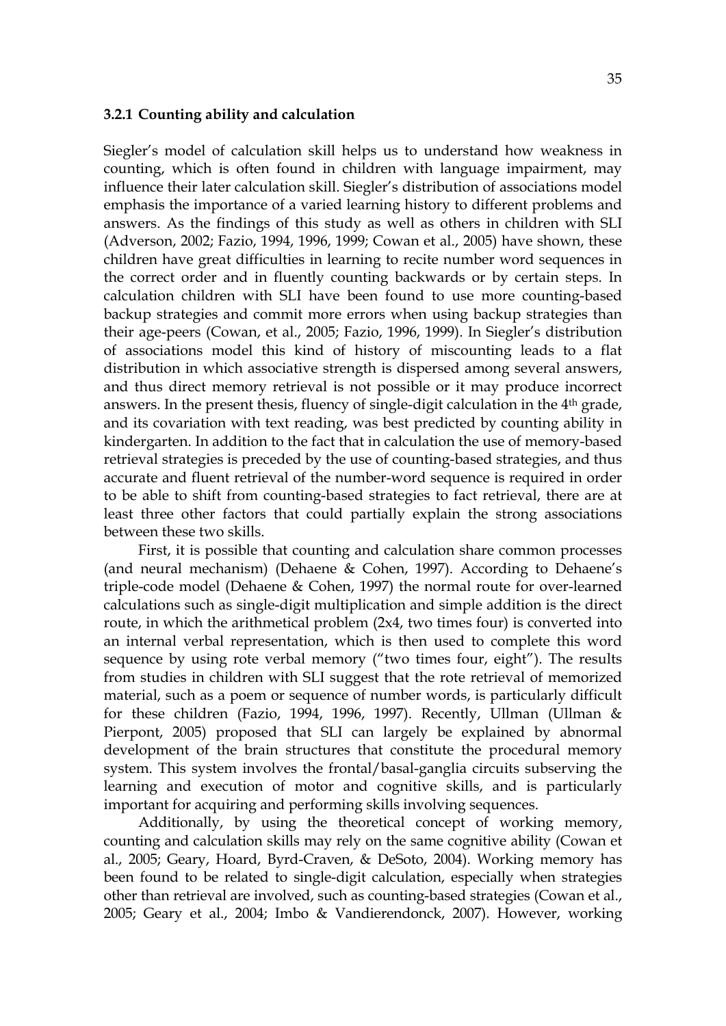#### **3.2.1 Counting ability and calculation**

Siegler's model of calculation skill helps us to understand how weakness in counting, which is often found in children with language impairment, may influence their later calculation skill. Siegler's distribution of associations model emphasis the importance of a varied learning history to different problems and answers. As the findings of this study as well as others in children with SLI (Adverson, 2002; Fazio, 1994, 1996, 1999; Cowan et al., 2005) have shown, these children have great difficulties in learning to recite number word sequences in the correct order and in fluently counting backwards or by certain steps. In calculation children with SLI have been found to use more counting-based backup strategies and commit more errors when using backup strategies than their age-peers (Cowan, et al., 2005; Fazio, 1996, 1999). In Siegler's distribution of associations model this kind of history of miscounting leads to a flat distribution in which associative strength is dispersed among several answers, and thus direct memory retrieval is not possible or it may produce incorrect answers. In the present thesis, fluency of single-digit calculation in the 4<sup>th</sup> grade, and its covariation with text reading, was best predicted by counting ability in kindergarten. In addition to the fact that in calculation the use of memory-based retrieval strategies is preceded by the use of counting-based strategies, and thus accurate and fluent retrieval of the number-word sequence is required in order to be able to shift from counting-based strategies to fact retrieval, there are at least three other factors that could partially explain the strong associations between these two skills.

First, it is possible that counting and calculation share common processes (and neural mechanism) (Dehaene & Cohen, 1997). According to Dehaene's triple-code model (Dehaene & Cohen, 1997) the normal route for over-learned calculations such as single-digit multiplication and simple addition is the direct route, in which the arithmetical problem (2x4, two times four) is converted into an internal verbal representation, which is then used to complete this word sequence by using rote verbal memory ("two times four, eight"). The results from studies in children with SLI suggest that the rote retrieval of memorized material, such as a poem or sequence of number words, is particularly difficult for these children (Fazio, 1994, 1996, 1997). Recently, Ullman (Ullman & Pierpont, 2005) proposed that SLI can largely be explained by abnormal development of the brain structures that constitute the procedural memory system. This system involves the frontal/basal-ganglia circuits subserving the learning and execution of motor and cognitive skills, and is particularly important for acquiring and performing skills involving sequences.

Additionally, by using the theoretical concept of working memory, counting and calculation skills may rely on the same cognitive ability (Cowan et al., 2005; Geary, Hoard, Byrd-Craven, & DeSoto, 2004). Working memory has been found to be related to single-digit calculation, especially when strategies other than retrieval are involved, such as counting-based strategies (Cowan et al., 2005; Geary et al., 2004; Imbo & Vandierendonck, 2007). However, working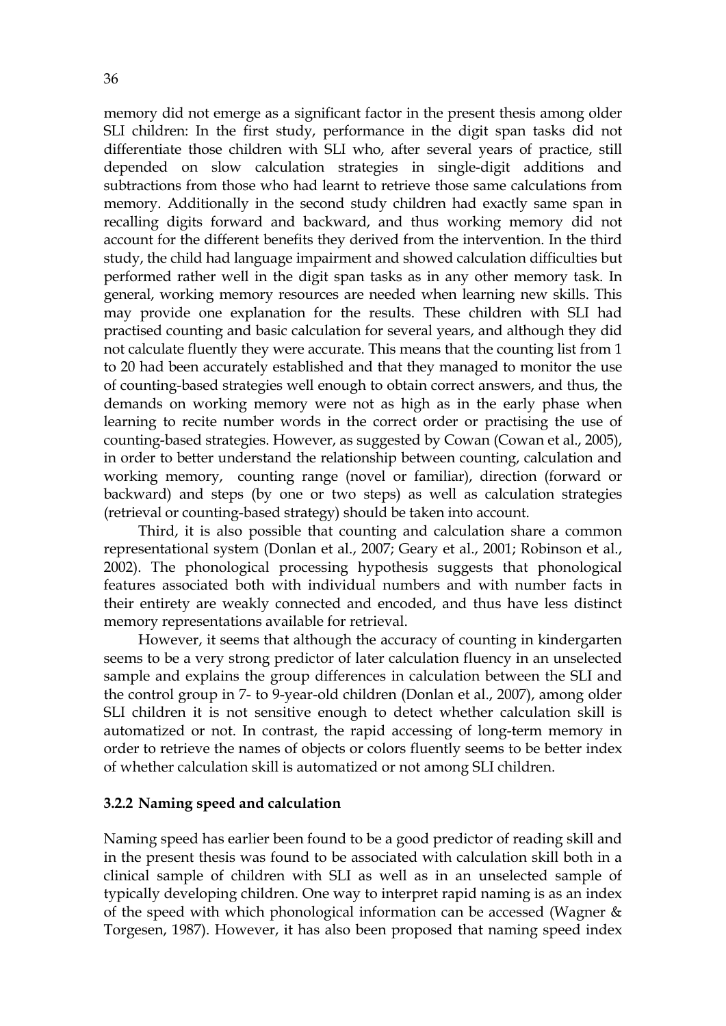memory did not emerge as a significant factor in the present thesis among older SLI children: In the first study, performance in the digit span tasks did not differentiate those children with SLI who, after several years of practice, still depended on slow calculation strategies in single-digit additions and subtractions from those who had learnt to retrieve those same calculations from memory. Additionally in the second study children had exactly same span in recalling digits forward and backward, and thus working memory did not account for the different benefits they derived from the intervention. In the third study, the child had language impairment and showed calculation difficulties but performed rather well in the digit span tasks as in any other memory task. In general, working memory resources are needed when learning new skills. This may provide one explanation for the results. These children with SLI had practised counting and basic calculation for several years, and although they did not calculate fluently they were accurate. This means that the counting list from 1 to 20 had been accurately established and that they managed to monitor the use of counting-based strategies well enough to obtain correct answers, and thus, the demands on working memory were not as high as in the early phase when learning to recite number words in the correct order or practising the use of counting-based strategies. However, as suggested by Cowan (Cowan et al., 2005), in order to better understand the relationship between counting, calculation and working memory, counting range (novel or familiar), direction (forward or backward) and steps (by one or two steps) as well as calculation strategies (retrieval or counting-based strategy) should be taken into account.

Third, it is also possible that counting and calculation share a common representational system (Donlan et al., 2007; Geary et al., 2001; Robinson et al., 2002). The phonological processing hypothesis suggests that phonological features associated both with individual numbers and with number facts in their entirety are weakly connected and encoded, and thus have less distinct memory representations available for retrieval.

However, it seems that although the accuracy of counting in kindergarten seems to be a very strong predictor of later calculation fluency in an unselected sample and explains the group differences in calculation between the SLI and the control group in 7- to 9-year-old children (Donlan et al., 2007), among older SLI children it is not sensitive enough to detect whether calculation skill is automatized or not. In contrast, the rapid accessing of long-term memory in order to retrieve the names of objects or colors fluently seems to be better index of whether calculation skill is automatized or not among SLI children.

#### **3.2.2 Naming speed and calculation**

Naming speed has earlier been found to be a good predictor of reading skill and in the present thesis was found to be associated with calculation skill both in a clinical sample of children with SLI as well as in an unselected sample of typically developing children. One way to interpret rapid naming is as an index of the speed with which phonological information can be accessed (Wagner & Torgesen, 1987). However, it has also been proposed that naming speed index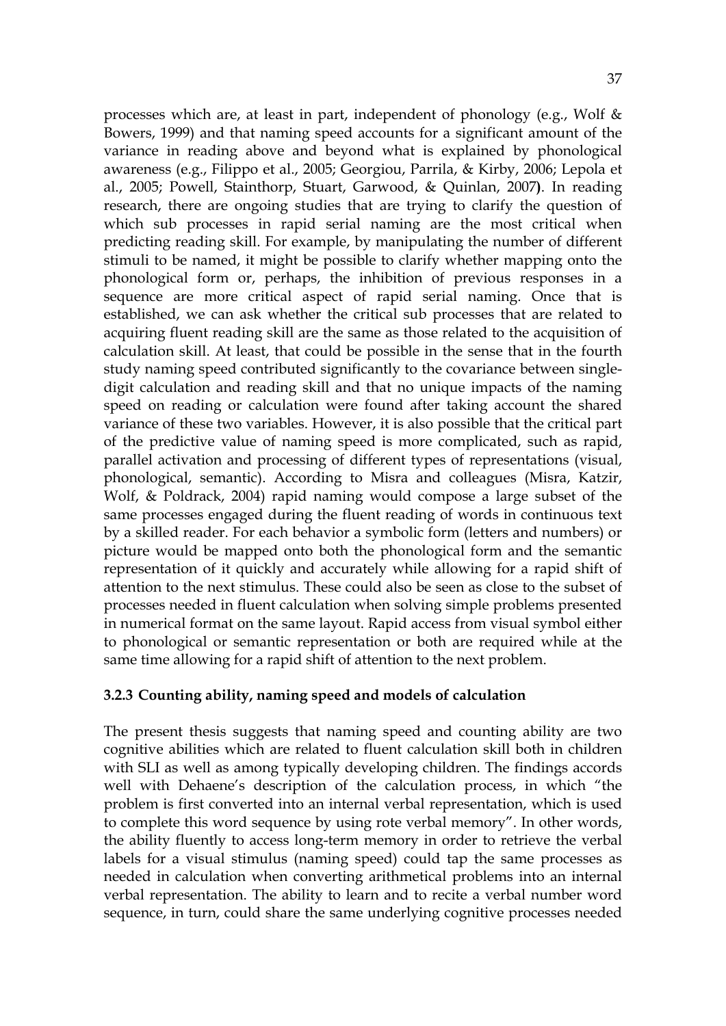processes which are, at least in part, independent of phonology (e.g., Wolf & Bowers, 1999) and that naming speed accounts for a significant amount of the variance in reading above and beyond what is explained by phonological awareness (e.g., Filippo et al., 2005; Georgiou, Parrila, & Kirby, 2006; Lepola et al., 2005; Powell, Stainthorp, Stuart, Garwood, & Quinlan, 2007**)**. In reading research, there are ongoing studies that are trying to clarify the question of which sub processes in rapid serial naming are the most critical when predicting reading skill. For example, by manipulating the number of different stimuli to be named, it might be possible to clarify whether mapping onto the phonological form or, perhaps, the inhibition of previous responses in a sequence are more critical aspect of rapid serial naming. Once that is established, we can ask whether the critical sub processes that are related to acquiring fluent reading skill are the same as those related to the acquisition of calculation skill. At least, that could be possible in the sense that in the fourth study naming speed contributed significantly to the covariance between singledigit calculation and reading skill and that no unique impacts of the naming speed on reading or calculation were found after taking account the shared variance of these two variables. However, it is also possible that the critical part of the predictive value of naming speed is more complicated, such as rapid, parallel activation and processing of different types of representations (visual, phonological, semantic). According to Misra and colleagues (Misra, Katzir, Wolf, & Poldrack, 2004) rapid naming would compose a large subset of the same processes engaged during the fluent reading of words in continuous text by a skilled reader. For each behavior a symbolic form (letters and numbers) or picture would be mapped onto both the phonological form and the semantic representation of it quickly and accurately while allowing for a rapid shift of attention to the next stimulus. These could also be seen as close to the subset of processes needed in fluent calculation when solving simple problems presented in numerical format on the same layout. Rapid access from visual symbol either to phonological or semantic representation or both are required while at the same time allowing for a rapid shift of attention to the next problem.

## **3.2.3 Counting ability, naming speed and models of calculation**

The present thesis suggests that naming speed and counting ability are two cognitive abilities which are related to fluent calculation skill both in children with SLI as well as among typically developing children. The findings accords well with Dehaene's description of the calculation process, in which "the problem is first converted into an internal verbal representation, which is used to complete this word sequence by using rote verbal memory". In other words, the ability fluently to access long-term memory in order to retrieve the verbal labels for a visual stimulus (naming speed) could tap the same processes as needed in calculation when converting arithmetical problems into an internal verbal representation. The ability to learn and to recite a verbal number word sequence, in turn, could share the same underlying cognitive processes needed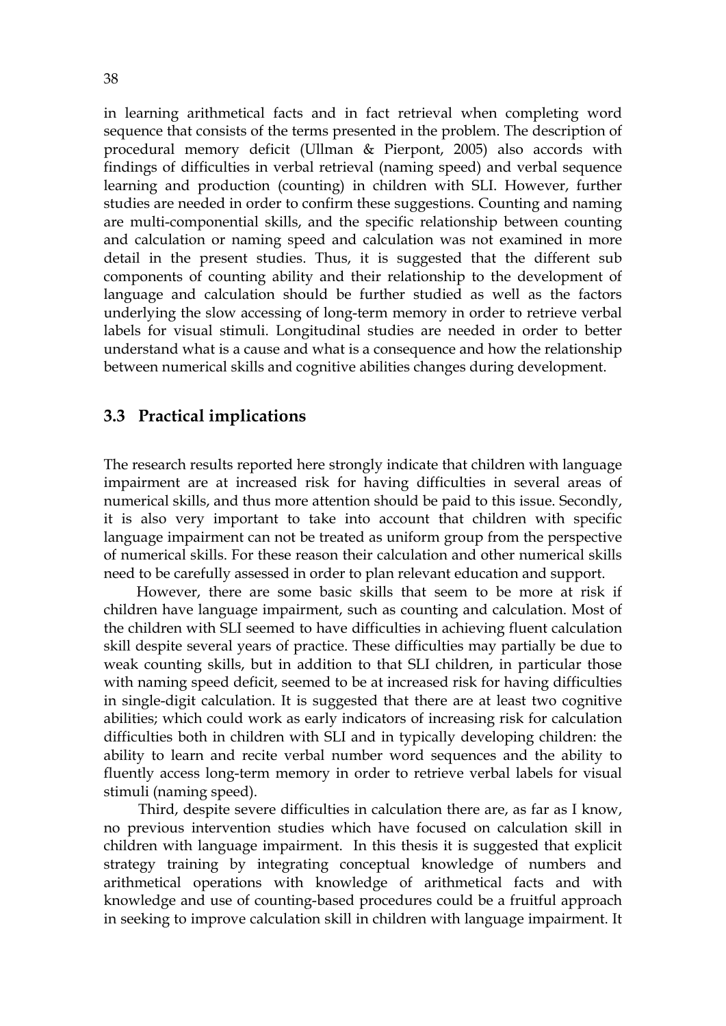in learning arithmetical facts and in fact retrieval when completing word sequence that consists of the terms presented in the problem. The description of procedural memory deficit (Ullman & Pierpont, 2005) also accords with findings of difficulties in verbal retrieval (naming speed) and verbal sequence learning and production (counting) in children with SLI. However, further studies are needed in order to confirm these suggestions. Counting and naming are multi-componential skills, and the specific relationship between counting and calculation or naming speed and calculation was not examined in more detail in the present studies. Thus, it is suggested that the different sub components of counting ability and their relationship to the development of language and calculation should be further studied as well as the factors underlying the slow accessing of long-term memory in order to retrieve verbal labels for visual stimuli. Longitudinal studies are needed in order to better understand what is a cause and what is a consequence and how the relationship between numerical skills and cognitive abilities changes during development.

## **3.3 Practical implications**

The research results reported here strongly indicate that children with language impairment are at increased risk for having difficulties in several areas of numerical skills, and thus more attention should be paid to this issue. Secondly, it is also very important to take into account that children with specific language impairment can not be treated as uniform group from the perspective of numerical skills. For these reason their calculation and other numerical skills need to be carefully assessed in order to plan relevant education and support.

 However, there are some basic skills that seem to be more at risk if children have language impairment, such as counting and calculation. Most of the children with SLI seemed to have difficulties in achieving fluent calculation skill despite several years of practice. These difficulties may partially be due to weak counting skills, but in addition to that SLI children, in particular those with naming speed deficit, seemed to be at increased risk for having difficulties in single-digit calculation. It is suggested that there are at least two cognitive abilities; which could work as early indicators of increasing risk for calculation difficulties both in children with SLI and in typically developing children: the ability to learn and recite verbal number word sequences and the ability to fluently access long-term memory in order to retrieve verbal labels for visual stimuli (naming speed).

Third, despite severe difficulties in calculation there are, as far as I know, no previous intervention studies which have focused on calculation skill in children with language impairment. In this thesis it is suggested that explicit strategy training by integrating conceptual knowledge of numbers and arithmetical operations with knowledge of arithmetical facts and with knowledge and use of counting-based procedures could be a fruitful approach in seeking to improve calculation skill in children with language impairment. It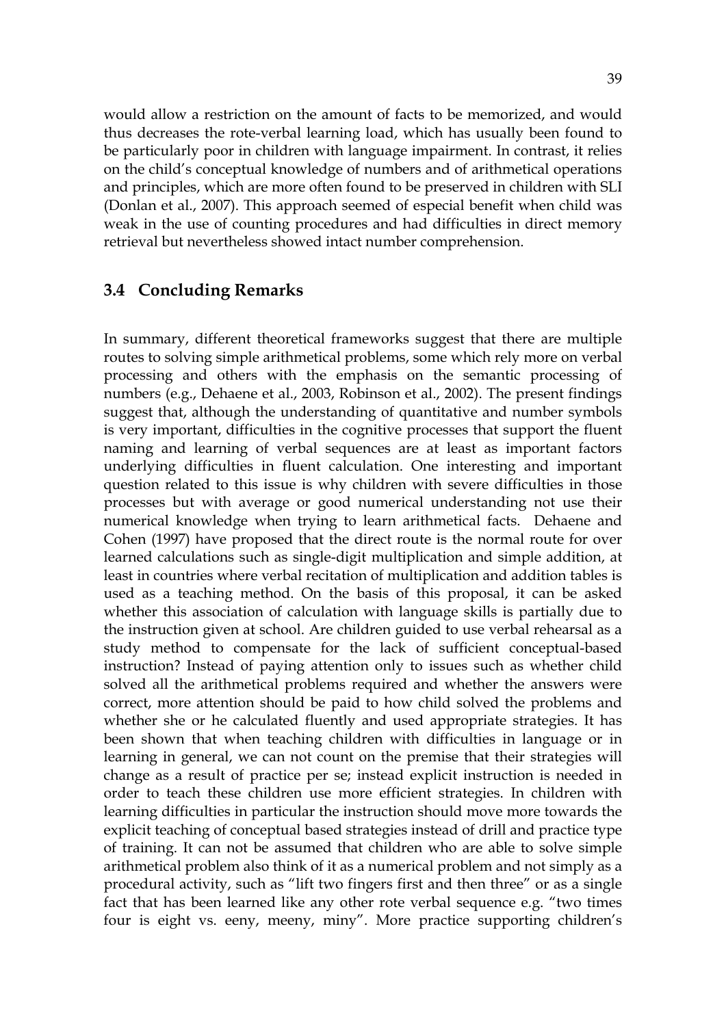would allow a restriction on the amount of facts to be memorized, and would thus decreases the rote-verbal learning load, which has usually been found to be particularly poor in children with language impairment. In contrast, it relies on the child's conceptual knowledge of numbers and of arithmetical operations and principles, which are more often found to be preserved in children with SLI (Donlan et al., 2007). This approach seemed of especial benefit when child was weak in the use of counting procedures and had difficulties in direct memory retrieval but nevertheless showed intact number comprehension.

## **3.4 Concluding Remarks**

In summary, different theoretical frameworks suggest that there are multiple routes to solving simple arithmetical problems, some which rely more on verbal processing and others with the emphasis on the semantic processing of numbers (e.g., Dehaene et al., 2003, Robinson et al., 2002). The present findings suggest that, although the understanding of quantitative and number symbols is very important, difficulties in the cognitive processes that support the fluent naming and learning of verbal sequences are at least as important factors underlying difficulties in fluent calculation. One interesting and important question related to this issue is why children with severe difficulties in those processes but with average or good numerical understanding not use their numerical knowledge when trying to learn arithmetical facts. Dehaene and Cohen (1997) have proposed that the direct route is the normal route for over learned calculations such as single-digit multiplication and simple addition, at least in countries where verbal recitation of multiplication and addition tables is used as a teaching method. On the basis of this proposal, it can be asked whether this association of calculation with language skills is partially due to the instruction given at school. Are children guided to use verbal rehearsal as a study method to compensate for the lack of sufficient conceptual-based instruction? Instead of paying attention only to issues such as whether child solved all the arithmetical problems required and whether the answers were correct, more attention should be paid to how child solved the problems and whether she or he calculated fluently and used appropriate strategies. It has been shown that when teaching children with difficulties in language or in learning in general, we can not count on the premise that their strategies will change as a result of practice per se; instead explicit instruction is needed in order to teach these children use more efficient strategies. In children with learning difficulties in particular the instruction should move more towards the explicit teaching of conceptual based strategies instead of drill and practice type of training. It can not be assumed that children who are able to solve simple arithmetical problem also think of it as a numerical problem and not simply as a procedural activity, such as "lift two fingers first and then three" or as a single fact that has been learned like any other rote verbal sequence e.g. "two times four is eight vs. eeny, meeny, miny". More practice supporting children's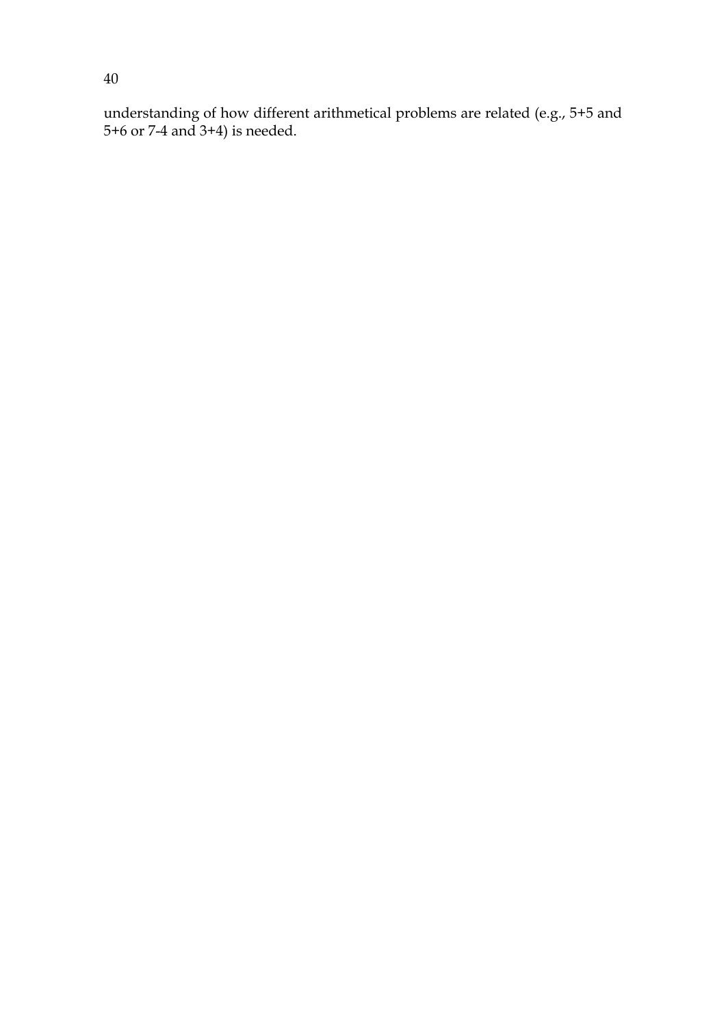understanding of how different arithmetical problems are related (e.g., 5+5 and 5+6 or 7-4 and 3+4) is needed.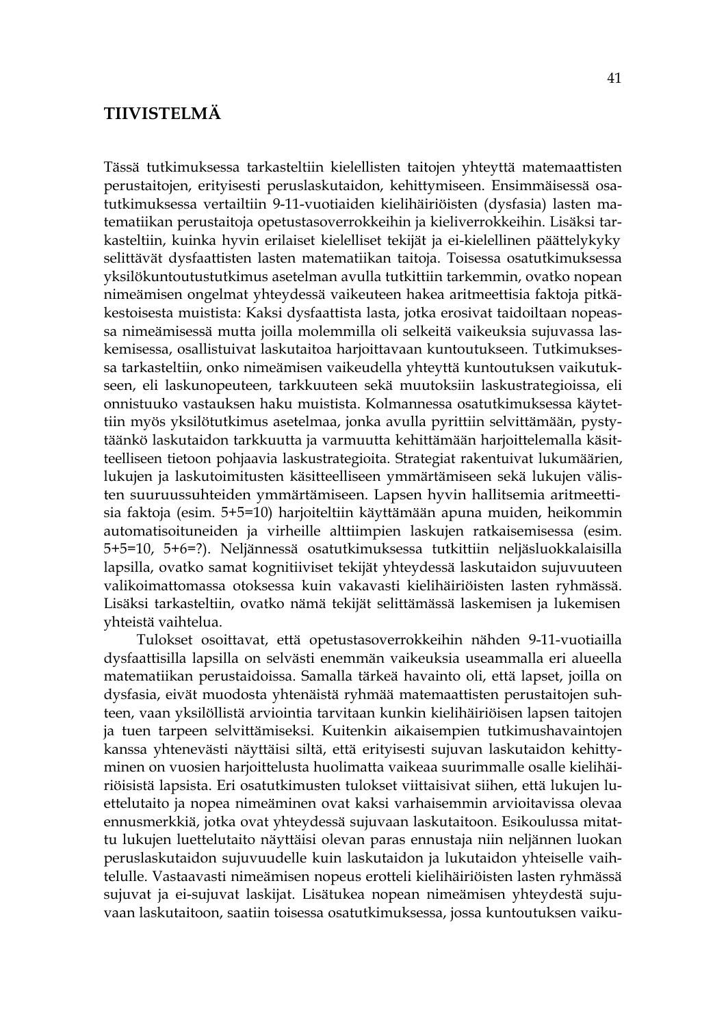## **TIIVISTELMÄ**

Tässä tutkimuksessa tarkasteltiin kielellisten taitojen yhteyttä matemaattisten perustaitojen, erityisesti peruslaskutaidon, kehittymiseen. Ensimmäisessä osatutkimuksessa vertailtiin 9-11-vuotiaiden kielihäiriöisten (dysfasia) lasten matematiikan perustaitoja opetustasoverrokkeihin ja kieliverrokkeihin. Lisäksi tarkasteltiin, kuinka hyvin erilaiset kielelliset tekijät ja ei-kielellinen päättelykyky selittävät dysfaattisten lasten matematiikan taitoja. Toisessa osatutkimuksessa yksilökuntoutustutkimus asetelman avulla tutkittiin tarkemmin, ovatko nopean nimeämisen ongelmat yhteydessä vaikeuteen hakea aritmeettisia faktoja pitkäkestoisesta muistista: Kaksi dysfaattista lasta, jotka erosivat taidoiltaan nopeassa nimeämisessä mutta joilla molemmilla oli selkeitä vaikeuksia sujuvassa laskemisessa, osallistuivat laskutaitoa harjoittavaan kuntoutukseen. Tutkimuksessa tarkasteltiin, onko nimeämisen vaikeudella yhteyttä kuntoutuksen vaikutukseen, eli laskunopeuteen, tarkkuuteen sekä muutoksiin laskustrategioissa, eli onnistuuko vastauksen haku muistista. Kolmannessa osatutkimuksessa käytettiin myös yksilötutkimus asetelmaa, jonka avulla pyrittiin selvittämään, pystytäänkö laskutaidon tarkkuutta ja varmuutta kehittämään harjoittelemalla käsitteelliseen tietoon pohjaavia laskustrategioita. Strategiat rakentuivat lukumäärien, lukujen ja laskutoimitusten käsitteelliseen ymmärtämiseen sekä lukujen välisten suuruussuhteiden ymmärtämiseen. Lapsen hyvin hallitsemia aritmeettisia faktoja (esim. 5+5=10) harjoiteltiin käyttämään apuna muiden, heikommin automatisoituneiden ja virheille alttiimpien laskujen ratkaisemisessa (esim. 5+5=10, 5+6=?). Neljännessä osatutkimuksessa tutkittiin neljäsluokkalaisilla lapsilla, ovatko samat kognitiiviset tekijät yhteydessä laskutaidon sujuvuuteen valikoimattomassa otoksessa kuin vakavasti kielihäiriöisten lasten ryhmässä. Lisäksi tarkasteltiin, ovatko nämä tekijät selittämässä laskemisen ja lukemisen yhteistä vaihtelua.

 Tulokset osoittavat, että opetustasoverrokkeihin nähden 9-11-vuotiailla dysfaattisilla lapsilla on selvästi enemmän vaikeuksia useammalla eri alueella matematiikan perustaidoissa. Samalla tärkeä havainto oli, että lapset, joilla on dysfasia, eivät muodosta yhtenäistä ryhmää matemaattisten perustaitojen suhteen, vaan yksilöllistä arviointia tarvitaan kunkin kielihäiriöisen lapsen taitojen ja tuen tarpeen selvittämiseksi. Kuitenkin aikaisempien tutkimushavaintojen kanssa yhtenevästi näyttäisi siltä, että erityisesti sujuvan laskutaidon kehittyminen on vuosien harjoittelusta huolimatta vaikeaa suurimmalle osalle kielihäiriöisistä lapsista. Eri osatutkimusten tulokset viittaisivat siihen, että lukujen luettelutaito ja nopea nimeäminen ovat kaksi varhaisemmin arvioitavissa olevaa ennusmerkkiä, jotka ovat yhteydessä sujuvaan laskutaitoon. Esikoulussa mitattu lukujen luettelutaito näyttäisi olevan paras ennustaja niin neljännen luokan peruslaskutaidon sujuvuudelle kuin laskutaidon ja lukutaidon yhteiselle vaihtelulle. Vastaavasti nimeämisen nopeus erotteli kielihäiriöisten lasten ryhmässä sujuvat ja ei-sujuvat laskijat. Lisätukea nopean nimeämisen yhteydestä sujuvaan laskutaitoon, saatiin toisessa osatutkimuksessa, jossa kuntoutuksen vaiku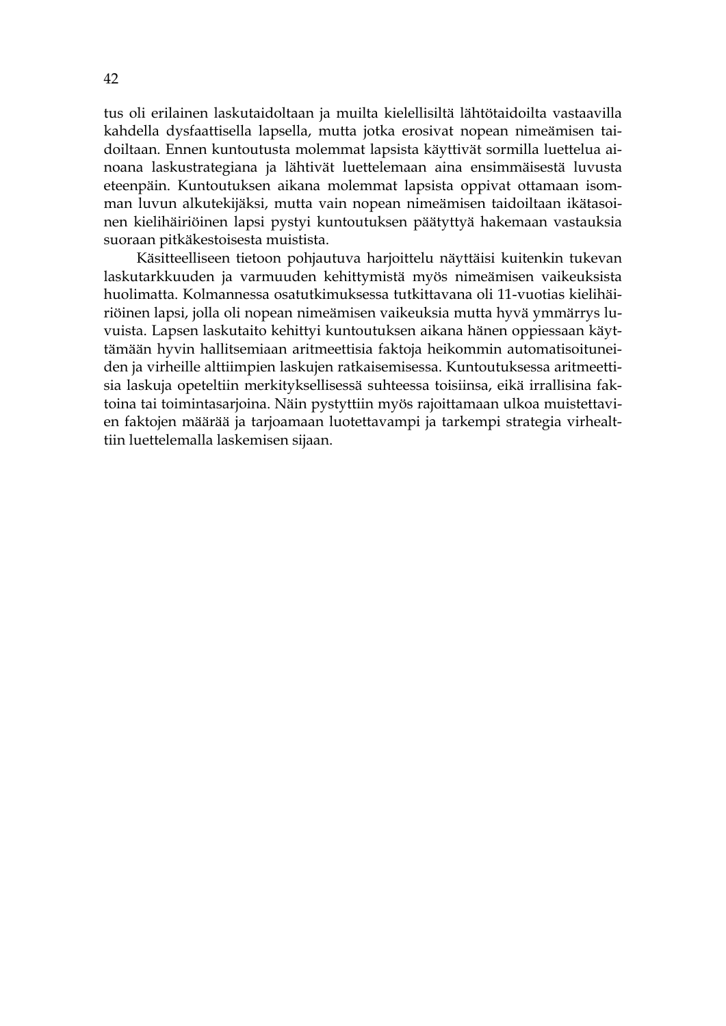tus oli erilainen laskutaidoltaan ja muilta kielellisiltä lähtötaidoilta vastaavilla kahdella dysfaattisella lapsella, mutta jotka erosivat nopean nimeämisen taidoiltaan. Ennen kuntoutusta molemmat lapsista käyttivät sormilla luettelua ainoana laskustrategiana ja lähtivät luettelemaan aina ensimmäisestä luvusta eteenpäin. Kuntoutuksen aikana molemmat lapsista oppivat ottamaan isomman luvun alkutekijäksi, mutta vain nopean nimeämisen taidoiltaan ikätasoinen kielihäiriöinen lapsi pystyi kuntoutuksen päätyttyä hakemaan vastauksia suoraan pitkäkestoisesta muistista.

 Käsitteelliseen tietoon pohjautuva harjoittelu näyttäisi kuitenkin tukevan laskutarkkuuden ja varmuuden kehittymistä myös nimeämisen vaikeuksista huolimatta. Kolmannessa osatutkimuksessa tutkittavana oli 11-vuotias kielihäiriöinen lapsi, jolla oli nopean nimeämisen vaikeuksia mutta hyvä ymmärrys luvuista. Lapsen laskutaito kehittyi kuntoutuksen aikana hänen oppiessaan käyttämään hyvin hallitsemiaan aritmeettisia faktoja heikommin automatisoituneiden ja virheille alttiimpien laskujen ratkaisemisessa. Kuntoutuksessa aritmeettisia laskuja opeteltiin merkityksellisessä suhteessa toisiinsa, eikä irrallisina faktoina tai toimintasarjoina. Näin pystyttiin myös rajoittamaan ulkoa muistettavien faktojen määrää ja tarjoamaan luotettavampi ja tarkempi strategia virhealttiin luettelemalla laskemisen sijaan.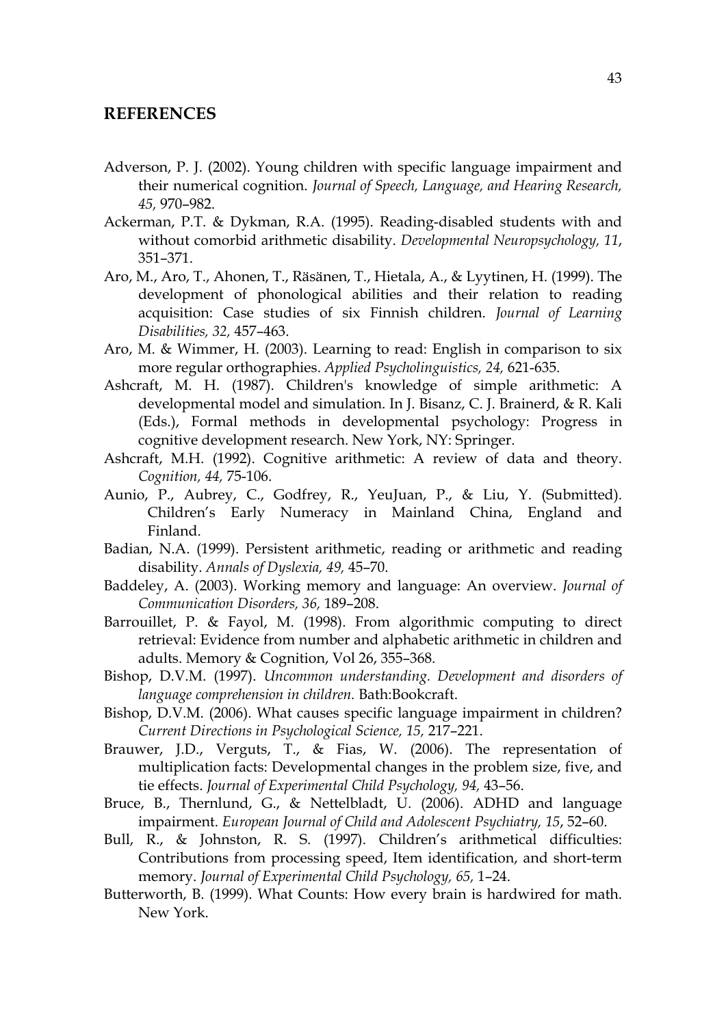## **REFERENCES**

- Adverson, P. J. (2002). Young children with specific language impairment and their numerical cognition. *Journal of Speech, Language, and Hearing Research, 45,* 970–982.
- Ackerman, P.T. & Dykman, R.A. (1995). Reading-disabled students with and without comorbid arithmetic disability. *Developmental Neuropsychology, 11*, 351–371.
- Aro, M., Aro, T., Ahonen, T., Räsänen, T., Hietala, A., & Lyytinen, H. (1999). The development of phonological abilities and their relation to reading acquisition: Case studies of six Finnish children. *Journal of Learning Disabilities, 32,* 457–463.
- Aro, M. & Wimmer, H. (2003). Learning to read: English in comparison to six more regular orthographies. *Applied Psycholinguistics, 24,* 621-635.
- Ashcraft, M. H. (1987). Children's knowledge of simple arithmetic: A developmental model and simulation. In J. Bisanz, C. J. Brainerd, & R. Kali (Eds.), Formal methods in developmental psychology: Progress in cognitive development research. New York, NY: Springer.
- Ashcraft, M.H. (1992). Cognitive arithmetic: A review of data and theory. *Cognition, 44,* 75-106.
- Aunio, P., Aubrey, C., Godfrey, R., YeuJuan, P., & Liu, Y. (Submitted). Children's Early Numeracy in Mainland China, England and Finland.
- Badian, N.A. (1999). Persistent arithmetic, reading or arithmetic and reading disability. *Annals of Dyslexia, 49,* 45–70.
- Baddeley, A. (2003). Working memory and language: An overview. *Journal of Communication Disorders, 36,* 189–208.
- Barrouillet, P. & Fayol, M. (1998). From algorithmic computing to direct retrieval: Evidence from number and alphabetic arithmetic in children and adults. Memory & Cognition, Vol 26, 355–368.
- Bishop, D.V.M. (1997). *Uncommon understanding. Development and disorders of language comprehension in children.* Bath:Bookcraft.
- Bishop, D.V.M. (2006). What causes specific language impairment in children? *Current Directions in Psychological Science, 15,* 217–221.
- Brauwer, J.D., Verguts, T., & Fias, W. (2006). The representation of multiplication facts: Developmental changes in the problem size, five, and tie effects. *Journal of Experimental Child Psychology, 94,* 43–56.
- Bruce, B., Thernlund, G., & Nettelbladt, U. (2006). ADHD and language impairment. *European Journal of Child and Adolescent Psychiatry, 15*, 52–60.
- Bull, R., & Johnston, R. S. (1997). Children's arithmetical difficulties: Contributions from processing speed, Item identification, and short-term memory. *Journal of Experimental Child Psychology, 65,* 1–24.
- Butterworth, B. (1999). What Counts: How every brain is hardwired for math. New York.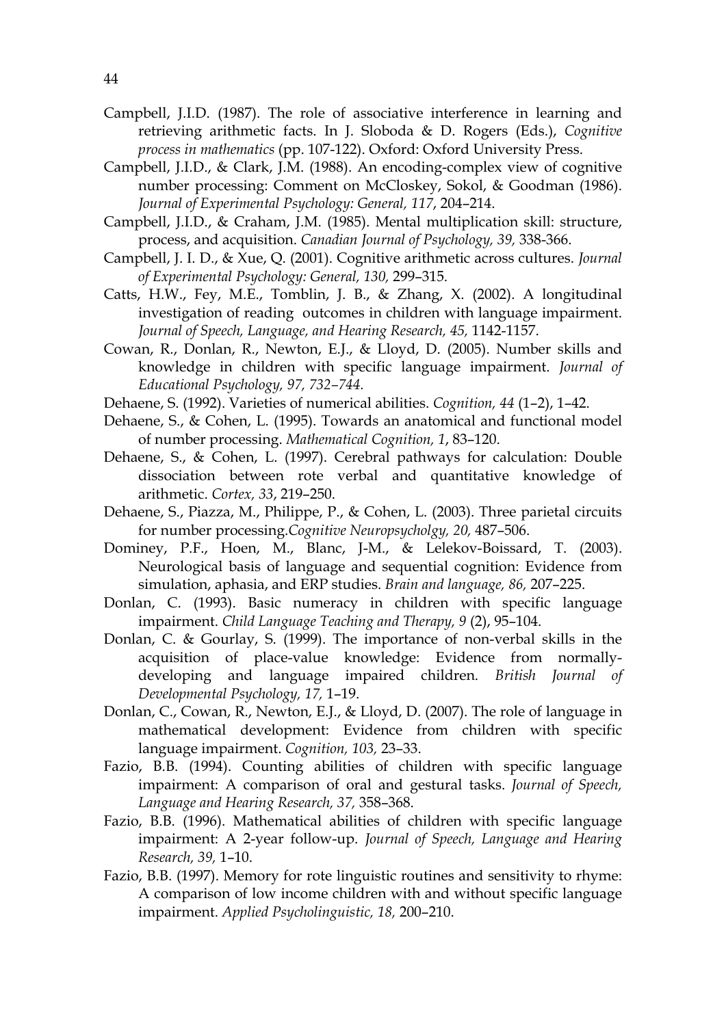- Campbell, J.I.D. (1987). The role of associative interference in learning and retrieving arithmetic facts. In J. Sloboda & D. Rogers (Eds.), *Cognitive process in mathematics* (pp. 107-122). Oxford: Oxford University Press.
- Campbell, J.I.D., & Clark, J.M. (1988). An encoding-complex view of cognitive number processing: Comment on McCloskey, Sokol, & Goodman (1986). *Journal of Experimental Psychology: General, 117*, 204–214.
- Campbell, J.I.D., & Craham, J.M. (1985). Mental multiplication skill: structure, process, and acquisition. *Canadian Journal of Psychology, 39,* 338-366.
- Campbell, J. I. D., & Xue, Q. (2001). Cognitive arithmetic across cultures. *Journal of Experimental Psychology: General, 130,* 299–315.
- Catts, H.W., Fey, M.E., Tomblin, J. B., & Zhang, X. (2002). A longitudinal investigation of reading outcomes in children with language impairment. Journal of Speech, Language, and Hearing Research, 45, 1142-1157.
- Cowan, R., Donlan, R., Newton, E.J., & Lloyd, D. (2005). Number skills and knowledge in children with specific language impairment. *Journal of Educational Psychology, 97, 732–744.*
- Dehaene, S. (1992). Varieties of numerical abilities. *Cognition, 44* (1–2), 1–42.
- Dehaene, S., & Cohen, L. (1995). Towards an anatomical and functional model of number processing. *Mathematical Cognition, 1*, 83–120.
- Dehaene, S., & Cohen, L. (1997). Cerebral pathways for calculation: Double dissociation between rote verbal and quantitative knowledge of arithmetic. *Cortex, 33*, 219–250.
- Dehaene, S., Piazza, M., Philippe, P., & Cohen, L. (2003). Three parietal circuits for number processing.*Cognitive Neuropsycholgy, 20,* 487–506.
- Dominey, P.F., Hoen, M., Blanc, J-M., & Lelekov-Boissard, T. (2003). Neurological basis of language and sequential cognition: Evidence from simulation, aphasia, and ERP studies. *Brain and language, 86,* 207–225.
- Donlan, C. (1993). Basic numeracy in children with specific language impairment. *Child Language Teaching and Therapy, 9* (2), 95–104.
- Donlan, C. & Gourlay, S. (1999). The importance of non-verbal skills in the acquisition of place-value knowledge: Evidence from normallydeveloping and language impaired children. *British Journal of Developmental Psychology, 17,* 1–19.
- Donlan, C., Cowan, R., Newton, E.J., & Lloyd, D. (2007). The role of language in mathematical development: Evidence from children with specific language impairment. *Cognition, 103,* 23–33.
- Fazio, B.B. (1994). Counting abilities of children with specific language impairment: A comparison of oral and gestural tasks. *Journal of Speech, Language and Hearing Research, 37,* 358–368.
- Fazio, B.B. (1996). Mathematical abilities of children with specific language impairment: A 2-year follow-up. *Journal of Speech, Language and Hearing Research, 39,* 1–10.
- Fazio, B.B. (1997). Memory for rote linguistic routines and sensitivity to rhyme: A comparison of low income children with and without specific language impairment. *Applied Psycholinguistic, 18,* 200–210.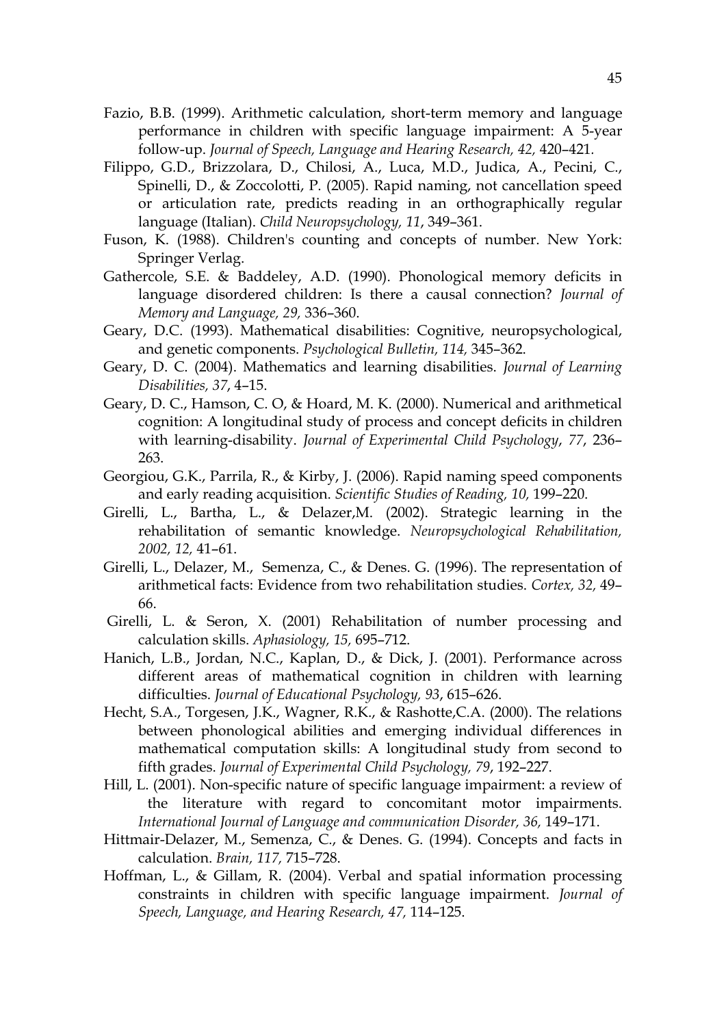- Fazio, B.B. (1999). Arithmetic calculation, short-term memory and language performance in children with specific language impairment: A 5-year follow-up. *Journal of Speech, Language and Hearing Research, 42,* 420–421*.*
- Filippo, G.D., Brizzolara, D., Chilosi, A., Luca, M.D., Judica, A., Pecini, C., Spinelli, D., & Zoccolotti, P. (2005). Rapid naming, not cancellation speed or articulation rate, predicts reading in an orthographically regular language (Italian). *Child Neuropsychology, 11*, 349–361.
- Fuson, K. (1988). Children's counting and concepts of number. New York: Springer Verlag.
- Gathercole, S.E. & Baddeley, A.D. (1990). Phonological memory deficits in language disordered children: Is there a causal connection? *Journal of Memory and Language, 29,* 336–360.
- Geary, D.C. (1993). Mathematical disabilities: Cognitive, neuropsychological, and genetic components. *Psychological Bulletin, 114,* 345–362.
- Geary, D. C. (2004). Mathematics and learning disabilities. *Journal of Learning Disabilities, 37*, 4–15.
- Geary, D. C., Hamson, C. O, & Hoard, M. K. (2000). Numerical and arithmetical cognition: A longitudinal study of process and concept deficits in children with learning-disability. *Journal of Experimental Child Psychology*, *77*, 236– 263.
- Georgiou, G.K., Parrila, R., & Kirby, J. (2006). Rapid naming speed components and early reading acquisition. *Scientific Studies of Reading, 10,* 199–220.
- Girelli, L., Bartha, L., & Delazer,M. (2002). Strategic learning in the rehabilitation of semantic knowledge. *Neuropsychological Rehabilitation, 2002, 12,* 41–61.
- Girelli, L., Delazer, M., Semenza, C., & Denes. G. (1996). The representation of arithmetical facts: Evidence from two rehabilitation studies. *Cortex, 32,* 49– 66.
- Girelli, L. & Seron, X. (2001) Rehabilitation of number processing and calculation skills. *Aphasiology, 15,* 695–712.
- Hanich, L.B., Jordan, N.C., Kaplan, D., & Dick, J. (2001). Performance across different areas of mathematical cognition in children with learning difficulties. *Journal of Educational Psychology, 93*, 615–626.
- Hecht, S.A., Torgesen, J.K., Wagner, R.K., & Rashotte,C.A. (2000). The relations between phonological abilities and emerging individual differences in mathematical computation skills: A longitudinal study from second to fifth grades. *Journal of Experimental Child Psychology, 79*, 192–227.
- Hill, L. (2001). Non-specific nature of specific language impairment: a review of the literature with regard to concomitant motor impairments. International Journal of Language and communication Disorder, 36, 149-171.
- Hittmair-Delazer, M., Semenza, C., & Denes. G. (1994). Concepts and facts in calculation. *Brain, 117,* 715–728.
- Hoffman, L., & Gillam, R. (2004). Verbal and spatial information processing constraints in children with specific language impairment. *Journal of Speech, Language, and Hearing Research, 47,* 114–125.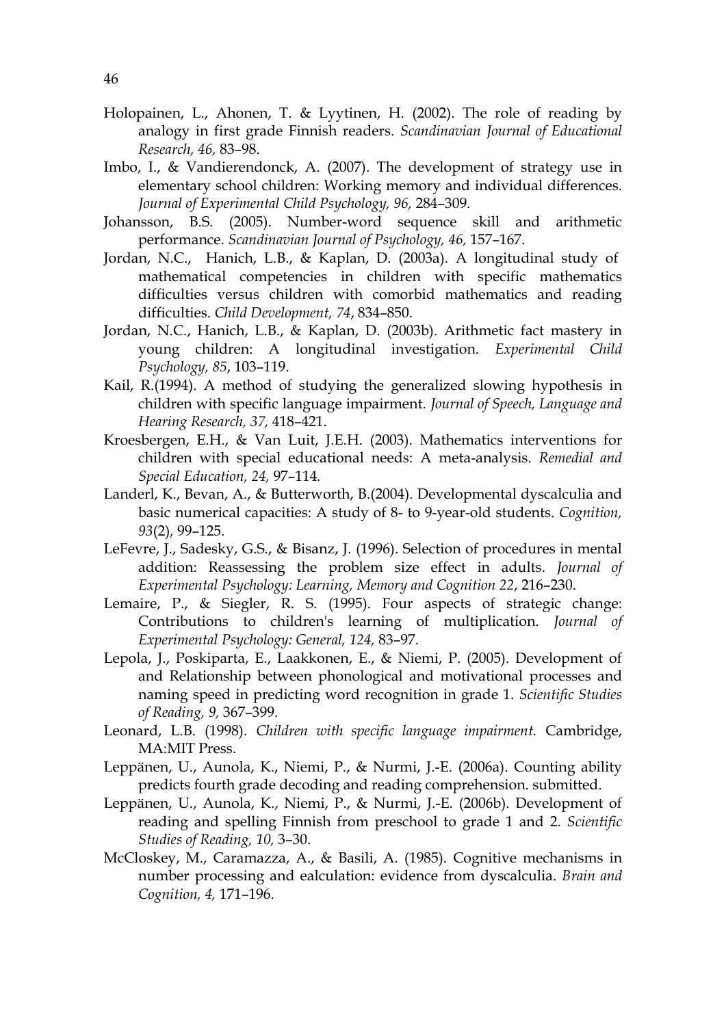- Holopainen, L., Ahonen, T. & Lyytinen, H. (2002). The role of reading by analogy in first grade Finnish readers. *Scandinavian Journal of Educational Research, 46,* 83–98.
- Imbo, I., & Vandierendonck, A. (2007). The development of strategy use in elementary school children: Working memory and individual differences. *Journal of Experimental Child Psychology, 96,* 284–309.
- Johansson, B.S. (2005). Number-word sequence skill and arithmetic performance. *Scandinavian Journal of Psychology, 46,* 157–167.
- Jordan, N.C., Hanich, L.B., & Kaplan, D. (2003a). A longitudinal study of mathematical competencies in children with specific mathematics difficulties versus children with comorbid mathematics and reading difficulties. *Child Development, 74*, 834–850.
- Jordan, N.C., Hanich, L.B., & Kaplan, D. (2003b). Arithmetic fact mastery in young children: A longitudinal investigation. *Experimental Child Psychology, 85*, 103–119.
- Kail, R.(1994). A method of studying the generalized slowing hypothesis in children with specific language impairment. *Journal of Speech, Language and Hearing Research, 37,* 418–421.
- Kroesbergen, E.H., & Van Luit, J.E.H. (2003). Mathematics interventions for children with special educational needs: A meta-analysis. *Remedial and Special Education, 24,* 97–114*.*
- Landerl, K., Bevan, A., & Butterworth, B.(2004). Developmental dyscalculia and basic numerical capacities: A study of 8- to 9-year-old students. *Cognition, 93*(2)*,* 99–125.
- LeFevre, J., Sadesky, G.S., & Bisanz, J. (1996). Selection of procedures in mental addition: Reassessing the problem size effect in adults. *Journal of Experimental Psychology: Learning, Memory and Cognition 22*, 216–230.
- Lemaire, P., & Siegler, R. S. (1995). Four aspects of strategic change: Contributions to children's learning of multiplication. *Journal of Experimental Psychology: General, 124,* 83–97.
- Lepola, J., Poskiparta, E., Laakkonen, E., & Niemi, P. (2005). Development of and Relationship between phonological and motivational processes and naming speed in predicting word recognition in grade 1. *Scientific Studies of Reading, 9,* 367–399.
- Leonard, L.B. (1998). *Children with specific language impairment.* Cambridge, MA:MIT Press.
- Leppänen, U., Aunola, K., Niemi, P., & Nurmi, J.-E. (2006a). Counting ability predicts fourth grade decoding and reading comprehension. submitted.
- Leppänen, U., Aunola, K., Niemi, P., & Nurmi, J.-E. (2006b). Development of reading and spelling Finnish from preschool to grade 1 and 2. *Scientific Studies of Reading, 10,* 3–30.
- McCloskey, M., Caramazza, A., & Basili, A. (1985). Cognitive mechanisms in number processing and ealculation: evidence from dyscalculia. *Brain and Cognition, 4,* 171–196.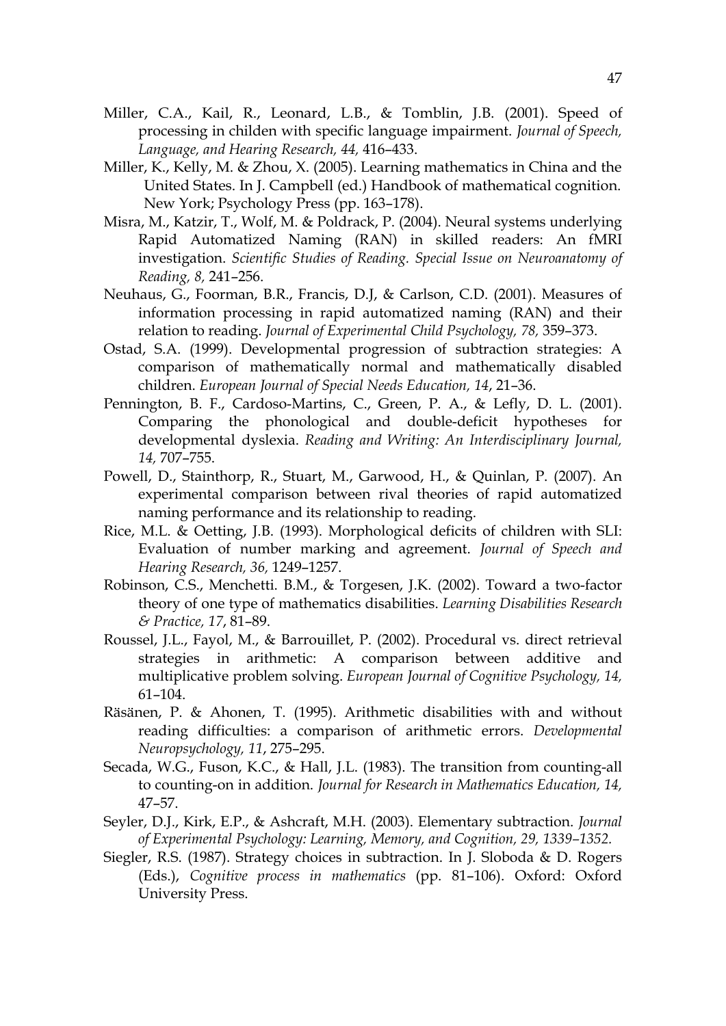- Miller, C.A., Kail, R., Leonard, L.B., & Tomblin, J.B. (2001). Speed of processing in childen with specific language impairment. *Journal of Speech, Language, and Hearing Research, 44,* 416–433.
- Miller, K., Kelly, M. & Zhou, X. (2005). Learning mathematics in China and the United States. In J. Campbell (ed.) Handbook of mathematical cognition. New York; Psychology Press (pp. 163–178).
- Misra, M., Katzir, T., Wolf, M. & Poldrack, P. (2004). Neural systems underlying Rapid Automatized Naming (RAN) in skilled readers: An fMRI investigation. *Scientific Studies of Reading. Special Issue on Neuroanatomy of Reading, 8,* 241–256.
- Neuhaus, G., Foorman, B.R., Francis, D.J, & Carlson, C.D. (2001). Measures of information processing in rapid automatized naming (RAN) and their relation to reading. *Journal of Experimental Child Psychology, 78,* 359–373.
- Ostad, S.A. (1999). Developmental progression of subtraction strategies: A comparison of mathematically normal and mathematically disabled children. *European Journal of Special Needs Education, 14*, 21–36.
- Pennington, B. F., Cardoso-Martins, C., Green, P. A., & Lefly, D. L. (2001). Comparing the phonological and double-deficit hypotheses for developmental dyslexia. *Reading and Writing: An Interdisciplinary Journal, 14,* 707–755.
- Powell, D., Stainthorp, R., Stuart, M., Garwood, H., & Quinlan, P. (2007). An experimental comparison between rival theories of rapid automatized naming performance and its relationship to reading.
- Rice, M.L. & Oetting, J.B. (1993). Morphological deficits of children with SLI: Evaluation of number marking and agreement. *Journal of Speech and Hearing Research, 36,* 1249–1257.
- Robinson, C.S., Menchetti. B.M., & Torgesen, J.K. (2002). Toward a two-factor theory of one type of mathematics disabilities. *Learning Disabilities Research & Practice, 17*, 81–89.
- Roussel, J.L., Fayol, M., & Barrouillet, P. (2002). Procedural vs. direct retrieval strategies in arithmetic: A comparison between additive and multiplicative problem solving. *European Journal of Cognitive Psychology, 14,*  61–104.
- Räsänen, P. & Ahonen, T. (1995). Arithmetic disabilities with and without reading difficulties: a comparison of arithmetic errors. *Developmental Neuropsychology, 11*, 275–295.
- Secada, W.G., Fuson, K.C., & Hall, J.L. (1983). The transition from counting-all to counting-on in addition. *Journal for Research in Mathematics Education, 14,*  47–57.
- Seyler, D.J., Kirk, E.P., & Ashcraft, M.H. (2003). Elementary subtraction. *Journal of Experimental Psychology: Learning, Memory, and Cognition, 29, 1339–1352.*
- Siegler, R.S. (1987). Strategy choices in subtraction. In J. Sloboda & D. Rogers (Eds.), *Cognitive process in mathematics* (pp. 81–106). Oxford: Oxford University Press.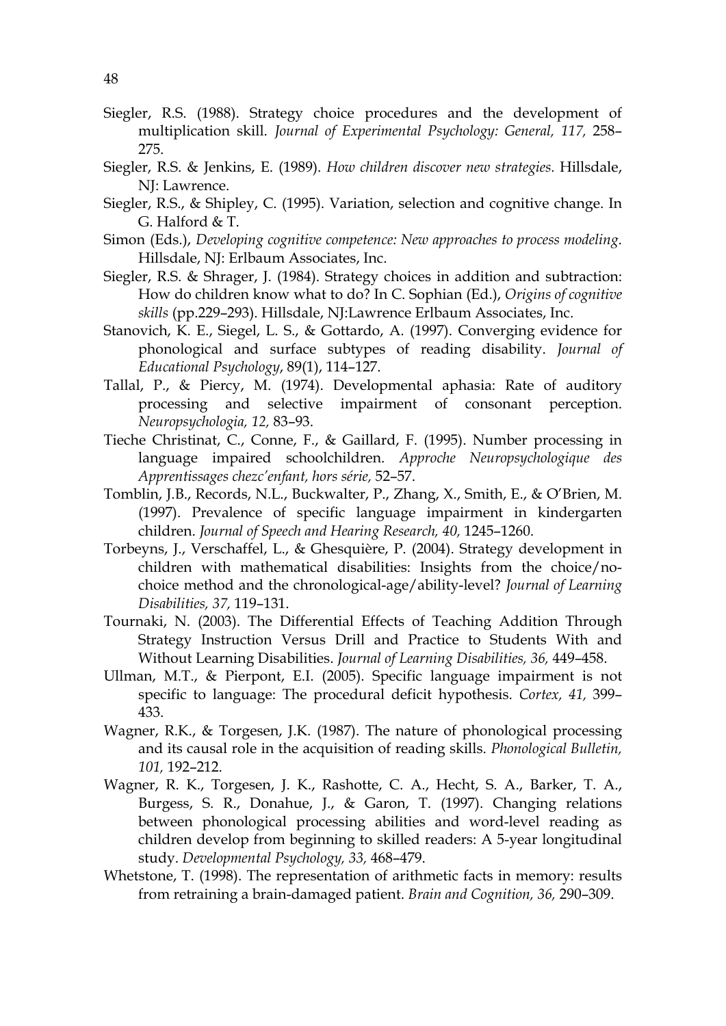- Siegler, R.S. (1988). Strategy choice procedures and the development of multiplication skill. *Journal of Experimental Psychology: General, 117,* 258– 275.
- Siegler, R.S. & Jenkins, E. (1989). *How children discover new strategies.* Hillsdale, NJ: Lawrence.
- Siegler, R.S., & Shipley, C. (1995). Variation, selection and cognitive change. In G. Halford & T.
- Simon (Eds.), *Developing cognitive competence: New approaches to process modeling*. Hillsdale, NJ: Erlbaum Associates, Inc.
- Siegler, R.S. & Shrager, J. (1984). Strategy choices in addition and subtraction: How do children know what to do? In C. Sophian (Ed.), *Origins of cognitive skills* (pp.229–293). Hillsdale, NJ:Lawrence Erlbaum Associates, Inc.
- Stanovich, K. E., Siegel, L. S., & Gottardo, A. (1997). Converging evidence for phonological and surface subtypes of reading disability. *Journal of Educational Psychology*, 89(1), 114–127.
- Tallal, P., & Piercy, M. (1974). Developmental aphasia: Rate of auditory processing and selective impairment of consonant perception. *Neuropsychologia, 12,* 83–93.
- Tieche Christinat, C., Conne, F., & Gaillard, F. (1995). Number processing in language impaired schoolchildren. *Approche Neuropsychologique des Apprentissages chezc'enfant, hors série,* 52–57.
- Tomblin, J.B., Records, N.L., Buckwalter, P., Zhang, X., Smith, E., & O'Brien, M. (1997). Prevalence of specific language impairment in kindergarten children. *Journal of Speech and Hearing Research, 40,* 1245–1260.
- Torbeyns, J., Verschaffel, L., & Ghesquière, P. (2004). Strategy development in children with mathematical disabilities: Insights from the choice/nochoice method and the chronological-age/ability-level? *Journal of Learning Disabilities, 37,* 119–131.
- Tournaki, N. (2003). The Differential Effects of Teaching Addition Through Strategy Instruction Versus Drill and Practice to Students With and Without Learning Disabilities. *Journal of Learning Disabilities, 36,* 449–458.
- Ullman, M.T., & Pierpont, E.I. (2005). Specific language impairment is not specific to language: The procedural deficit hypothesis. *Cortex, 41,* 399– 433.
- Wagner, R.K., & Torgesen, J.K. (1987). The nature of phonological processing and its causal role in the acquisition of reading skills. *Phonological Bulletin, 101,* 192–212.
- Wagner, R. K., Torgesen, J. K., Rashotte, C. A., Hecht, S. A., Barker, T. A., Burgess, S. R., Donahue, J., & Garon, T. (1997). Changing relations between phonological processing abilities and word-level reading as children develop from beginning to skilled readers: A 5-year longitudinal study. *Developmental Psychology, 33,* 468–479.
- Whetstone, T. (1998). The representation of arithmetic facts in memory: results from retraining a brain-damaged patient. *Brain and Cognition, 36,* 290–309.